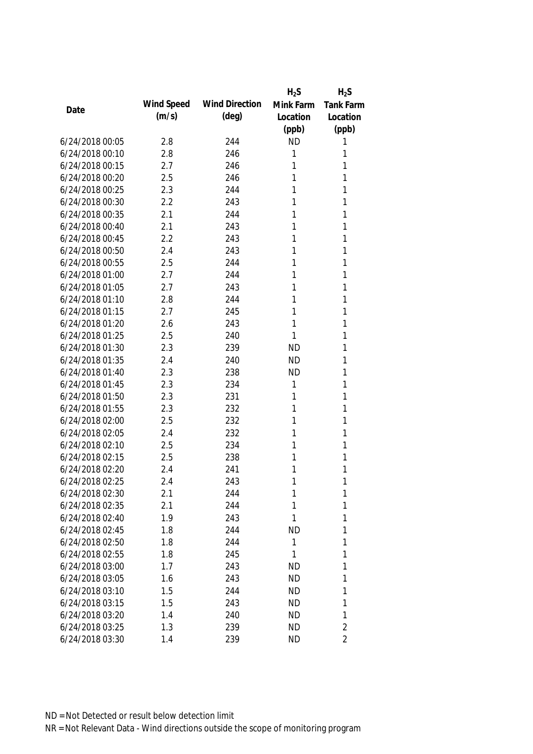|                 |            |                       | $H_2S$    | $H_2S$         |
|-----------------|------------|-----------------------|-----------|----------------|
|                 | Wind Speed | <b>Wind Direction</b> | Mink Farm | Tank Farm      |
| Date            | (m/s)      | $(\text{deg})$        | Location  | Location       |
|                 |            |                       | (ppb)     | (ppb)          |
| 6/24/2018 00:05 | 2.8        | 244                   | <b>ND</b> | 1              |
| 6/24/2018 00:10 | 2.8        | 246                   | 1         | 1              |
| 6/24/2018 00:15 | 2.7        | 246                   | 1         | 1              |
| 6/24/2018 00:20 | 2.5        | 246                   | 1         | 1              |
| 6/24/2018 00:25 | 2.3        | 244                   | 1         | 1              |
| 6/24/2018 00:30 | 2.2        | 243                   | 1         | 1              |
| 6/24/2018 00:35 | 2.1        | 244                   | 1         | 1              |
| 6/24/2018 00:40 | 2.1        | 243                   | 1         | 1              |
| 6/24/2018 00:45 | 2.2        | 243                   | 1         | 1              |
| 6/24/2018 00:50 | 2.4        | 243                   | 1         | 1              |
| 6/24/2018 00:55 | 2.5        | 244                   | 1         | 1              |
| 6/24/2018 01:00 | 2.7        | 244                   | 1         | 1              |
| 6/24/2018 01:05 | 2.7        | 243                   | 1         | 1              |
| 6/24/2018 01:10 | 2.8        | 244                   | 1         | 1              |
| 6/24/2018 01:15 | 2.7        | 245                   | 1         | 1              |
| 6/24/2018 01:20 | 2.6        | 243                   | 1         | 1              |
| 6/24/2018 01:25 | 2.5        | 240                   | 1         | 1              |
| 6/24/2018 01:30 | 2.3        | 239                   | ND        | 1              |
| 6/24/2018 01:35 | 2.4        | 240                   | <b>ND</b> | 1              |
| 6/24/2018 01:40 | 2.3        | 238                   | <b>ND</b> | 1              |
| 6/24/2018 01:45 | 2.3        | 234                   | 1         | 1              |
| 6/24/2018 01:50 | 2.3        | 231                   | 1         | 1              |
| 6/24/2018 01:55 | 2.3        | 232                   | 1         | 1              |
| 6/24/2018 02:00 | 2.5        | 232                   | 1         | 1              |
| 6/24/2018 02:05 | 2.4        | 232                   | 1         | 1              |
| 6/24/2018 02:10 | 2.5        | 234                   | 1         | 1              |
| 6/24/2018 02:15 | 2.5        | 238                   | 1         | 1              |
| 6/24/2018 02:20 | 2.4        | 241                   | 1         | 1              |
| 6/24/2018 02:25 | 2.4        | 243                   | 1         | 1              |
| 6/24/2018 02:30 | 2.1        | 244                   | 1         | 1              |
| 6/24/2018 02:35 | 2.1        | 244                   | 1         | 1              |
| 6/24/2018 02:40 | 1.9        | 243                   | 1         | 1              |
| 6/24/2018 02:45 | 1.8        | 244                   | <b>ND</b> | 1              |
| 6/24/2018 02:50 | 1.8        | 244                   | 1         | 1              |
| 6/24/2018 02:55 | 1.8        | 245                   | 1         | 1              |
| 6/24/2018 03:00 | 1.7        | 243                   | <b>ND</b> | 1              |
| 6/24/2018 03:05 | 1.6        | 243                   | <b>ND</b> | 1              |
| 6/24/2018 03:10 | 1.5        | 244                   | <b>ND</b> | 1              |
| 6/24/2018 03:15 | 1.5        | 243                   | <b>ND</b> | 1              |
| 6/24/2018 03:20 | 1.4        | 240                   | <b>ND</b> | 1              |
| 6/24/2018 03:25 | 1.3        | 239                   | <b>ND</b> | $\overline{2}$ |
| 6/24/2018 03:30 | 1.4        | 239                   | <b>ND</b> | $\overline{2}$ |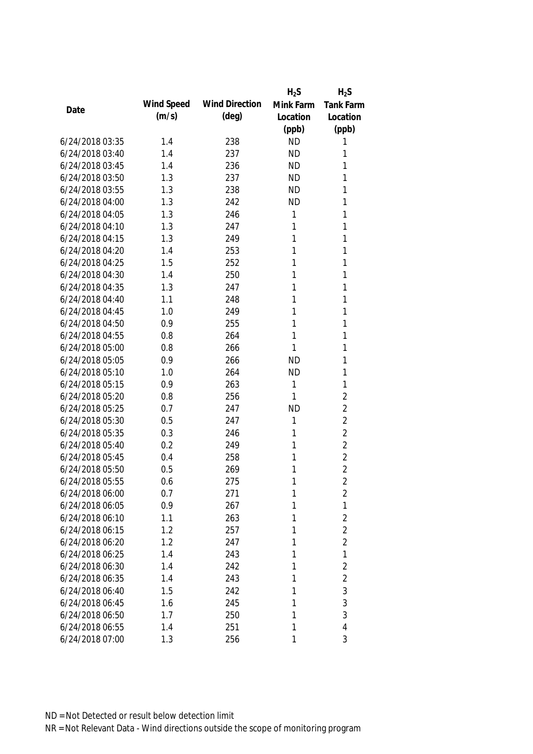|                 |            |                       | $H_2S$    | $H_2S$         |
|-----------------|------------|-----------------------|-----------|----------------|
| Date            | Wind Speed | <b>Wind Direction</b> | Mink Farm | Tank Farm      |
|                 | (m/s)      | $(\text{deg})$        | Location  | Location       |
|                 |            |                       | (ppb)     | (ppb)          |
| 6/24/2018 03:35 | 1.4        | 238                   | <b>ND</b> | 1              |
| 6/24/2018 03:40 | 1.4        | 237                   | <b>ND</b> | 1              |
| 6/24/2018 03:45 | 1.4        | 236                   | <b>ND</b> | 1              |
| 6/24/2018 03:50 | 1.3        | 237                   | <b>ND</b> | 1              |
| 6/24/2018 03:55 | 1.3        | 238                   | <b>ND</b> | 1              |
| 6/24/2018 04:00 | 1.3        | 242                   | <b>ND</b> | 1              |
| 6/24/2018 04:05 | 1.3        | 246                   | 1         | 1              |
| 6/24/2018 04:10 | 1.3        | 247                   | 1         | 1              |
| 6/24/2018 04:15 | 1.3        | 249                   | 1         | 1              |
| 6/24/2018 04:20 | 1.4        | 253                   | 1         | 1              |
| 6/24/2018 04:25 | 1.5        | 252                   | 1         | 1              |
| 6/24/2018 04:30 | 1.4        | 250                   | 1         | 1              |
| 6/24/2018 04:35 | 1.3        | 247                   | 1         | 1              |
| 6/24/2018 04:40 | 1.1        | 248                   | 1         | 1              |
| 6/24/2018 04:45 | 1.0        | 249                   | 1         | 1              |
| 6/24/2018 04:50 | 0.9        | 255                   | 1         | 1              |
| 6/24/2018 04:55 | 0.8        | 264                   | 1         | 1              |
| 6/24/2018 05:00 | 0.8        | 266                   | 1         | 1              |
| 6/24/2018 05:05 | 0.9        | 266                   | <b>ND</b> | 1              |
| 6/24/2018 05:10 | 1.0        | 264                   | <b>ND</b> | 1              |
| 6/24/2018 05:15 | 0.9        | 263                   | 1         | 1              |
| 6/24/2018 05:20 | 0.8        | 256                   | 1         | $\overline{2}$ |
| 6/24/2018 05:25 | 0.7        | 247                   | <b>ND</b> | $\overline{2}$ |
| 6/24/2018 05:30 | 0.5        | 247                   | 1         | $\overline{2}$ |
| 6/24/2018 05:35 | 0.3        | 246                   | 1         | $\overline{2}$ |
| 6/24/2018 05:40 | 0.2        | 249                   | 1         | $\overline{2}$ |
| 6/24/2018 05:45 | 0.4        | 258                   | 1         | $\overline{2}$ |
| 6/24/2018 05:50 | 0.5        | 269                   | 1         | $\overline{2}$ |
| 6/24/2018 05:55 | 0.6        | 275                   | 1         | $\overline{2}$ |
| 6/24/2018 06:00 | 0.7        | 271                   | 1         | $\overline{2}$ |
| 6/24/2018 06:05 | 0.9        | 267                   | 1         | 1              |
| 6/24/2018 06:10 | 1.1        | 263                   | 1         | $\sqrt{2}$     |
| 6/24/2018 06:15 | 1.2        | 257                   | 1         | $\overline{2}$ |
| 6/24/2018 06:20 | 1.2        | 247                   | 1         | $\overline{2}$ |
| 6/24/2018 06:25 | 1.4        | 243                   | 1         | 1              |
| 6/24/2018 06:30 | 1.4        | 242                   | 1         | $\overline{2}$ |
| 6/24/2018 06:35 | 1.4        | 243                   | 1         | $\overline{2}$ |
| 6/24/2018 06:40 | 1.5        | 242                   | 1         | 3              |
| 6/24/2018 06:45 | 1.6        | 245                   | 1         | 3              |
| 6/24/2018 06:50 | 1.7        | 250                   | 1         | 3              |
| 6/24/2018 06:55 | 1.4        | 251                   | 1         | 4              |
| 6/24/2018 07:00 | 1.3        | 256                   | 1         | 3              |
|                 |            |                       |           |                |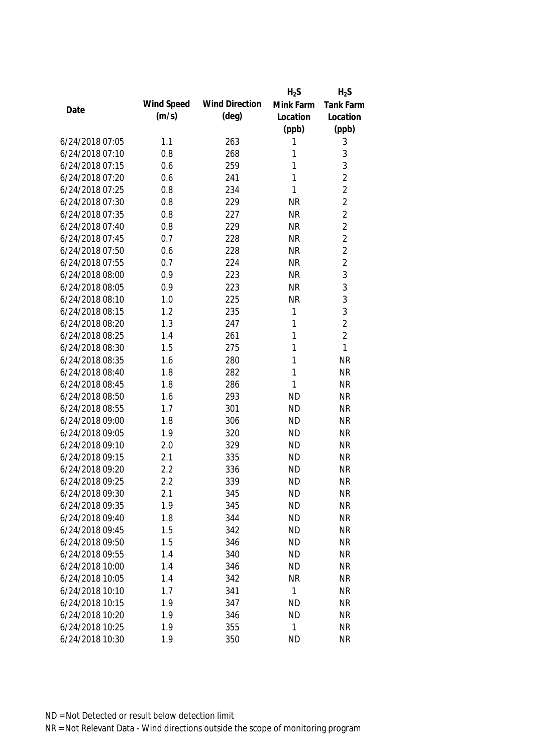|                 |            |                       | $H_2S$       | $H_2S$         |
|-----------------|------------|-----------------------|--------------|----------------|
|                 | Wind Speed | <b>Wind Direction</b> | Mink Farm    | Tank Farm      |
| Date            | (m/s)      | $(\text{deg})$        | Location     | Location       |
|                 |            |                       | (ppb)        | (ppb)          |
| 6/24/2018 07:05 | 1.1        | 263                   | 1            | 3              |
| 6/24/2018 07:10 | 0.8        | 268                   | 1            | 3              |
| 6/24/2018 07:15 | 0.6        | 259                   | 1            | 3              |
| 6/24/2018 07:20 | 0.6        | 241                   | 1            | $\overline{2}$ |
| 6/24/2018 07:25 | 0.8        | 234                   | 1            | $\overline{2}$ |
| 6/24/2018 07:30 | 0.8        | 229                   | <b>NR</b>    | $\overline{2}$ |
| 6/24/2018 07:35 | 0.8        | 227                   | <b>NR</b>    | $\overline{2}$ |
| 6/24/2018 07:40 | 0.8        | 229                   | <b>NR</b>    | $\overline{2}$ |
| 6/24/2018 07:45 | 0.7        | 228                   | <b>NR</b>    | $\overline{2}$ |
| 6/24/2018 07:50 | 0.6        | 228                   | <b>NR</b>    | $\overline{2}$ |
| 6/24/2018 07:55 | 0.7        | 224                   | <b>NR</b>    | $\overline{2}$ |
| 6/24/2018 08:00 | 0.9        | 223                   | <b>NR</b>    | 3              |
| 6/24/2018 08:05 | 0.9        | 223                   | <b>NR</b>    | 3              |
| 6/24/2018 08:10 | 1.0        | 225                   | <b>NR</b>    | 3              |
| 6/24/2018 08:15 | 1.2        | 235                   | 1            | 3              |
| 6/24/2018 08:20 | 1.3        | 247                   | 1            | $\overline{2}$ |
| 6/24/2018 08:25 | 1.4        | 261                   | 1            | $\overline{2}$ |
| 6/24/2018 08:30 | 1.5        | 275                   | 1            | $\mathbf{1}$   |
| 6/24/2018 08:35 | 1.6        | 280                   | 1            | <b>NR</b>      |
| 6/24/2018 08:40 | 1.8        | 282                   | 1            | <b>NR</b>      |
| 6/24/2018 08:45 | 1.8        | 286                   | 1            | <b>NR</b>      |
| 6/24/2018 08:50 | 1.6        | 293                   | <b>ND</b>    | <b>NR</b>      |
| 6/24/2018 08:55 | 1.7        | 301                   | <b>ND</b>    | <b>NR</b>      |
| 6/24/2018 09:00 | 1.8        | 306                   | <b>ND</b>    | <b>NR</b>      |
| 6/24/2018 09:05 | 1.9        | 320                   | <b>ND</b>    | <b>NR</b>      |
| 6/24/2018 09:10 | 2.0        | 329                   | <b>ND</b>    | <b>NR</b>      |
| 6/24/2018 09:15 | 2.1        | 335                   | <b>ND</b>    | <b>NR</b>      |
| 6/24/2018 09:20 | 2.2        | 336                   | <b>ND</b>    | <b>NR</b>      |
| 6/24/2018 09:25 | 2.2        | 339                   | <b>ND</b>    | <b>NR</b>      |
| 6/24/2018 09:30 | 2.1        | 345                   | <b>ND</b>    | <b>NR</b>      |
| 6/24/2018 09:35 | 1.9        | 345                   | <b>ND</b>    | <b>NR</b>      |
| 6/24/2018 09:40 | 1.8        | 344                   | <b>ND</b>    | <b>NR</b>      |
| 6/24/2018 09:45 | 1.5        | 342                   | <b>ND</b>    | <b>NR</b>      |
| 6/24/2018 09:50 | 1.5        | 346                   | <b>ND</b>    | <b>NR</b>      |
| 6/24/2018 09:55 | 1.4        | 340                   | <b>ND</b>    | <b>NR</b>      |
| 6/24/2018 10:00 | 1.4        | 346                   | <b>ND</b>    | <b>NR</b>      |
| 6/24/2018 10:05 | 1.4        | 342                   | <b>NR</b>    | <b>NR</b>      |
| 6/24/2018 10:10 | 1.7        | 341                   | $\mathbf{1}$ | <b>NR</b>      |
| 6/24/2018 10:15 | 1.9        | 347                   | <b>ND</b>    | <b>NR</b>      |
| 6/24/2018 10:20 | 1.9        | 346                   | <b>ND</b>    | <b>NR</b>      |
| 6/24/2018 10:25 | 1.9        | 355                   | 1            | <b>NR</b>      |
| 6/24/2018 10:30 | 1.9        | 350                   | <b>ND</b>    | <b>NR</b>      |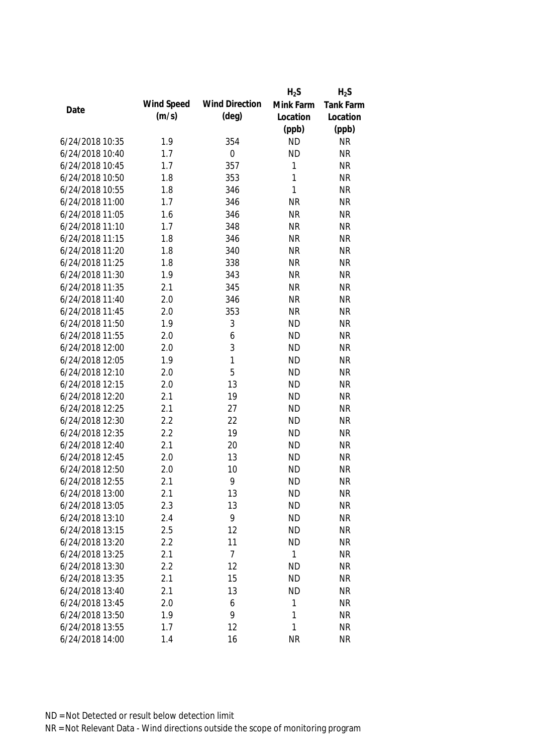|                 |            |                       | $H_2S$    | $H_2S$           |
|-----------------|------------|-----------------------|-----------|------------------|
|                 | Wind Speed | <b>Wind Direction</b> | Mink Farm | <b>Tank Farm</b> |
| Date            | (m/s)      | $(\text{deg})$        | Location  | Location         |
|                 |            |                       | (ppb)     | (ppb)            |
| 6/24/2018 10:35 | 1.9        | 354                   | <b>ND</b> | <b>NR</b>        |
| 6/24/2018 10:40 | 1.7        | $\mathbf 0$           | <b>ND</b> | <b>NR</b>        |
| 6/24/2018 10:45 | 1.7        | 357                   | 1         | <b>NR</b>        |
| 6/24/2018 10:50 | 1.8        | 353                   | 1         | <b>NR</b>        |
| 6/24/2018 10:55 | 1.8        | 346                   | 1         | <b>NR</b>        |
| 6/24/2018 11:00 | 1.7        | 346                   | <b>NR</b> | <b>NR</b>        |
| 6/24/2018 11:05 | 1.6        | 346                   | <b>NR</b> | <b>NR</b>        |
| 6/24/2018 11:10 | 1.7        | 348                   | <b>NR</b> | <b>NR</b>        |
| 6/24/2018 11:15 | 1.8        | 346                   | <b>NR</b> | <b>NR</b>        |
| 6/24/2018 11:20 | 1.8        | 340                   | <b>NR</b> | <b>NR</b>        |
| 6/24/2018 11:25 | 1.8        | 338                   | <b>NR</b> | <b>NR</b>        |
| 6/24/2018 11:30 | 1.9        | 343                   | <b>NR</b> | <b>NR</b>        |
| 6/24/2018 11:35 | 2.1        | 345                   | <b>NR</b> | <b>NR</b>        |
| 6/24/2018 11:40 | 2.0        | 346                   | <b>NR</b> | <b>NR</b>        |
| 6/24/2018 11:45 | 2.0        | 353                   | <b>NR</b> | <b>NR</b>        |
| 6/24/2018 11:50 | 1.9        | 3                     | <b>ND</b> | <b>NR</b>        |
| 6/24/2018 11:55 | 2.0        | 6                     | <b>ND</b> | <b>NR</b>        |
| 6/24/2018 12:00 | 2.0        | 3                     | <b>ND</b> | <b>NR</b>        |
| 6/24/2018 12:05 | 1.9        | 1                     | <b>ND</b> | <b>NR</b>        |
| 6/24/2018 12:10 | 2.0        | 5                     | <b>ND</b> | <b>NR</b>        |
| 6/24/2018 12:15 | 2.0        | 13                    | <b>ND</b> | <b>NR</b>        |
| 6/24/2018 12:20 | 2.1        | 19                    | <b>ND</b> | <b>NR</b>        |
| 6/24/2018 12:25 | 2.1        | 27                    | <b>ND</b> | <b>NR</b>        |
| 6/24/2018 12:30 | 2.2        | 22                    | <b>ND</b> | <b>NR</b>        |
| 6/24/2018 12:35 | 2.2        | 19                    | <b>ND</b> | <b>NR</b>        |
| 6/24/2018 12:40 | 2.1        | 20                    | <b>ND</b> | <b>NR</b>        |
| 6/24/2018 12:45 | 2.0        | 13                    | <b>ND</b> | <b>NR</b>        |
| 6/24/2018 12:50 | 2.0        | 10                    | <b>ND</b> | <b>NR</b>        |
| 6/24/2018 12:55 | 2.1        | 9                     | <b>ND</b> | <b>NR</b>        |
| 6/24/2018 13:00 | 2.1        | 13                    | <b>ND</b> | <b>NR</b>        |
| 6/24/2018 13:05 | 2.3        | 13                    | <b>ND</b> | <b>NR</b>        |
| 6/24/2018 13:10 | 2.4        | 9                     | <b>ND</b> | <b>NR</b>        |
| 6/24/2018 13:15 | 2.5        | 12                    | <b>ND</b> | <b>NR</b>        |
| 6/24/2018 13:20 | 2.2        | 11                    | <b>ND</b> | <b>NR</b>        |
| 6/24/2018 13:25 | 2.1        | $\overline{7}$        | 1         | <b>NR</b>        |
| 6/24/2018 13:30 | 2.2        | 12                    | <b>ND</b> | <b>NR</b>        |
| 6/24/2018 13:35 | 2.1        | 15                    | <b>ND</b> | <b>NR</b>        |
| 6/24/2018 13:40 | 2.1        | 13                    | <b>ND</b> | <b>NR</b>        |
| 6/24/2018 13:45 | 2.0        | 6                     | 1         | <b>NR</b>        |
| 6/24/2018 13:50 | 1.9        | 9                     | 1         | <b>NR</b>        |
| 6/24/2018 13:55 | 1.7        | 12                    | 1         | <b>NR</b>        |
|                 |            |                       |           |                  |
| 6/24/2018 14:00 | 1.4        | 16                    | <b>NR</b> | <b>NR</b>        |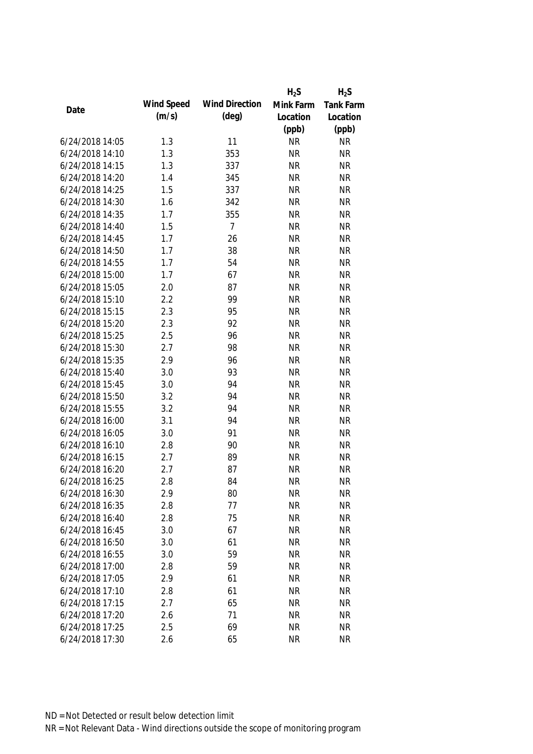|                 |            |                       | $H_2S$    | $H_2S$           |
|-----------------|------------|-----------------------|-----------|------------------|
| Date            | Wind Speed | <b>Wind Direction</b> | Mink Farm | <b>Tank Farm</b> |
|                 | (m/s)      | $(\text{deg})$        | Location  | Location         |
|                 |            |                       | (ppb)     | (ppb)            |
| 6/24/2018 14:05 | 1.3        | 11                    | <b>NR</b> | <b>NR</b>        |
| 6/24/2018 14:10 | 1.3        | 353                   | <b>NR</b> | <b>NR</b>        |
| 6/24/2018 14:15 | 1.3        | 337                   | <b>NR</b> | <b>NR</b>        |
| 6/24/2018 14:20 | 1.4        | 345                   | <b>NR</b> | <b>NR</b>        |
| 6/24/2018 14:25 | 1.5        | 337                   | <b>NR</b> | <b>NR</b>        |
| 6/24/2018 14:30 | 1.6        | 342                   | <b>NR</b> | <b>NR</b>        |
| 6/24/2018 14:35 | 1.7        | 355                   | <b>NR</b> | <b>NR</b>        |
| 6/24/2018 14:40 | 1.5        | $\overline{7}$        | <b>NR</b> | <b>NR</b>        |
| 6/24/2018 14:45 | 1.7        | 26                    | <b>NR</b> | <b>NR</b>        |
| 6/24/2018 14:50 | 1.7        | 38                    | <b>NR</b> | <b>NR</b>        |
| 6/24/2018 14:55 | 1.7        | 54                    | <b>NR</b> | <b>NR</b>        |
| 6/24/2018 15:00 | 1.7        | 67                    | <b>NR</b> | <b>NR</b>        |
| 6/24/2018 15:05 | 2.0        | 87                    | <b>NR</b> | <b>NR</b>        |
| 6/24/2018 15:10 | 2.2        | 99                    | <b>NR</b> | <b>NR</b>        |
| 6/24/2018 15:15 | 2.3        | 95                    | <b>NR</b> | <b>NR</b>        |
| 6/24/2018 15:20 | 2.3        | 92                    | <b>NR</b> | <b>NR</b>        |
| 6/24/2018 15:25 | 2.5        | 96                    | <b>NR</b> | <b>NR</b>        |
| 6/24/2018 15:30 | 2.7        | 98                    | <b>NR</b> | <b>NR</b>        |
| 6/24/2018 15:35 | 2.9        | 96                    | <b>NR</b> | <b>NR</b>        |
| 6/24/2018 15:40 | 3.0        | 93                    | <b>NR</b> | <b>NR</b>        |
| 6/24/2018 15:45 | 3.0        | 94                    | <b>NR</b> | <b>NR</b>        |
| 6/24/2018 15:50 | 3.2        | 94                    | <b>NR</b> | <b>NR</b>        |
| 6/24/2018 15:55 | 3.2        | 94                    | <b>NR</b> | <b>NR</b>        |
| 6/24/2018 16:00 | 3.1        | 94                    | <b>NR</b> | <b>NR</b>        |
| 6/24/2018 16:05 | 3.0        | 91                    | <b>NR</b> | <b>NR</b>        |
| 6/24/2018 16:10 | 2.8        | 90                    | <b>NR</b> | <b>NR</b>        |
| 6/24/2018 16:15 | 2.7        | 89                    | <b>NR</b> | <b>NR</b>        |
| 6/24/2018 16:20 | 2.7        | 87                    | <b>NR</b> | <b>NR</b>        |
| 6/24/2018 16:25 | 2.8        | 84                    | <b>NR</b> | <b>NR</b>        |
| 6/24/2018 16:30 | 2.9        | 80                    | <b>NR</b> | <b>NR</b>        |
| 6/24/2018 16:35 | 2.8        | 77                    | <b>NR</b> | <b>NR</b>        |
| 6/24/2018 16:40 | 2.8        | 75                    | <b>NR</b> | <b>NR</b>        |
| 6/24/2018 16:45 | 3.0        | 67                    | <b>NR</b> | <b>NR</b>        |
| 6/24/2018 16:50 | 3.0        | 61                    | <b>NR</b> | <b>NR</b>        |
| 6/24/2018 16:55 | 3.0        | 59                    | <b>NR</b> | <b>NR</b>        |
| 6/24/2018 17:00 | 2.8        | 59                    | <b>NR</b> | <b>NR</b>        |
| 6/24/2018 17:05 | 2.9        | 61                    | <b>NR</b> | <b>NR</b>        |
| 6/24/2018 17:10 | 2.8        | 61                    | <b>NR</b> | <b>NR</b>        |
| 6/24/2018 17:15 | 2.7        | 65                    | <b>NR</b> | <b>NR</b>        |
| 6/24/2018 17:20 | 2.6        | 71                    | <b>NR</b> | <b>NR</b>        |
| 6/24/2018 17:25 | 2.5        | 69                    | <b>NR</b> | <b>NR</b>        |
| 6/24/2018 17:30 | 2.6        | 65                    | <b>NR</b> | <b>NR</b>        |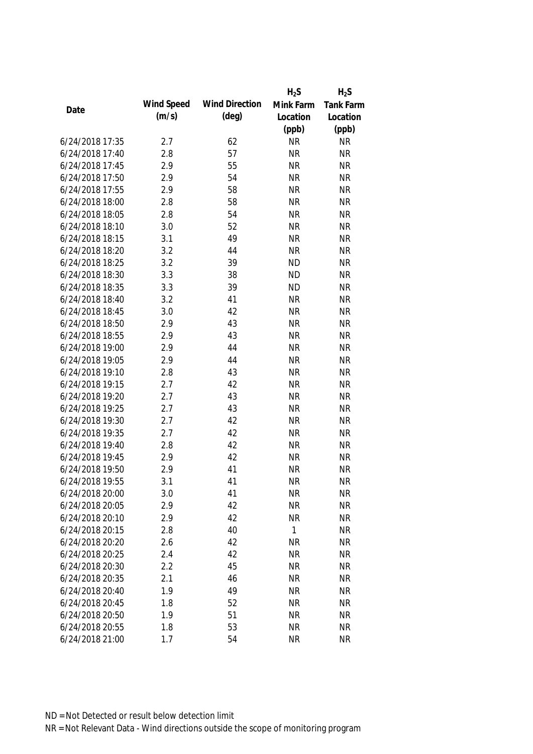|                 |            |                       | $H_2S$    | $H_2S$           |
|-----------------|------------|-----------------------|-----------|------------------|
|                 | Wind Speed | <b>Wind Direction</b> | Mink Farm | <b>Tank Farm</b> |
| Date            | (m/s)      | $(\text{deg})$        | Location  | Location         |
|                 |            |                       | (ppb)     | (ppb)            |
| 6/24/2018 17:35 | 2.7        | 62                    | <b>NR</b> | <b>NR</b>        |
| 6/24/2018 17:40 | 2.8        | 57                    | <b>NR</b> | <b>NR</b>        |
| 6/24/2018 17:45 | 2.9        | 55                    | <b>NR</b> | <b>NR</b>        |
| 6/24/2018 17:50 | 2.9        | 54                    | <b>NR</b> | <b>NR</b>        |
| 6/24/2018 17:55 | 2.9        | 58                    | <b>NR</b> | <b>NR</b>        |
| 6/24/2018 18:00 | 2.8        | 58                    | <b>NR</b> | <b>NR</b>        |
| 6/24/2018 18:05 | 2.8        | 54                    | <b>NR</b> | <b>NR</b>        |
| 6/24/2018 18:10 | 3.0        | 52                    | <b>NR</b> | <b>NR</b>        |
| 6/24/2018 18:15 | 3.1        | 49                    | <b>NR</b> | <b>NR</b>        |
| 6/24/2018 18:20 | 3.2        | 44                    | <b>NR</b> | <b>NR</b>        |
| 6/24/2018 18:25 | 3.2        | 39                    | <b>ND</b> | <b>NR</b>        |
| 6/24/2018 18:30 | 3.3        | 38                    | <b>ND</b> | <b>NR</b>        |
| 6/24/2018 18:35 | 3.3        | 39                    | <b>ND</b> | <b>NR</b>        |
| 6/24/2018 18:40 | 3.2        | 41                    | <b>NR</b> | <b>NR</b>        |
| 6/24/2018 18:45 | 3.0        | 42                    | <b>NR</b> | <b>NR</b>        |
| 6/24/2018 18:50 | 2.9        | 43                    | <b>NR</b> | <b>NR</b>        |
| 6/24/2018 18:55 | 2.9        | 43                    | <b>NR</b> | <b>NR</b>        |
| 6/24/2018 19:00 | 2.9        | 44                    | <b>NR</b> | <b>NR</b>        |
| 6/24/2018 19:05 | 2.9        | 44                    | <b>NR</b> | <b>NR</b>        |
| 6/24/2018 19:10 | 2.8        | 43                    | <b>NR</b> | <b>NR</b>        |
| 6/24/2018 19:15 | 2.7        | 42                    | <b>NR</b> | <b>NR</b>        |
| 6/24/2018 19:20 | 2.7        | 43                    | <b>NR</b> | <b>NR</b>        |
| 6/24/2018 19:25 | 2.7        | 43                    | <b>NR</b> | <b>NR</b>        |
| 6/24/2018 19:30 | 2.7        | 42                    | <b>NR</b> | <b>NR</b>        |
| 6/24/2018 19:35 | 2.7        | 42                    | <b>NR</b> | <b>NR</b>        |
| 6/24/2018 19:40 | 2.8        | 42                    | <b>NR</b> | <b>NR</b>        |
| 6/24/2018 19:45 | 2.9        | 42                    | <b>NR</b> | <b>NR</b>        |
| 6/24/2018 19:50 | 2.9        | 41                    | <b>NR</b> | <b>NR</b>        |
| 6/24/2018 19:55 | 3.1        | 41                    | <b>NR</b> | <b>NR</b>        |
| 6/24/2018 20:00 | 3.0        | 41                    | <b>NR</b> | <b>NR</b>        |
| 6/24/2018 20:05 | 2.9        | 42                    | <b>NR</b> | <b>NR</b>        |
| 6/24/2018 20:10 | 2.9        | 42                    | <b>NR</b> | <b>NR</b>        |
| 6/24/2018 20:15 | 2.8        | 40                    | 1         | <b>NR</b>        |
| 6/24/2018 20:20 | 2.6        | 42                    | <b>NR</b> | <b>NR</b>        |
| 6/24/2018 20:25 | 2.4        | 42                    | <b>NR</b> | <b>NR</b>        |
| 6/24/2018 20:30 | 2.2        | 45                    | <b>NR</b> | <b>NR</b>        |
| 6/24/2018 20:35 | 2.1        | 46                    | <b>NR</b> | <b>NR</b>        |
| 6/24/2018 20:40 | 1.9        | 49                    | <b>NR</b> | <b>NR</b>        |
| 6/24/2018 20:45 | 1.8        | 52                    | <b>NR</b> | <b>NR</b>        |
| 6/24/2018 20:50 | 1.9        | 51                    | <b>NR</b> | <b>NR</b>        |
| 6/24/2018 20:55 | 1.8        | 53                    | <b>NR</b> | <b>NR</b>        |
| 6/24/2018 21:00 | 1.7        | 54                    | <b>NR</b> | <b>NR</b>        |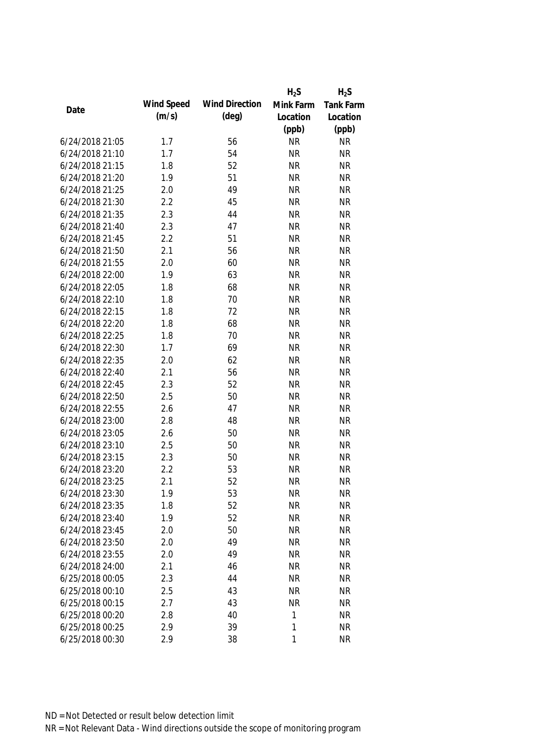|                 |            |                       | $H_2S$    | $H_2S$           |
|-----------------|------------|-----------------------|-----------|------------------|
|                 | Wind Speed | <b>Wind Direction</b> | Mink Farm | <b>Tank Farm</b> |
| Date            | (m/s)      | $(\text{deg})$        | Location  | Location         |
|                 |            |                       | (ppb)     | (ppb)            |
| 6/24/2018 21:05 | 1.7        | 56                    | <b>NR</b> | <b>NR</b>        |
| 6/24/2018 21:10 | 1.7        | 54                    | <b>NR</b> | <b>NR</b>        |
| 6/24/2018 21:15 | 1.8        | 52                    | <b>NR</b> | <b>NR</b>        |
| 6/24/2018 21:20 | 1.9        | 51                    | <b>NR</b> | <b>NR</b>        |
| 6/24/2018 21:25 | 2.0        | 49                    | <b>NR</b> | <b>NR</b>        |
| 6/24/2018 21:30 | 2.2        | 45                    | <b>NR</b> | <b>NR</b>        |
| 6/24/2018 21:35 | 2.3        | 44                    | <b>NR</b> | <b>NR</b>        |
| 6/24/2018 21:40 | 2.3        | 47                    | <b>NR</b> | <b>NR</b>        |
| 6/24/2018 21:45 | 2.2        | 51                    | <b>NR</b> | <b>NR</b>        |
| 6/24/2018 21:50 | 2.1        | 56                    | <b>NR</b> | <b>NR</b>        |
| 6/24/2018 21:55 | 2.0        | 60                    | <b>NR</b> | <b>NR</b>        |
| 6/24/2018 22:00 | 1.9        | 63                    | <b>NR</b> | <b>NR</b>        |
| 6/24/2018 22:05 | 1.8        | 68                    | <b>NR</b> | <b>NR</b>        |
| 6/24/2018 22:10 | 1.8        | 70                    | <b>NR</b> | <b>NR</b>        |
| 6/24/2018 22:15 | 1.8        | 72                    | <b>NR</b> | <b>NR</b>        |
| 6/24/2018 22:20 | 1.8        | 68                    | <b>NR</b> | <b>NR</b>        |
| 6/24/2018 22:25 | 1.8        | 70                    | <b>NR</b> | <b>NR</b>        |
| 6/24/2018 22:30 | 1.7        | 69                    | <b>NR</b> | <b>NR</b>        |
| 6/24/2018 22:35 | 2.0        | 62                    | <b>NR</b> | <b>NR</b>        |
| 6/24/2018 22:40 | 2.1        | 56                    | <b>NR</b> | <b>NR</b>        |
| 6/24/2018 22:45 | 2.3        | 52                    | <b>NR</b> | <b>NR</b>        |
| 6/24/2018 22:50 | 2.5        | 50                    | <b>NR</b> | <b>NR</b>        |
| 6/24/2018 22:55 | 2.6        | 47                    | <b>NR</b> | <b>NR</b>        |
| 6/24/2018 23:00 | 2.8        | 48                    | <b>NR</b> | <b>NR</b>        |
| 6/24/2018 23:05 | 2.6        | 50                    | <b>NR</b> | <b>NR</b>        |
| 6/24/2018 23:10 | 2.5        | 50                    | <b>NR</b> | <b>NR</b>        |
| 6/24/2018 23:15 | 2.3        | 50                    | <b>NR</b> | <b>NR</b>        |
| 6/24/2018 23:20 | 2.2        | 53                    | <b>NR</b> | <b>NR</b>        |
| 6/24/2018 23:25 | 2.1        | 52                    | <b>NR</b> | <b>NR</b>        |
| 6/24/2018 23:30 | 1.9        | 53                    | <b>NR</b> | <b>NR</b>        |
| 6/24/2018 23:35 | 1.8        | 52                    | <b>NR</b> | <b>NR</b>        |
| 6/24/2018 23:40 | 1.9        | 52                    | <b>NR</b> | <b>NR</b>        |
| 6/24/2018 23:45 | 2.0        | 50                    | <b>NR</b> | <b>NR</b>        |
| 6/24/2018 23:50 | 2.0        | 49                    | <b>NR</b> | <b>NR</b>        |
| 6/24/2018 23:55 | 2.0        | 49                    | <b>NR</b> | <b>NR</b>        |
| 6/24/2018 24:00 | 2.1        | 46                    | <b>NR</b> | <b>NR</b>        |
| 6/25/2018 00:05 | 2.3        | 44                    | <b>NR</b> | <b>NR</b>        |
| 6/25/2018 00:10 | 2.5        | 43                    | <b>NR</b> | <b>NR</b>        |
| 6/25/2018 00:15 | 2.7        | 43                    | <b>NR</b> | <b>NR</b>        |
| 6/25/2018 00:20 | 2.8        | 40                    | 1         | <b>NR</b>        |
| 6/25/2018 00:25 | 2.9        | 39                    | 1         | <b>NR</b>        |
| 6/25/2018 00:30 | 2.9        | 38                    | 1         | <b>NR</b>        |
|                 |            |                       |           |                  |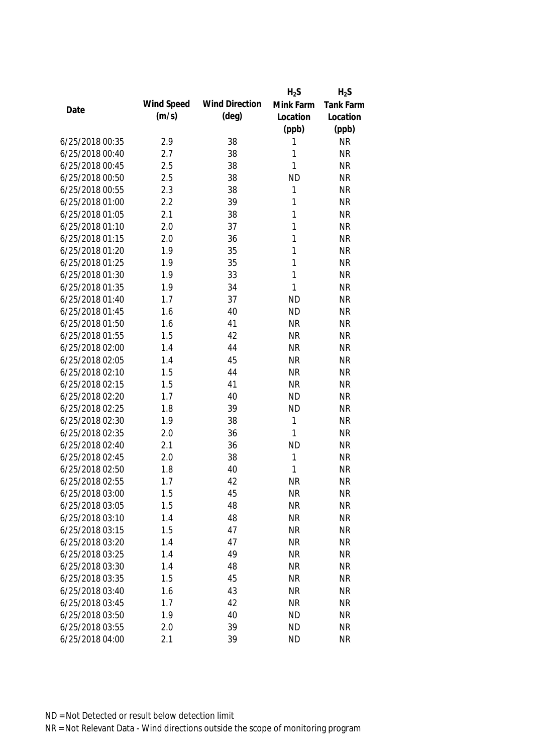|                 |            |                       | $H_2S$    | $H_2S$           |
|-----------------|------------|-----------------------|-----------|------------------|
|                 | Wind Speed | <b>Wind Direction</b> | Mink Farm | <b>Tank Farm</b> |
| Date            | (m/s)      | $(\text{deg})$        | Location  | Location         |
|                 |            |                       | (ppb)     | (ppb)            |
| 6/25/2018 00:35 | 2.9        | 38                    | 1         | <b>NR</b>        |
| 6/25/2018 00:40 | 2.7        | 38                    | 1         | <b>NR</b>        |
| 6/25/2018 00:45 | 2.5        | 38                    | 1         | <b>NR</b>        |
| 6/25/2018 00:50 | 2.5        | 38                    | <b>ND</b> | <b>NR</b>        |
| 6/25/2018 00:55 | 2.3        | 38                    | 1         | <b>NR</b>        |
| 6/25/2018 01:00 | 2.2        | 39                    | 1         | <b>NR</b>        |
| 6/25/2018 01:05 | 2.1        | 38                    | 1         | <b>NR</b>        |
| 6/25/2018 01:10 | 2.0        | 37                    | 1         | <b>NR</b>        |
| 6/25/2018 01:15 | 2.0        | 36                    | 1         | <b>NR</b>        |
| 6/25/2018 01:20 | 1.9        | 35                    | 1         | <b>NR</b>        |
| 6/25/2018 01:25 | 1.9        | 35                    | 1         | <b>NR</b>        |
| 6/25/2018 01:30 | 1.9        | 33                    | 1         | <b>NR</b>        |
| 6/25/2018 01:35 | 1.9        | 34                    | 1         | <b>NR</b>        |
| 6/25/2018 01:40 | 1.7        | 37                    | <b>ND</b> | <b>NR</b>        |
| 6/25/2018 01:45 | 1.6        | 40                    | <b>ND</b> | <b>NR</b>        |
| 6/25/2018 01:50 | 1.6        | 41                    | <b>NR</b> | <b>NR</b>        |
| 6/25/2018 01:55 | 1.5        | 42                    | <b>NR</b> | <b>NR</b>        |
| 6/25/2018 02:00 | 1.4        | 44                    | <b>NR</b> | <b>NR</b>        |
| 6/25/2018 02:05 | 1.4        | 45                    | <b>NR</b> | <b>NR</b>        |
| 6/25/2018 02:10 | 1.5        | 44                    | <b>NR</b> | <b>NR</b>        |
| 6/25/2018 02:15 | 1.5        | 41                    | <b>NR</b> | <b>NR</b>        |
| 6/25/2018 02:20 | 1.7        | 40                    | <b>ND</b> | <b>NR</b>        |
| 6/25/2018 02:25 | 1.8        | 39                    | <b>ND</b> | <b>NR</b>        |
| 6/25/2018 02:30 | 1.9        | 38                    | 1         | <b>NR</b>        |
| 6/25/2018 02:35 | 2.0        | 36                    | 1         | <b>NR</b>        |
| 6/25/2018 02:40 | 2.1        | 36                    | <b>ND</b> | <b>NR</b>        |
| 6/25/2018 02:45 | 2.0        | 38                    | 1         | <b>NR</b>        |
| 6/25/2018 02:50 | 1.8        | 40                    | 1         | <b>NR</b>        |
| 6/25/2018 02:55 | 1.7        | 42                    | <b>NR</b> | <b>NR</b>        |
| 6/25/2018 03:00 | 1.5        | 45                    | <b>NR</b> | <b>NR</b>        |
| 6/25/2018 03:05 | 1.5        | 48                    | <b>NR</b> | <b>NR</b>        |
| 6/25/2018 03:10 | 1.4        | 48                    | <b>NR</b> | <b>NR</b>        |
| 6/25/2018 03:15 | 1.5        | 47                    | <b>NR</b> | <b>NR</b>        |
| 6/25/2018 03:20 | 1.4        | 47                    | <b>NR</b> | <b>NR</b>        |
| 6/25/2018 03:25 | 1.4        | 49                    | <b>NR</b> | <b>NR</b>        |
| 6/25/2018 03:30 | 1.4        | 48                    | <b>NR</b> | <b>NR</b>        |
| 6/25/2018 03:35 | 1.5        | 45                    | <b>NR</b> | <b>NR</b>        |
| 6/25/2018 03:40 | 1.6        | 43                    | <b>NR</b> | <b>NR</b>        |
| 6/25/2018 03:45 | 1.7        | 42                    | <b>NR</b> | <b>NR</b>        |
| 6/25/2018 03:50 | 1.9        | 40                    | <b>ND</b> | <b>NR</b>        |
| 6/25/2018 03:55 | 2.0        | 39                    | <b>ND</b> | <b>NR</b>        |
| 6/25/2018 04:00 | 2.1        | 39                    | <b>ND</b> | <b>NR</b>        |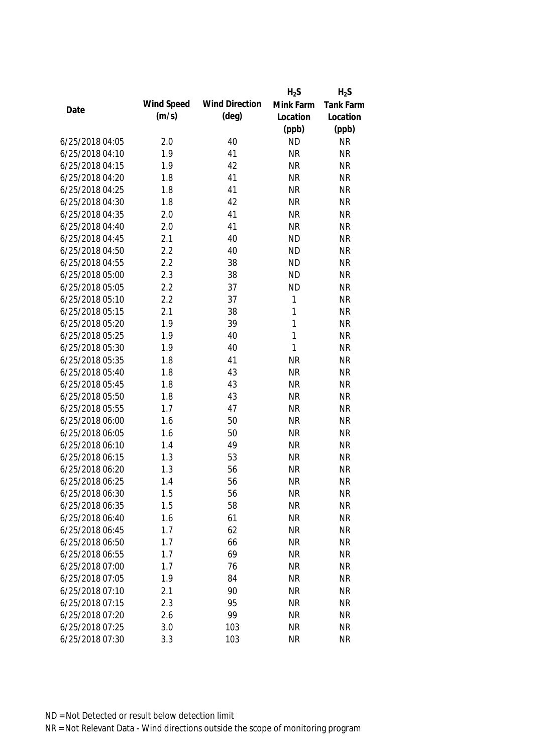|                 |            |                       | $H_2S$       | $H_2S$           |
|-----------------|------------|-----------------------|--------------|------------------|
|                 | Wind Speed | <b>Wind Direction</b> | Mink Farm    | <b>Tank Farm</b> |
| Date            | (m/s)      | $(\text{deg})$        | Location     | Location         |
|                 |            |                       | (ppb)        | (ppb)            |
| 6/25/2018 04:05 | 2.0        | 40                    | <b>ND</b>    | <b>NR</b>        |
| 6/25/2018 04:10 | 1.9        | 41                    | <b>NR</b>    | <b>NR</b>        |
| 6/25/2018 04:15 | 1.9        | 42                    | <b>NR</b>    | <b>NR</b>        |
| 6/25/2018 04:20 | 1.8        | 41                    | <b>NR</b>    | <b>NR</b>        |
| 6/25/2018 04:25 | 1.8        | 41                    | <b>NR</b>    | <b>NR</b>        |
| 6/25/2018 04:30 | 1.8        | 42                    | <b>NR</b>    | <b>NR</b>        |
| 6/25/2018 04:35 | 2.0        | 41                    | <b>NR</b>    | <b>NR</b>        |
| 6/25/2018 04:40 | 2.0        | 41                    | <b>NR</b>    | <b>NR</b>        |
| 6/25/2018 04:45 | 2.1        | 40                    | <b>ND</b>    | <b>NR</b>        |
| 6/25/2018 04:50 | 2.2        | 40                    | <b>ND</b>    | <b>NR</b>        |
| 6/25/2018 04:55 | 2.2        | 38                    | <b>ND</b>    | <b>NR</b>        |
| 6/25/2018 05:00 | 2.3        | 38                    | <b>ND</b>    | <b>NR</b>        |
| 6/25/2018 05:05 | 2.2        | 37                    | <b>ND</b>    | <b>NR</b>        |
| 6/25/2018 05:10 | 2.2        | 37                    | $\mathbf{1}$ | <b>NR</b>        |
| 6/25/2018 05:15 | 2.1        | 38                    | 1            | <b>NR</b>        |
| 6/25/2018 05:20 | 1.9        | 39                    | $\mathbf{1}$ | <b>NR</b>        |
| 6/25/2018 05:25 | 1.9        | 40                    | 1            | <b>NR</b>        |
| 6/25/2018 05:30 | 1.9        | 40                    | 1            | <b>NR</b>        |
| 6/25/2018 05:35 | 1.8        | 41                    | <b>NR</b>    | <b>NR</b>        |
| 6/25/2018 05:40 | 1.8        | 43                    | <b>NR</b>    | <b>NR</b>        |
| 6/25/2018 05:45 | 1.8        | 43                    | <b>NR</b>    | <b>NR</b>        |
| 6/25/2018 05:50 | 1.8        | 43                    | <b>NR</b>    | <b>NR</b>        |
| 6/25/2018 05:55 | 1.7        | 47                    | <b>NR</b>    | <b>NR</b>        |
| 6/25/2018 06:00 | 1.6        | 50                    | <b>NR</b>    | <b>NR</b>        |
| 6/25/2018 06:05 | 1.6        | 50                    | <b>NR</b>    | <b>NR</b>        |
| 6/25/2018 06:10 | 1.4        | 49                    | <b>NR</b>    | <b>NR</b>        |
| 6/25/2018 06:15 | 1.3        | 53                    | <b>NR</b>    | <b>NR</b>        |
| 6/25/2018 06:20 | 1.3        | 56                    | <b>NR</b>    | <b>NR</b>        |
| 6/25/2018 06:25 | 1.4        | 56                    | <b>NR</b>    | <b>NR</b>        |
| 6/25/2018 06:30 | 1.5        | 56                    | <b>NR</b>    | <b>NR</b>        |
| 6/25/2018 06:35 | 1.5        | 58                    | <b>NR</b>    | <b>NR</b>        |
| 6/25/2018 06:40 | 1.6        | 61                    | <b>NR</b>    | <b>NR</b>        |
| 6/25/2018 06:45 | 1.7        | 62                    | <b>NR</b>    | <b>NR</b>        |
| 6/25/2018 06:50 | 1.7        | 66                    | <b>NR</b>    | <b>NR</b>        |
| 6/25/2018 06:55 | 1.7        | 69                    | <b>NR</b>    | <b>NR</b>        |
| 6/25/2018 07:00 | 1.7        | 76                    | <b>NR</b>    | <b>NR</b>        |
| 6/25/2018 07:05 | 1.9        | 84                    | <b>NR</b>    | <b>NR</b>        |
| 6/25/2018 07:10 | 2.1        | 90                    | <b>NR</b>    | <b>NR</b>        |
| 6/25/2018 07:15 | 2.3        | 95                    | <b>NR</b>    | <b>NR</b>        |
| 6/25/2018 07:20 | 2.6        | 99                    | <b>NR</b>    | <b>NR</b>        |
| 6/25/2018 07:25 | 3.0        | 103                   | <b>NR</b>    | <b>NR</b>        |
| 6/25/2018 07:30 | 3.3        | 103                   | <b>NR</b>    | <b>NR</b>        |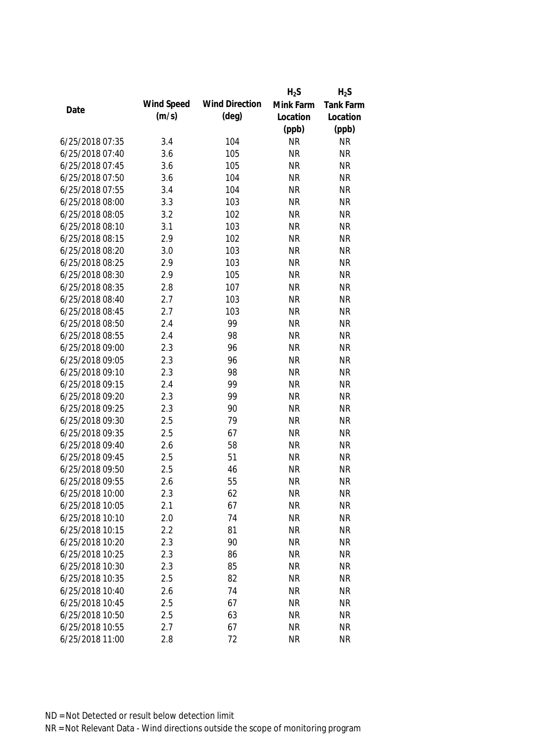|                 |            |                       | $H_2S$    | $H_2S$           |
|-----------------|------------|-----------------------|-----------|------------------|
|                 | Wind Speed | <b>Wind Direction</b> | Mink Farm | <b>Tank Farm</b> |
| Date            | (m/s)      | $(\text{deg})$        | Location  | Location         |
|                 |            |                       | (ppb)     | (ppb)            |
| 6/25/2018 07:35 | 3.4        | 104                   | <b>NR</b> | <b>NR</b>        |
| 6/25/2018 07:40 | 3.6        | 105                   | <b>NR</b> | <b>NR</b>        |
| 6/25/2018 07:45 | 3.6        | 105                   | <b>NR</b> | <b>NR</b>        |
| 6/25/2018 07:50 | 3.6        | 104                   | <b>NR</b> | <b>NR</b>        |
| 6/25/2018 07:55 | 3.4        | 104                   | <b>NR</b> | <b>NR</b>        |
| 6/25/2018 08:00 | 3.3        | 103                   | <b>NR</b> | <b>NR</b>        |
| 6/25/2018 08:05 | 3.2        | 102                   | <b>NR</b> | <b>NR</b>        |
| 6/25/2018 08:10 | 3.1        | 103                   | <b>NR</b> | <b>NR</b>        |
| 6/25/2018 08:15 | 2.9        | 102                   | <b>NR</b> | <b>NR</b>        |
| 6/25/2018 08:20 | 3.0        | 103                   | <b>NR</b> | <b>NR</b>        |
| 6/25/2018 08:25 | 2.9        | 103                   | <b>NR</b> | <b>NR</b>        |
| 6/25/2018 08:30 | 2.9        | 105                   | <b>NR</b> | <b>NR</b>        |
| 6/25/2018 08:35 | 2.8        | 107                   | <b>NR</b> | <b>NR</b>        |
| 6/25/2018 08:40 | 2.7        | 103                   | <b>NR</b> | <b>NR</b>        |
| 6/25/2018 08:45 | 2.7        | 103                   | <b>NR</b> | <b>NR</b>        |
| 6/25/2018 08:50 | 2.4        | 99                    | <b>NR</b> | <b>NR</b>        |
| 6/25/2018 08:55 | 2.4        | 98                    | <b>NR</b> | <b>NR</b>        |
| 6/25/2018 09:00 | 2.3        | 96                    | <b>NR</b> | <b>NR</b>        |
| 6/25/2018 09:05 | 2.3        | 96                    | <b>NR</b> | <b>NR</b>        |
| 6/25/2018 09:10 | 2.3        | 98                    | <b>NR</b> | <b>NR</b>        |
| 6/25/2018 09:15 | 2.4        | 99                    | <b>NR</b> | <b>NR</b>        |
| 6/25/2018 09:20 | 2.3        | 99                    | <b>NR</b> | <b>NR</b>        |
| 6/25/2018 09:25 | 2.3        | 90                    | <b>NR</b> | <b>NR</b>        |
| 6/25/2018 09:30 | 2.5        | 79                    | <b>NR</b> | <b>NR</b>        |
| 6/25/2018 09:35 | 2.5        | 67                    | <b>NR</b> | <b>NR</b>        |
| 6/25/2018 09:40 | 2.6        | 58                    | <b>NR</b> | <b>NR</b>        |
| 6/25/2018 09:45 | 2.5        | 51                    | <b>NR</b> | <b>NR</b>        |
| 6/25/2018 09:50 | 2.5        | 46                    | <b>NR</b> | <b>NR</b>        |
| 6/25/2018 09:55 | 2.6        | 55                    | <b>NR</b> | <b>NR</b>        |
| 6/25/2018 10:00 | 2.3        | 62                    | <b>NR</b> | <b>NR</b>        |
| 6/25/2018 10:05 | 2.1        | 67                    | <b>NR</b> | <b>NR</b>        |
| 6/25/2018 10:10 | 2.0        | 74                    | <b>NR</b> | <b>NR</b>        |
| 6/25/2018 10:15 | 2.2        | 81                    | <b>NR</b> | <b>NR</b>        |
| 6/25/2018 10:20 | 2.3        | 90                    | <b>NR</b> | <b>NR</b>        |
| 6/25/2018 10:25 | 2.3        | 86                    | <b>NR</b> | <b>NR</b>        |
| 6/25/2018 10:30 | 2.3        | 85                    | <b>NR</b> | <b>NR</b>        |
| 6/25/2018 10:35 | 2.5        | 82                    | <b>NR</b> | <b>NR</b>        |
| 6/25/2018 10:40 | 2.6        | 74                    | <b>NR</b> | <b>NR</b>        |
| 6/25/2018 10:45 | 2.5        | 67                    | <b>NR</b> | <b>NR</b>        |
| 6/25/2018 10:50 | 2.5        | 63                    | <b>NR</b> | <b>NR</b>        |
| 6/25/2018 10:55 | 2.7        | 67                    | <b>NR</b> | <b>NR</b>        |
| 6/25/2018 11:00 | 2.8        | 72                    | <b>NR</b> | <b>NR</b>        |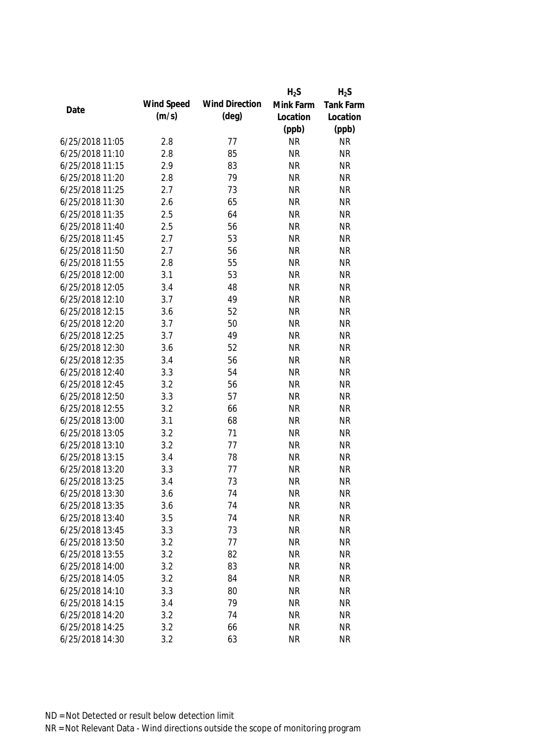|                 |            |                       | $H_2S$    | $H_2S$           |
|-----------------|------------|-----------------------|-----------|------------------|
|                 | Wind Speed | <b>Wind Direction</b> | Mink Farm | <b>Tank Farm</b> |
| Date            | (m/s)      | $(\text{deg})$        | Location  | Location         |
|                 |            |                       | (ppb)     | (ppb)            |
| 6/25/2018 11:05 | 2.8        | 77                    | <b>NR</b> | <b>NR</b>        |
| 6/25/2018 11:10 | 2.8        | 85                    | <b>NR</b> | <b>NR</b>        |
| 6/25/2018 11:15 | 2.9        | 83                    | <b>NR</b> | <b>NR</b>        |
| 6/25/2018 11:20 | 2.8        | 79                    | <b>NR</b> | <b>NR</b>        |
| 6/25/2018 11:25 | 2.7        | 73                    | <b>NR</b> | <b>NR</b>        |
| 6/25/2018 11:30 | 2.6        | 65                    | <b>NR</b> | <b>NR</b>        |
| 6/25/2018 11:35 | 2.5        | 64                    | <b>NR</b> | <b>NR</b>        |
| 6/25/2018 11:40 | 2.5        | 56                    | <b>NR</b> | <b>NR</b>        |
| 6/25/2018 11:45 | 2.7        | 53                    | <b>NR</b> | <b>NR</b>        |
| 6/25/2018 11:50 | 2.7        | 56                    | <b>NR</b> | <b>NR</b>        |
| 6/25/2018 11:55 | 2.8        | 55                    | <b>NR</b> | <b>NR</b>        |
| 6/25/2018 12:00 | 3.1        | 53                    | <b>NR</b> | <b>NR</b>        |
| 6/25/2018 12:05 | 3.4        | 48                    | <b>NR</b> | <b>NR</b>        |
| 6/25/2018 12:10 | 3.7        | 49                    | <b>NR</b> | <b>NR</b>        |
| 6/25/2018 12:15 | 3.6        | 52                    | <b>NR</b> | <b>NR</b>        |
| 6/25/2018 12:20 | 3.7        | 50                    | <b>NR</b> | <b>NR</b>        |
| 6/25/2018 12:25 | 3.7        | 49                    | <b>NR</b> | <b>NR</b>        |
| 6/25/2018 12:30 | 3.6        | 52                    | <b>NR</b> | <b>NR</b>        |
| 6/25/2018 12:35 | 3.4        | 56                    | <b>NR</b> | <b>NR</b>        |
| 6/25/2018 12:40 | 3.3        | 54                    | <b>NR</b> | <b>NR</b>        |
| 6/25/2018 12:45 | 3.2        | 56                    | <b>NR</b> | <b>NR</b>        |
| 6/25/2018 12:50 | 3.3        | 57                    | <b>NR</b> | <b>NR</b>        |
| 6/25/2018 12:55 | 3.2        | 66                    | <b>NR</b> | <b>NR</b>        |
| 6/25/2018 13:00 | 3.1        | 68                    | <b>NR</b> | <b>NR</b>        |
| 6/25/2018 13:05 | 3.2        | 71                    | <b>NR</b> | <b>NR</b>        |
| 6/25/2018 13:10 | 3.2        | 77                    | <b>NR</b> | <b>NR</b>        |
| 6/25/2018 13:15 | 3.4        | 78                    | <b>NR</b> | <b>NR</b>        |
| 6/25/2018 13:20 | 3.3        | 77                    | <b>NR</b> | <b>NR</b>        |
| 6/25/2018 13:25 | 3.4        | 73                    | <b>NR</b> | <b>NR</b>        |
| 6/25/2018 13:30 | 3.6        | 74                    | <b>NR</b> | <b>NR</b>        |
| 6/25/2018 13:35 | 3.6        | 74                    | <b>NR</b> | <b>NR</b>        |
| 6/25/2018 13:40 | 3.5        | 74                    | <b>NR</b> | <b>NR</b>        |
| 6/25/2018 13:45 | 3.3        | 73                    | <b>NR</b> | <b>NR</b>        |
| 6/25/2018 13:50 | 3.2        | 77                    | <b>NR</b> | <b>NR</b>        |
| 6/25/2018 13:55 | 3.2        | 82                    | <b>NR</b> | <b>NR</b>        |
| 6/25/2018 14:00 | 3.2        | 83                    | <b>NR</b> | <b>NR</b>        |
| 6/25/2018 14:05 | 3.2        | 84                    | <b>NR</b> | <b>NR</b>        |
| 6/25/2018 14:10 | 3.3        | 80                    | <b>NR</b> | <b>NR</b>        |
| 6/25/2018 14:15 | 3.4        | 79                    | <b>NR</b> | <b>NR</b>        |
| 6/25/2018 14:20 | 3.2        | 74                    | <b>NR</b> | <b>NR</b>        |
| 6/25/2018 14:25 | 3.2        | 66                    | <b>NR</b> | <b>NR</b>        |
| 6/25/2018 14:30 | 3.2        | 63                    | <b>NR</b> | <b>NR</b>        |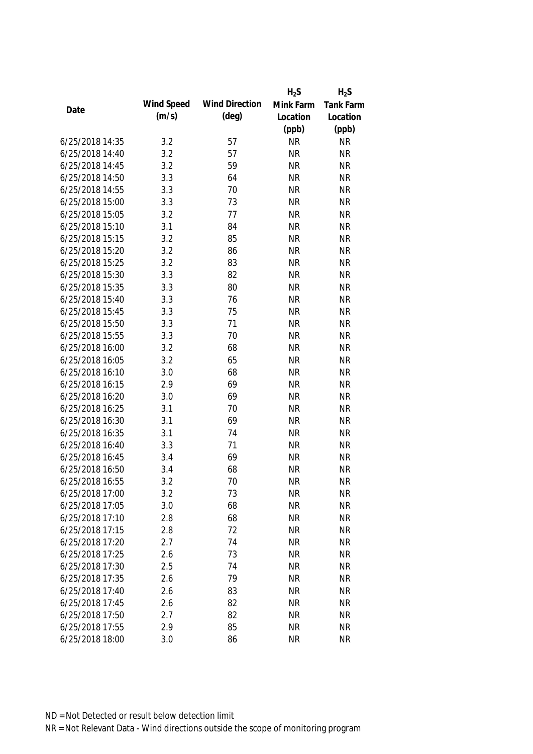|                 |            |                       | $H_2S$    | $H_2S$           |
|-----------------|------------|-----------------------|-----------|------------------|
|                 | Wind Speed | <b>Wind Direction</b> | Mink Farm | <b>Tank Farm</b> |
| Date            | (m/s)      | $(\text{deg})$        | Location  | Location         |
|                 |            |                       | (ppb)     | (ppb)            |
| 6/25/2018 14:35 | 3.2        | 57                    | <b>NR</b> | <b>NR</b>        |
| 6/25/2018 14:40 | 3.2        | 57                    | <b>NR</b> | <b>NR</b>        |
| 6/25/2018 14:45 | 3.2        | 59                    | <b>NR</b> | <b>NR</b>        |
| 6/25/2018 14:50 | 3.3        | 64                    | <b>NR</b> | <b>NR</b>        |
| 6/25/2018 14:55 | 3.3        | 70                    | <b>NR</b> | <b>NR</b>        |
| 6/25/2018 15:00 | 3.3        | 73                    | <b>NR</b> | <b>NR</b>        |
| 6/25/2018 15:05 | 3.2        | 77                    | <b>NR</b> | <b>NR</b>        |
| 6/25/2018 15:10 | 3.1        | 84                    | <b>NR</b> | <b>NR</b>        |
| 6/25/2018 15:15 | 3.2        | 85                    | <b>NR</b> | <b>NR</b>        |
| 6/25/2018 15:20 | 3.2        | 86                    | <b>NR</b> | <b>NR</b>        |
| 6/25/2018 15:25 | 3.2        | 83                    | <b>NR</b> | <b>NR</b>        |
| 6/25/2018 15:30 | 3.3        | 82                    | <b>NR</b> | <b>NR</b>        |
| 6/25/2018 15:35 | 3.3        | 80                    | <b>NR</b> | <b>NR</b>        |
| 6/25/2018 15:40 | 3.3        | 76                    | <b>NR</b> | <b>NR</b>        |
| 6/25/2018 15:45 | 3.3        | 75                    | <b>NR</b> | <b>NR</b>        |
| 6/25/2018 15:50 | 3.3        | 71                    | <b>NR</b> | <b>NR</b>        |
| 6/25/2018 15:55 | 3.3        | 70                    | <b>NR</b> | <b>NR</b>        |
| 6/25/2018 16:00 | 3.2        | 68                    | <b>NR</b> | <b>NR</b>        |
| 6/25/2018 16:05 | 3.2        | 65                    | <b>NR</b> | <b>NR</b>        |
| 6/25/2018 16:10 | 3.0        | 68                    | <b>NR</b> | <b>NR</b>        |
| 6/25/2018 16:15 | 2.9        | 69                    | <b>NR</b> | <b>NR</b>        |
| 6/25/2018 16:20 | 3.0        | 69                    | <b>NR</b> | <b>NR</b>        |
| 6/25/2018 16:25 | 3.1        | 70                    | <b>NR</b> | <b>NR</b>        |
| 6/25/2018 16:30 | 3.1        | 69                    | <b>NR</b> | <b>NR</b>        |
| 6/25/2018 16:35 | 3.1        | 74                    | <b>NR</b> | <b>NR</b>        |
| 6/25/2018 16:40 | 3.3        | 71                    | <b>NR</b> | <b>NR</b>        |
| 6/25/2018 16:45 | 3.4        | 69                    | <b>NR</b> | <b>NR</b>        |
| 6/25/2018 16:50 | 3.4        | 68                    | <b>NR</b> | <b>NR</b>        |
| 6/25/2018 16:55 | 3.2        | 70                    | <b>NR</b> | <b>NR</b>        |
| 6/25/2018 17:00 | 3.2        | 73                    | <b>NR</b> | <b>NR</b>        |
| 6/25/2018 17:05 | 3.0        | 68                    | <b>NR</b> | <b>NR</b>        |
| 6/25/2018 17:10 | 2.8        | 68                    | <b>NR</b> | <b>NR</b>        |
| 6/25/2018 17:15 | 2.8        | 72                    | <b>NR</b> | <b>NR</b>        |
| 6/25/2018 17:20 | 2.7        | 74                    | <b>NR</b> | <b>NR</b>        |
| 6/25/2018 17:25 | 2.6        | 73                    | <b>NR</b> | <b>NR</b>        |
| 6/25/2018 17:30 | 2.5        | 74                    | <b>NR</b> | <b>NR</b>        |
| 6/25/2018 17:35 | 2.6        | 79                    | <b>NR</b> | <b>NR</b>        |
| 6/25/2018 17:40 | 2.6        | 83                    | <b>NR</b> | <b>NR</b>        |
| 6/25/2018 17:45 | 2.6        | 82                    | <b>NR</b> | <b>NR</b>        |
| 6/25/2018 17:50 | 2.7        | 82                    | <b>NR</b> | <b>NR</b>        |
| 6/25/2018 17:55 | 2.9        | 85                    | <b>NR</b> | <b>NR</b>        |
| 6/25/2018 18:00 | 3.0        | 86                    | <b>NR</b> | <b>NR</b>        |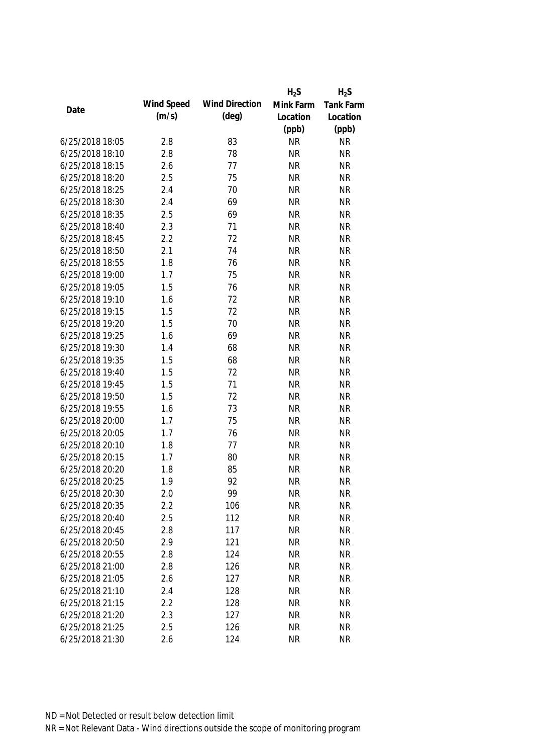|                 |            |                       | $H_2S$    | $H_2S$           |
|-----------------|------------|-----------------------|-----------|------------------|
|                 | Wind Speed | <b>Wind Direction</b> | Mink Farm | <b>Tank Farm</b> |
| Date            | (m/s)      | $(\text{deg})$        | Location  | Location         |
|                 |            |                       | (ppb)     | (ppb)            |
| 6/25/2018 18:05 | 2.8        | 83                    | <b>NR</b> | <b>NR</b>        |
| 6/25/2018 18:10 | 2.8        | 78                    | <b>NR</b> | <b>NR</b>        |
| 6/25/2018 18:15 | 2.6        | 77                    | <b>NR</b> | <b>NR</b>        |
| 6/25/2018 18:20 | 2.5        | 75                    | <b>NR</b> | <b>NR</b>        |
| 6/25/2018 18:25 | 2.4        | 70                    | <b>NR</b> | <b>NR</b>        |
| 6/25/2018 18:30 | 2.4        | 69                    | <b>NR</b> | <b>NR</b>        |
| 6/25/2018 18:35 | 2.5        | 69                    | <b>NR</b> | <b>NR</b>        |
| 6/25/2018 18:40 | 2.3        | 71                    | <b>NR</b> | <b>NR</b>        |
| 6/25/2018 18:45 | 2.2        | 72                    | <b>NR</b> | <b>NR</b>        |
| 6/25/2018 18:50 | 2.1        | 74                    | <b>NR</b> | <b>NR</b>        |
| 6/25/2018 18:55 | 1.8        | 76                    | <b>NR</b> | <b>NR</b>        |
| 6/25/2018 19:00 | 1.7        | 75                    | <b>NR</b> | <b>NR</b>        |
| 6/25/2018 19:05 | 1.5        | 76                    | <b>NR</b> | <b>NR</b>        |
| 6/25/2018 19:10 | 1.6        | 72                    | <b>NR</b> | <b>NR</b>        |
| 6/25/2018 19:15 | 1.5        | 72                    | <b>NR</b> | <b>NR</b>        |
| 6/25/2018 19:20 | 1.5        | 70                    | <b>NR</b> | <b>NR</b>        |
| 6/25/2018 19:25 | 1.6        | 69                    | <b>NR</b> | <b>NR</b>        |
| 6/25/2018 19:30 | 1.4        | 68                    | <b>NR</b> | <b>NR</b>        |
| 6/25/2018 19:35 | 1.5        | 68                    | <b>NR</b> | <b>NR</b>        |
| 6/25/2018 19:40 | 1.5        | 72                    | <b>NR</b> | <b>NR</b>        |
| 6/25/2018 19:45 | 1.5        | 71                    | <b>NR</b> | <b>NR</b>        |
| 6/25/2018 19:50 | 1.5        | 72                    | <b>NR</b> | <b>NR</b>        |
| 6/25/2018 19:55 | 1.6        | 73                    | <b>NR</b> | <b>NR</b>        |
| 6/25/2018 20:00 | 1.7        | 75                    | <b>NR</b> | <b>NR</b>        |
| 6/25/2018 20:05 | 1.7        | 76                    | <b>NR</b> | <b>NR</b>        |
| 6/25/2018 20:10 | 1.8        | 77                    | <b>NR</b> | <b>NR</b>        |
| 6/25/2018 20:15 | 1.7        | 80                    | <b>NR</b> | <b>NR</b>        |
| 6/25/2018 20:20 | 1.8        | 85                    | <b>NR</b> | <b>NR</b>        |
| 6/25/2018 20:25 | 1.9        | 92                    | <b>NR</b> | <b>NR</b>        |
| 6/25/2018 20:30 | 2.0        | 99                    | <b>NR</b> | <b>NR</b>        |
| 6/25/2018 20:35 | 2.2        | 106                   | <b>NR</b> | <b>NR</b>        |
| 6/25/2018 20:40 | 2.5        | 112                   | <b>NR</b> | <b>NR</b>        |
| 6/25/2018 20:45 | 2.8        | 117                   | <b>NR</b> | <b>NR</b>        |
| 6/25/2018 20:50 | 2.9        | 121                   | <b>NR</b> | <b>NR</b>        |
| 6/25/2018 20:55 | 2.8        | 124                   | <b>NR</b> | <b>NR</b>        |
| 6/25/2018 21:00 | 2.8        | 126                   | <b>NR</b> | <b>NR</b>        |
| 6/25/2018 21:05 | 2.6        | 127                   | <b>NR</b> | <b>NR</b>        |
| 6/25/2018 21:10 | 2.4        | 128                   | <b>NR</b> | <b>NR</b>        |
| 6/25/2018 21:15 | 2.2        | 128                   | <b>NR</b> | <b>NR</b>        |
| 6/25/2018 21:20 | 2.3        | 127                   | <b>NR</b> | <b>NR</b>        |
| 6/25/2018 21:25 | 2.5        | 126                   | <b>NR</b> | <b>NR</b>        |
| 6/25/2018 21:30 | 2.6        | 124                   | <b>NR</b> | <b>NR</b>        |
|                 |            |                       |           |                  |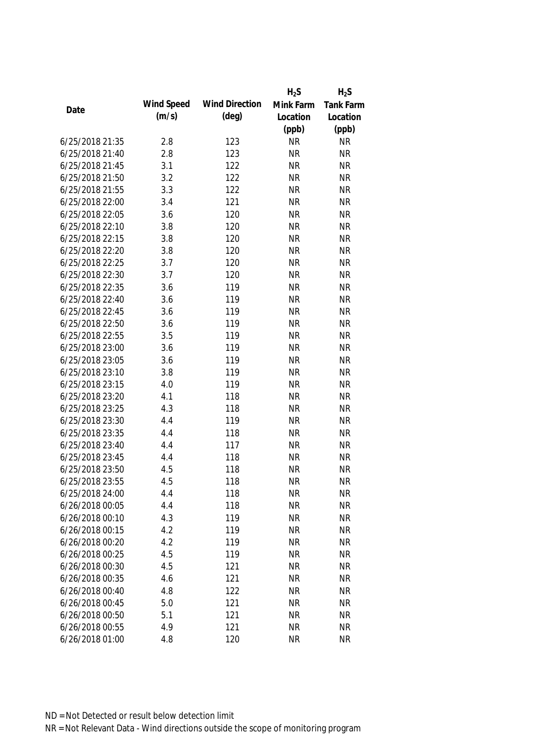|                 |            |                       | $H_2S$    | $H_2S$           |
|-----------------|------------|-----------------------|-----------|------------------|
|                 | Wind Speed | <b>Wind Direction</b> | Mink Farm | <b>Tank Farm</b> |
| Date            | (m/s)      | $(\text{deg})$        | Location  | Location         |
|                 |            |                       | (ppb)     | (ppb)            |
| 6/25/2018 21:35 | 2.8        | 123                   | <b>NR</b> | <b>NR</b>        |
| 6/25/2018 21:40 | 2.8        | 123                   | <b>NR</b> | <b>NR</b>        |
| 6/25/2018 21:45 | 3.1        | 122                   | <b>NR</b> | <b>NR</b>        |
| 6/25/2018 21:50 | 3.2        | 122                   | <b>NR</b> | <b>NR</b>        |
| 6/25/2018 21:55 | 3.3        | 122                   | <b>NR</b> | <b>NR</b>        |
| 6/25/2018 22:00 | 3.4        | 121                   | <b>NR</b> | <b>NR</b>        |
| 6/25/2018 22:05 | 3.6        | 120                   | <b>NR</b> | <b>NR</b>        |
| 6/25/2018 22:10 | 3.8        | 120                   | <b>NR</b> | <b>NR</b>        |
| 6/25/2018 22:15 | 3.8        | 120                   | <b>NR</b> | <b>NR</b>        |
| 6/25/2018 22:20 | 3.8        | 120                   | <b>NR</b> | <b>NR</b>        |
| 6/25/2018 22:25 | 3.7        | 120                   | <b>NR</b> | <b>NR</b>        |
| 6/25/2018 22:30 | 3.7        | 120                   | <b>NR</b> | <b>NR</b>        |
| 6/25/2018 22:35 | 3.6        | 119                   | <b>NR</b> | <b>NR</b>        |
| 6/25/2018 22:40 | 3.6        | 119                   | <b>NR</b> | <b>NR</b>        |
| 6/25/2018 22:45 | 3.6        | 119                   | <b>NR</b> | <b>NR</b>        |
| 6/25/2018 22:50 | 3.6        | 119                   | <b>NR</b> | <b>NR</b>        |
| 6/25/2018 22:55 | 3.5        | 119                   | <b>NR</b> | <b>NR</b>        |
| 6/25/2018 23:00 | 3.6        | 119                   | <b>NR</b> | <b>NR</b>        |
| 6/25/2018 23:05 | 3.6        | 119                   | <b>NR</b> | <b>NR</b>        |
| 6/25/2018 23:10 | 3.8        | 119                   | <b>NR</b> | <b>NR</b>        |
| 6/25/2018 23:15 | 4.0        | 119                   | <b>NR</b> | <b>NR</b>        |
| 6/25/2018 23:20 | 4.1        | 118                   | <b>NR</b> | <b>NR</b>        |
| 6/25/2018 23:25 | 4.3        | 118                   | <b>NR</b> | <b>NR</b>        |
| 6/25/2018 23:30 | 4.4        | 119                   | <b>NR</b> | <b>NR</b>        |
| 6/25/2018 23:35 | 4.4        | 118                   | <b>NR</b> | <b>NR</b>        |
| 6/25/2018 23:40 | 4.4        | 117                   | <b>NR</b> | <b>NR</b>        |
| 6/25/2018 23:45 | 4.4        | 118                   | <b>NR</b> | <b>NR</b>        |
| 6/25/2018 23:50 | 4.5        | 118                   | <b>NR</b> | <b>NR</b>        |
| 6/25/2018 23:55 | 4.5        | 118                   | <b>NR</b> | <b>NR</b>        |
| 6/25/2018 24:00 | 4.4        | 118                   | <b>NR</b> | <b>NR</b>        |
| 6/26/2018 00:05 | 4.4        | 118                   | <b>NR</b> | <b>NR</b>        |
| 6/26/2018 00:10 | 4.3        | 119                   | <b>NR</b> | <b>NR</b>        |
| 6/26/2018 00:15 | 4.2        | 119                   | <b>NR</b> | <b>NR</b>        |
| 6/26/2018 00:20 | 4.2        | 119                   | <b>NR</b> | <b>NR</b>        |
| 6/26/2018 00:25 | 4.5        | 119                   | <b>NR</b> | <b>NR</b>        |
| 6/26/2018 00:30 | 4.5        | 121                   | <b>NR</b> | <b>NR</b>        |
| 6/26/2018 00:35 | 4.6        | 121                   | <b>NR</b> | <b>NR</b>        |
| 6/26/2018 00:40 | 4.8        | 122                   | <b>NR</b> | <b>NR</b>        |
| 6/26/2018 00:45 | 5.0        | 121                   | <b>NR</b> | <b>NR</b>        |
| 6/26/2018 00:50 | 5.1        | 121                   | <b>NR</b> | <b>NR</b>        |
| 6/26/2018 00:55 | 4.9        | 121                   | <b>NR</b> | <b>NR</b>        |
| 6/26/2018 01:00 | 4.8        | 120                   | <b>NR</b> | <b>NR</b>        |
|                 |            |                       |           |                  |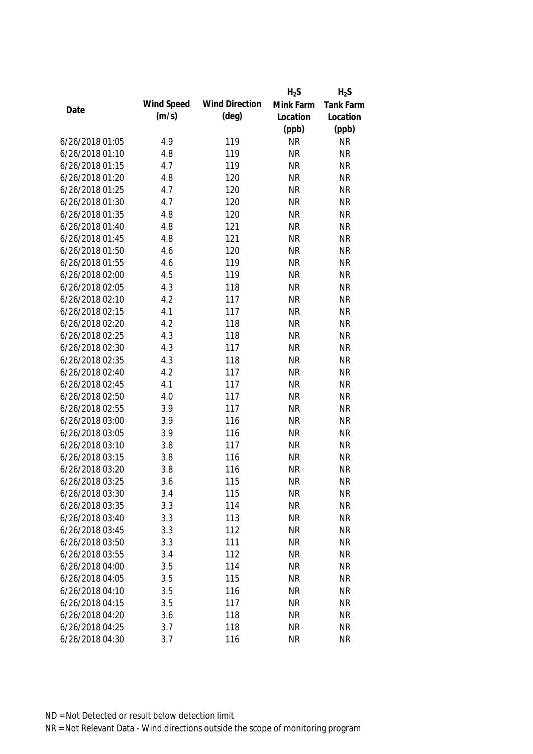|                 |            |                       | $H_2S$    | $H_2S$           |
|-----------------|------------|-----------------------|-----------|------------------|
|                 | Wind Speed | <b>Wind Direction</b> | Mink Farm | <b>Tank Farm</b> |
| Date            | (m/s)      | $(\text{deg})$        | Location  | Location         |
|                 |            |                       | (ppb)     | (ppb)            |
| 6/26/2018 01:05 | 4.9        | 119                   | <b>NR</b> | <b>NR</b>        |
| 6/26/2018 01:10 | 4.8        | 119                   | <b>NR</b> | <b>NR</b>        |
| 6/26/2018 01:15 | 4.7        | 119                   | <b>NR</b> | <b>NR</b>        |
| 6/26/2018 01:20 | 4.8        | 120                   | <b>NR</b> | <b>NR</b>        |
| 6/26/2018 01:25 | 4.7        | 120                   | <b>NR</b> | <b>NR</b>        |
| 6/26/2018 01:30 | 4.7        | 120                   | <b>NR</b> | <b>NR</b>        |
| 6/26/2018 01:35 | 4.8        | 120                   | <b>NR</b> | <b>NR</b>        |
| 6/26/2018 01:40 | 4.8        | 121                   | <b>NR</b> | <b>NR</b>        |
| 6/26/2018 01:45 | 4.8        | 121                   | <b>NR</b> | <b>NR</b>        |
| 6/26/2018 01:50 | 4.6        | 120                   | <b>NR</b> | <b>NR</b>        |
| 6/26/2018 01:55 | 4.6        | 119                   | <b>NR</b> | <b>NR</b>        |
| 6/26/2018 02:00 | 4.5        | 119                   | <b>NR</b> | <b>NR</b>        |
| 6/26/2018 02:05 | 4.3        | 118                   | <b>NR</b> | <b>NR</b>        |
| 6/26/2018 02:10 | 4.2        | 117                   | <b>NR</b> | <b>NR</b>        |
| 6/26/2018 02:15 | 4.1        | 117                   | <b>NR</b> | <b>NR</b>        |
| 6/26/2018 02:20 | 4.2        | 118                   | <b>NR</b> | <b>NR</b>        |
| 6/26/2018 02:25 | 4.3        | 118                   | <b>NR</b> | <b>NR</b>        |
| 6/26/2018 02:30 | 4.3        | 117                   | <b>NR</b> | <b>NR</b>        |
| 6/26/2018 02:35 | 4.3        | 118                   | <b>NR</b> | <b>NR</b>        |
| 6/26/2018 02:40 | 4.2        | 117                   | <b>NR</b> | <b>NR</b>        |
| 6/26/2018 02:45 | 4.1        | 117                   | <b>NR</b> | <b>NR</b>        |
| 6/26/2018 02:50 | 4.0        | 117                   | <b>NR</b> | <b>NR</b>        |
| 6/26/2018 02:55 | 3.9        | 117                   | <b>NR</b> | <b>NR</b>        |
| 6/26/2018 03:00 | 3.9        | 116                   | <b>NR</b> | <b>NR</b>        |
| 6/26/2018 03:05 | 3.9        | 116                   | <b>NR</b> | <b>NR</b>        |
| 6/26/2018 03:10 | 3.8        | 117                   | <b>NR</b> | <b>NR</b>        |
| 6/26/2018 03:15 | 3.8        | 116                   | <b>NR</b> | <b>NR</b>        |
| 6/26/2018 03:20 | 3.8        | 116                   | <b>NR</b> | <b>NR</b>        |
| 6/26/2018 03:25 | 3.6        | 115                   | <b>NR</b> | <b>NR</b>        |
| 6/26/2018 03:30 | 3.4        | 115                   | <b>NR</b> | <b>NR</b>        |
| 6/26/2018 03:35 | 3.3        | 114                   | <b>NR</b> | <b>NR</b>        |
| 6/26/2018 03:40 | 3.3        | 113                   | <b>NR</b> | <b>NR</b>        |
| 6/26/2018 03:45 | 3.3        | 112                   | <b>NR</b> | <b>NR</b>        |
| 6/26/2018 03:50 | 3.3        | 111                   | <b>NR</b> | <b>NR</b>        |
| 6/26/2018 03:55 | 3.4        | 112                   | <b>NR</b> | <b>NR</b>        |
| 6/26/2018 04:00 | 3.5        | 114                   | <b>NR</b> | <b>NR</b>        |
| 6/26/2018 04:05 | 3.5        | 115                   | <b>NR</b> | <b>NR</b>        |
| 6/26/2018 04:10 | 3.5        | 116                   | <b>NR</b> | <b>NR</b>        |
| 6/26/2018 04:15 | 3.5        | 117                   | <b>NR</b> | <b>NR</b>        |
| 6/26/2018 04:20 | 3.6        | 118                   | <b>NR</b> | <b>NR</b>        |
| 6/26/2018 04:25 | 3.7        | 118                   | <b>NR</b> | <b>NR</b>        |
| 6/26/2018 04:30 | 3.7        | 116                   | <b>NR</b> | NR               |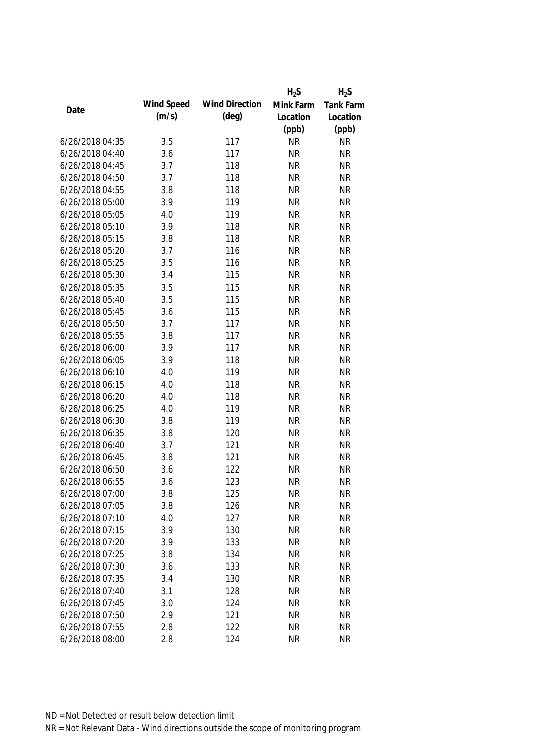|                 |            |                       | $H_2S$    | $H_2S$           |
|-----------------|------------|-----------------------|-----------|------------------|
| Date            | Wind Speed | <b>Wind Direction</b> | Mink Farm | <b>Tank Farm</b> |
|                 | (m/s)      | $(\text{deg})$        | Location  | Location         |
|                 |            |                       | (ppb)     | (ppb)            |
| 6/26/2018 04:35 | 3.5        | 117                   | <b>NR</b> | <b>NR</b>        |
| 6/26/2018 04:40 | 3.6        | 117                   | <b>NR</b> | <b>NR</b>        |
| 6/26/2018 04:45 | 3.7        | 118                   | <b>NR</b> | <b>NR</b>        |
| 6/26/2018 04:50 | 3.7        | 118                   | <b>NR</b> | <b>NR</b>        |
| 6/26/2018 04:55 | 3.8        | 118                   | <b>NR</b> | <b>NR</b>        |
| 6/26/2018 05:00 | 3.9        | 119                   | <b>NR</b> | <b>NR</b>        |
| 6/26/2018 05:05 | 4.0        | 119                   | <b>NR</b> | <b>NR</b>        |
| 6/26/2018 05:10 | 3.9        | 118                   | <b>NR</b> | <b>NR</b>        |
| 6/26/2018 05:15 | 3.8        | 118                   | <b>NR</b> | <b>NR</b>        |
| 6/26/2018 05:20 | 3.7        | 116                   | <b>NR</b> | <b>NR</b>        |
| 6/26/2018 05:25 | 3.5        | 116                   | <b>NR</b> | <b>NR</b>        |
| 6/26/2018 05:30 | 3.4        | 115                   | <b>NR</b> | <b>NR</b>        |
| 6/26/2018 05:35 | 3.5        | 115                   | <b>NR</b> | <b>NR</b>        |
| 6/26/2018 05:40 | 3.5        | 115                   | <b>NR</b> | <b>NR</b>        |
| 6/26/2018 05:45 | 3.6        | 115                   | <b>NR</b> | <b>NR</b>        |
| 6/26/2018 05:50 | 3.7        | 117                   | <b>NR</b> | <b>NR</b>        |
| 6/26/2018 05:55 | 3.8        | 117                   | <b>NR</b> | <b>NR</b>        |
| 6/26/2018 06:00 | 3.9        | 117                   | <b>NR</b> | <b>NR</b>        |
| 6/26/2018 06:05 | 3.9        | 118                   | <b>NR</b> | <b>NR</b>        |
| 6/26/2018 06:10 | 4.0        | 119                   | <b>NR</b> | <b>NR</b>        |
| 6/26/2018 06:15 | 4.0        | 118                   | <b>NR</b> | <b>NR</b>        |
| 6/26/2018 06:20 | 4.0        | 118                   | <b>NR</b> | <b>NR</b>        |
| 6/26/2018 06:25 | 4.0        | 119                   | <b>NR</b> | <b>NR</b>        |
| 6/26/2018 06:30 | 3.8        | 119                   | <b>NR</b> | <b>NR</b>        |
| 6/26/2018 06:35 | 3.8        | 120                   | <b>NR</b> | <b>NR</b>        |
| 6/26/2018 06:40 | 3.7        | 121                   | <b>NR</b> | <b>NR</b>        |
| 6/26/2018 06:45 | 3.8        | 121                   | <b>NR</b> | <b>NR</b>        |
| 6/26/2018 06:50 | 3.6        | 122                   | <b>NR</b> | <b>NR</b>        |
| 6/26/2018 06:55 | 3.6        | 123                   | <b>NR</b> | <b>NR</b>        |
| 6/26/2018 07:00 | 3.8        | 125                   | <b>NR</b> | <b>NR</b>        |
| 6/26/2018 07:05 | 3.8        | 126                   | <b>NR</b> | <b>NR</b>        |
| 6/26/2018 07:10 | 4.0        | 127                   | <b>NR</b> | <b>NR</b>        |
| 6/26/2018 07:15 | 3.9        | 130                   | <b>NR</b> | <b>NR</b>        |
| 6/26/2018 07:20 | 3.9        | 133                   | <b>NR</b> | <b>NR</b>        |
| 6/26/2018 07:25 | 3.8        | 134                   | <b>NR</b> | <b>NR</b>        |
| 6/26/2018 07:30 | 3.6        | 133                   | <b>NR</b> | <b>NR</b>        |
| 6/26/2018 07:35 | 3.4        | 130                   | <b>NR</b> | <b>NR</b>        |
| 6/26/2018 07:40 | 3.1        | 128                   | <b>NR</b> | <b>NR</b>        |
| 6/26/2018 07:45 | 3.0        | 124                   | <b>NR</b> | <b>NR</b>        |
| 6/26/2018 07:50 | 2.9        | 121                   | <b>NR</b> | <b>NR</b>        |
| 6/26/2018 07:55 | 2.8        | 122                   | <b>NR</b> | <b>NR</b>        |
| 6/26/2018 08:00 | 2.8        | 124                   | <b>NR</b> | <b>NR</b>        |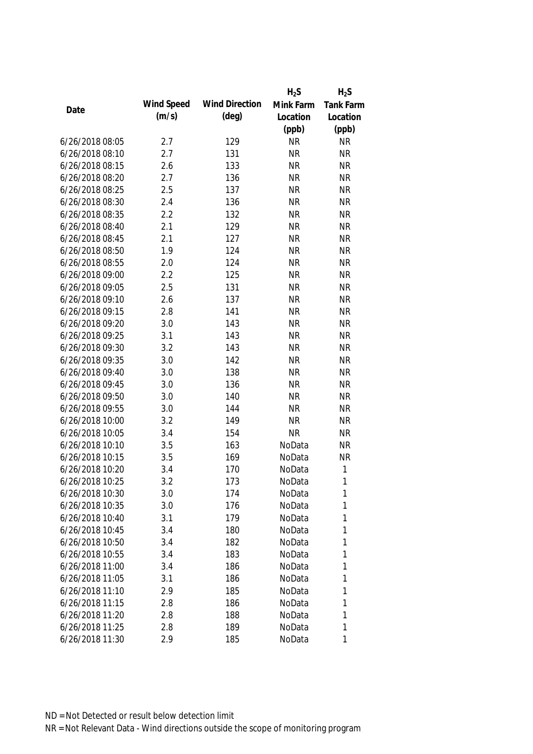|                 |            |                       | $H_2S$    | $H_2S$           |
|-----------------|------------|-----------------------|-----------|------------------|
| Date            | Wind Speed | <b>Wind Direction</b> | Mink Farm | <b>Tank Farm</b> |
|                 | (m/s)      | $(\text{deg})$        | Location  | Location         |
|                 |            |                       | (ppb)     | (ppb)            |
| 6/26/2018 08:05 | 2.7        | 129                   | <b>NR</b> | <b>NR</b>        |
| 6/26/2018 08:10 | 2.7        | 131                   | <b>NR</b> | <b>NR</b>        |
| 6/26/2018 08:15 | 2.6        | 133                   | <b>NR</b> | <b>NR</b>        |
| 6/26/2018 08:20 | 2.7        | 136                   | <b>NR</b> | <b>NR</b>        |
| 6/26/2018 08:25 | 2.5        | 137                   | <b>NR</b> | <b>NR</b>        |
| 6/26/2018 08:30 | 2.4        | 136                   | <b>NR</b> | <b>NR</b>        |
| 6/26/2018 08:35 | 2.2        | 132                   | <b>NR</b> | <b>NR</b>        |
| 6/26/2018 08:40 | 2.1        | 129                   | <b>NR</b> | <b>NR</b>        |
| 6/26/2018 08:45 | 2.1        | 127                   | <b>NR</b> | <b>NR</b>        |
| 6/26/2018 08:50 | 1.9        | 124                   | <b>NR</b> | <b>NR</b>        |
| 6/26/2018 08:55 | 2.0        | 124                   | <b>NR</b> | <b>NR</b>        |
| 6/26/2018 09:00 | 2.2        | 125                   | <b>NR</b> | <b>NR</b>        |
| 6/26/2018 09:05 | 2.5        | 131                   | <b>NR</b> | <b>NR</b>        |
| 6/26/2018 09:10 | 2.6        | 137                   | <b>NR</b> | <b>NR</b>        |
| 6/26/2018 09:15 | 2.8        | 141                   | <b>NR</b> | <b>NR</b>        |
| 6/26/2018 09:20 | 3.0        | 143                   | <b>NR</b> | <b>NR</b>        |
| 6/26/2018 09:25 | 3.1        | 143                   | <b>NR</b> | <b>NR</b>        |
| 6/26/2018 09:30 | 3.2        | 143                   | <b>NR</b> | <b>NR</b>        |
| 6/26/2018 09:35 | 3.0        | 142                   | <b>NR</b> | <b>NR</b>        |
| 6/26/2018 09:40 | 3.0        | 138                   | <b>NR</b> | <b>NR</b>        |
| 6/26/2018 09:45 | 3.0        | 136                   | <b>NR</b> | <b>NR</b>        |
| 6/26/2018 09:50 | 3.0        | 140                   | <b>NR</b> | <b>NR</b>        |
| 6/26/2018 09:55 | 3.0        | 144                   | <b>NR</b> | <b>NR</b>        |
| 6/26/2018 10:00 | 3.2        | 149                   | <b>NR</b> | <b>NR</b>        |
| 6/26/2018 10:05 | 3.4        | 154                   | <b>NR</b> | <b>NR</b>        |
| 6/26/2018 10:10 | 3.5        | 163                   | NoData    | <b>NR</b>        |
| 6/26/2018 10:15 | 3.5        | 169                   | NoData    | <b>NR</b>        |
| 6/26/2018 10:20 | 3.4        | 170                   | NoData    | $\mathbf{1}$     |
| 6/26/2018 10:25 | 3.2        | 173                   | NoData    | 1                |
| 6/26/2018 10:30 | 3.0        | 174                   | NoData    | 1                |
| 6/26/2018 10:35 | 3.0        | 176                   | NoData    | 1                |
| 6/26/2018 10:40 | 3.1        | 179                   | NoData    | 1                |
| 6/26/2018 10:45 | 3.4        | 180                   | NoData    | 1                |
| 6/26/2018 10:50 | 3.4        | 182                   | NoData    | 1                |
| 6/26/2018 10:55 | 3.4        | 183                   | NoData    | 1                |
| 6/26/2018 11:00 | 3.4        | 186                   | NoData    | 1                |
| 6/26/2018 11:05 | 3.1        | 186                   | NoData    | 1                |
| 6/26/2018 11:10 | 2.9        | 185                   | NoData    | 1                |
| 6/26/2018 11:15 | 2.8        | 186                   | NoData    | 1                |
| 6/26/2018 11:20 | 2.8        | 188                   | NoData    | 1                |
| 6/26/2018 11:25 | 2.8        | 189                   | NoData    | 1                |
| 6/26/2018 11:30 | 2.9        | 185                   | NoData    | 1                |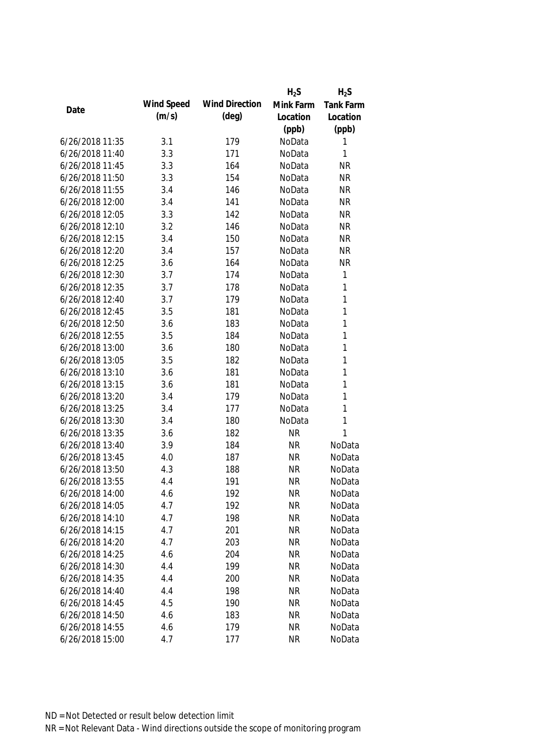|                 |            |                       | $H_2S$    | $H_2S$           |
|-----------------|------------|-----------------------|-----------|------------------|
|                 | Wind Speed | <b>Wind Direction</b> | Mink Farm | <b>Tank Farm</b> |
| Date            | (m/s)      | $(\text{deg})$        | Location  | Location         |
|                 |            |                       | (ppb)     | (ppb)            |
| 6/26/2018 11:35 | 3.1        | 179                   | NoData    | 1                |
| 6/26/2018 11:40 | 3.3        | 171                   | NoData    | 1                |
| 6/26/2018 11:45 | 3.3        | 164                   | NoData    | <b>NR</b>        |
| 6/26/2018 11:50 | 3.3        | 154                   | NoData    | <b>NR</b>        |
| 6/26/2018 11:55 | 3.4        | 146                   | NoData    | <b>NR</b>        |
| 6/26/2018 12:00 | 3.4        | 141                   | NoData    | <b>NR</b>        |
| 6/26/2018 12:05 | 3.3        | 142                   | NoData    | <b>NR</b>        |
| 6/26/2018 12:10 | 3.2        | 146                   | NoData    | <b>NR</b>        |
| 6/26/2018 12:15 | 3.4        | 150                   | NoData    | <b>NR</b>        |
| 6/26/2018 12:20 | 3.4        | 157                   | NoData    | <b>NR</b>        |
| 6/26/2018 12:25 | 3.6        | 164                   | NoData    | <b>NR</b>        |
| 6/26/2018 12:30 | 3.7        | 174                   | NoData    | 1                |
| 6/26/2018 12:35 | 3.7        | 178                   | NoData    | 1                |
| 6/26/2018 12:40 | 3.7        | 179                   | NoData    | $\mathbf{1}$     |
| 6/26/2018 12:45 | 3.5        | 181                   | NoData    | 1                |
| 6/26/2018 12:50 | 3.6        | 183                   | NoData    | $\mathbf{1}$     |
| 6/26/2018 12:55 | 3.5        | 184                   | NoData    | 1                |
| 6/26/2018 13:00 | 3.6        | 180                   | NoData    | 1                |
| 6/26/2018 13:05 | 3.5        | 182                   | NoData    | 1                |
| 6/26/2018 13:10 | 3.6        | 181                   | NoData    | 1                |
| 6/26/2018 13:15 | 3.6        | 181                   | NoData    | 1                |
| 6/26/2018 13:20 | 3.4        | 179                   | NoData    | 1                |
| 6/26/2018 13:25 | 3.4        | 177                   | NoData    | 1                |
| 6/26/2018 13:30 | 3.4        | 180                   | NoData    | 1                |
| 6/26/2018 13:35 | 3.6        | 182                   | <b>NR</b> | 1                |
| 6/26/2018 13:40 | 3.9        | 184                   | <b>NR</b> | NoData           |
| 6/26/2018 13:45 | 4.0        | 187                   | <b>NR</b> | NoData           |
| 6/26/2018 13:50 | 4.3        | 188                   | <b>NR</b> | NoData           |
| 6/26/2018 13:55 | 4.4        | 191                   | <b>NR</b> | NoData           |
| 6/26/2018 14:00 | 4.6        | 192                   | <b>NR</b> | NoData           |
| 6/26/2018 14:05 | 4.7        | 192                   | <b>NR</b> | NoData           |
| 6/26/2018 14:10 | 4.7        | 198                   | <b>NR</b> | NoData           |
| 6/26/2018 14:15 | 4.7        | 201                   | <b>NR</b> | NoData           |
| 6/26/2018 14:20 | 4.7        | 203                   | <b>NR</b> | NoData           |
| 6/26/2018 14:25 | 4.6        | 204                   | <b>NR</b> | NoData           |
| 6/26/2018 14:30 | 4.4        | 199                   | <b>NR</b> | NoData           |
| 6/26/2018 14:35 | 4.4        | 200                   | <b>NR</b> | NoData           |
| 6/26/2018 14:40 | 4.4        | 198                   | <b>NR</b> | NoData           |
| 6/26/2018 14:45 | 4.5        | 190                   | <b>NR</b> | NoData           |
| 6/26/2018 14:50 | 4.6        | 183                   | <b>NR</b> | NoData           |
| 6/26/2018 14:55 | 4.6        | 179                   | <b>NR</b> | NoData           |
| 6/26/2018 15:00 | 4.7        | 177                   | <b>NR</b> | NoData           |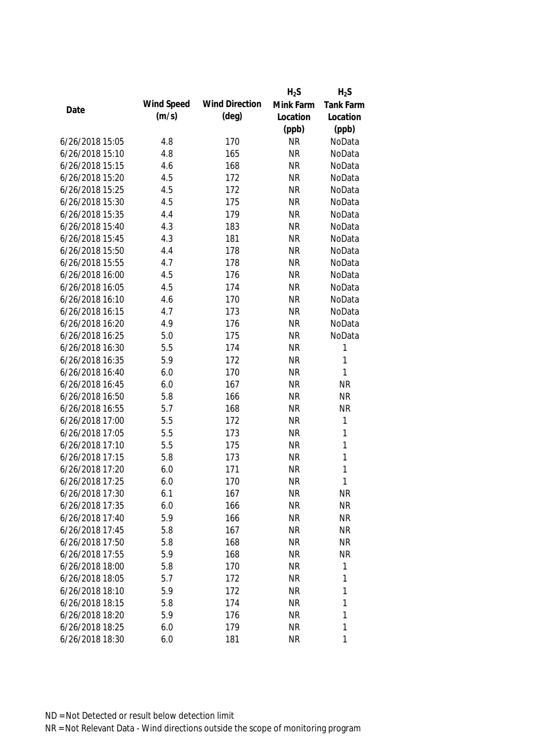|                 |            |                       | $H_2S$    | $H_2S$           |
|-----------------|------------|-----------------------|-----------|------------------|
|                 | Wind Speed | <b>Wind Direction</b> | Mink Farm | <b>Tank Farm</b> |
| Date            | (m/s)      | (deg)                 | Location  | Location         |
|                 |            |                       | (ppb)     | (ppb)            |
| 6/26/2018 15:05 | 4.8        | 170                   | <b>NR</b> | NoData           |
| 6/26/2018 15:10 | 4.8        | 165                   | <b>NR</b> | NoData           |
| 6/26/2018 15:15 | 4.6        | 168                   | <b>NR</b> | NoData           |
| 6/26/2018 15:20 | 4.5        | 172                   | <b>NR</b> | NoData           |
| 6/26/2018 15:25 | 4.5        | 172                   | <b>NR</b> | NoData           |
| 6/26/2018 15:30 | 4.5        | 175                   | <b>NR</b> | NoData           |
| 6/26/2018 15:35 | 4.4        | 179                   | <b>NR</b> | NoData           |
| 6/26/2018 15:40 | 4.3        | 183                   | <b>NR</b> | NoData           |
| 6/26/2018 15:45 | 4.3        | 181                   | <b>NR</b> | NoData           |
| 6/26/2018 15:50 | 4.4        | 178                   | <b>NR</b> | NoData           |
| 6/26/2018 15:55 | 4.7        | 178                   | <b>NR</b> | NoData           |
| 6/26/2018 16:00 | 4.5        | 176                   | <b>NR</b> | NoData           |
| 6/26/2018 16:05 | 4.5        | 174                   | <b>NR</b> | NoData           |
| 6/26/2018 16:10 | 4.6        | 170                   | <b>NR</b> | NoData           |
| 6/26/2018 16:15 | 4.7        | 173                   | <b>NR</b> | NoData           |
| 6/26/2018 16:20 | 4.9        | 176                   | <b>NR</b> | NoData           |
| 6/26/2018 16:25 | 5.0        | 175                   | <b>NR</b> | NoData           |
| 6/26/2018 16:30 | 5.5        | 174                   | <b>NR</b> | 1                |
| 6/26/2018 16:35 | 5.9        | 172                   | <b>NR</b> | 1                |
| 6/26/2018 16:40 | 6.0        | 170                   | <b>NR</b> | 1                |
| 6/26/2018 16:45 | 6.0        | 167                   | <b>NR</b> | <b>NR</b>        |
| 6/26/2018 16:50 | 5.8        | 166                   | <b>NR</b> | <b>NR</b>        |
| 6/26/2018 16:55 | 5.7        | 168                   | <b>NR</b> | <b>NR</b>        |
| 6/26/2018 17:00 | 5.5        | 172                   | <b>NR</b> | 1                |
| 6/26/2018 17:05 | 5.5        | 173                   | <b>NR</b> | 1                |
| 6/26/2018 17:10 | 5.5        | 175                   | <b>NR</b> | $\mathbf{1}$     |
| 6/26/2018 17:15 | 5.8        | 173                   | <b>NR</b> | $\mathbf{1}$     |
| 6/26/2018 17:20 | 6.0        | 171                   | <b>NR</b> | $\mathbf{1}$     |
| 6/26/2018 17:25 | 6.0        | 170                   | <b>NR</b> | 1                |
| 6/26/2018 17:30 | 6.1        | 167                   | <b>NR</b> | <b>NR</b>        |
| 6/26/2018 17:35 | 6.0        | 166                   | <b>NR</b> | <b>NR</b>        |
| 6/26/2018 17:40 | 5.9        | 166                   | <b>NR</b> | <b>NR</b>        |
| 6/26/2018 17:45 | 5.8        | 167                   | <b>NR</b> | <b>NR</b>        |
| 6/26/2018 17:50 | 5.8        | 168                   | <b>NR</b> | <b>NR</b>        |
| 6/26/2018 17:55 | 5.9        | 168                   | <b>NR</b> | <b>NR</b>        |
| 6/26/2018 18:00 | 5.8        | 170                   | <b>NR</b> | 1                |
| 6/26/2018 18:05 | 5.7        | 172                   | <b>NR</b> | 1                |
| 6/26/2018 18:10 | 5.9        | 172                   | <b>NR</b> | $\mathbf{1}$     |
| 6/26/2018 18:15 | 5.8        | 174                   | <b>NR</b> | 1                |
| 6/26/2018 18:20 | 5.9        | 176                   | <b>NR</b> | 1                |
| 6/26/2018 18:25 | 6.0        | 179                   | <b>NR</b> | 1                |
| 6/26/2018 18:30 | 6.0        | 181                   | <b>NR</b> | 1                |
|                 |            |                       |           |                  |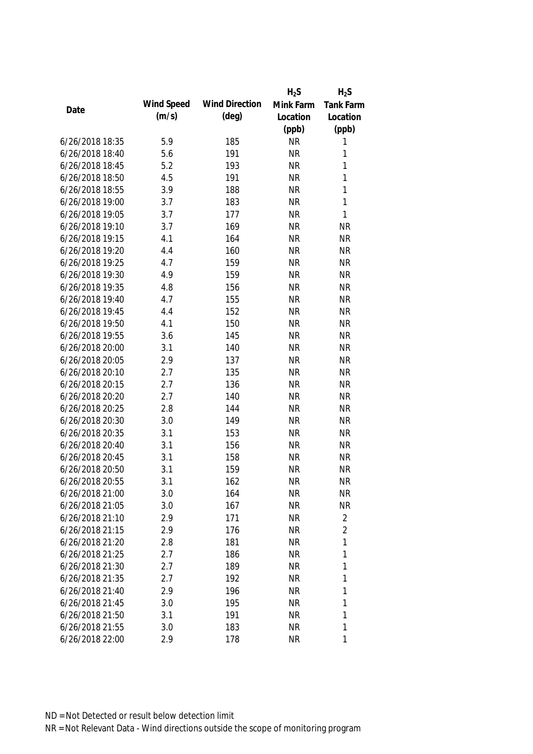|                 |            |                       | $H_2S$    | $H_2S$           |
|-----------------|------------|-----------------------|-----------|------------------|
| Date            | Wind Speed | <b>Wind Direction</b> | Mink Farm | <b>Tank Farm</b> |
|                 | (m/s)      | $(\text{deg})$        | Location  | Location         |
|                 |            |                       | (ppb)     | (ppb)            |
| 6/26/2018 18:35 | 5.9        | 185                   | <b>NR</b> | 1                |
| 6/26/2018 18:40 | 5.6        | 191                   | <b>NR</b> | 1                |
| 6/26/2018 18:45 | 5.2        | 193                   | <b>NR</b> | $\mathbf{1}$     |
| 6/26/2018 18:50 | 4.5        | 191                   | <b>NR</b> | $\mathbf{1}$     |
| 6/26/2018 18:55 | 3.9        | 188                   | <b>NR</b> | $\mathbf{1}$     |
| 6/26/2018 19:00 | 3.7        | 183                   | <b>NR</b> | $\mathbf{1}$     |
| 6/26/2018 19:05 | 3.7        | 177                   | <b>NR</b> | $\mathbf{1}$     |
| 6/26/2018 19:10 | 3.7        | 169                   | <b>NR</b> | <b>NR</b>        |
| 6/26/2018 19:15 | 4.1        | 164                   | <b>NR</b> | <b>NR</b>        |
| 6/26/2018 19:20 | 4.4        | 160                   | <b>NR</b> | <b>NR</b>        |
| 6/26/2018 19:25 | 4.7        | 159                   | <b>NR</b> | <b>NR</b>        |
| 6/26/2018 19:30 | 4.9        | 159                   | <b>NR</b> | <b>NR</b>        |
| 6/26/2018 19:35 | 4.8        | 156                   | <b>NR</b> | <b>NR</b>        |
| 6/26/2018 19:40 | 4.7        | 155                   | <b>NR</b> | <b>NR</b>        |
| 6/26/2018 19:45 | 4.4        | 152                   | <b>NR</b> | <b>NR</b>        |
| 6/26/2018 19:50 | 4.1        | 150                   | <b>NR</b> | <b>NR</b>        |
| 6/26/2018 19:55 | 3.6        | 145                   | <b>NR</b> | <b>NR</b>        |
| 6/26/2018 20:00 | 3.1        | 140                   | <b>NR</b> | <b>NR</b>        |
| 6/26/2018 20:05 | 2.9        | 137                   | <b>NR</b> | <b>NR</b>        |
| 6/26/2018 20:10 | 2.7        | 135                   | <b>NR</b> | <b>NR</b>        |
| 6/26/2018 20:15 | 2.7        | 136                   | <b>NR</b> | <b>NR</b>        |
| 6/26/2018 20:20 | 2.7        | 140                   | <b>NR</b> | <b>NR</b>        |
| 6/26/2018 20:25 | 2.8        | 144                   | <b>NR</b> | <b>NR</b>        |
| 6/26/2018 20:30 | 3.0        | 149                   | <b>NR</b> | <b>NR</b>        |
| 6/26/2018 20:35 | 3.1        | 153                   | <b>NR</b> | <b>NR</b>        |
| 6/26/2018 20:40 | 3.1        | 156                   | <b>NR</b> | <b>NR</b>        |
| 6/26/2018 20:45 | 3.1        | 158                   | <b>NR</b> | <b>NR</b>        |
| 6/26/2018 20:50 | 3.1        | 159                   | <b>NR</b> | <b>NR</b>        |
| 6/26/2018 20:55 | 3.1        | 162                   | <b>NR</b> | <b>NR</b>        |
| 6/26/2018 21:00 | 3.0        | 164                   | <b>NR</b> | <b>NR</b>        |
| 6/26/2018 21:05 | 3.0        | 167                   | <b>NR</b> | <b>NR</b>        |
| 6/26/2018 21:10 | 2.9        | 171                   | <b>NR</b> | 2                |
| 6/26/2018 21:15 | 2.9        | 176                   | <b>NR</b> | $\overline{2}$   |
| 6/26/2018 21:20 | 2.8        | 181                   | <b>NR</b> | 1                |
| 6/26/2018 21:25 | 2.7        | 186                   | <b>NR</b> | $\mathbf{1}$     |
| 6/26/2018 21:30 | 2.7        | 189                   | <b>NR</b> | 1                |
| 6/26/2018 21:35 | 2.7        | 192                   | <b>NR</b> | $\mathbf{1}$     |
| 6/26/2018 21:40 | 2.9        | 196                   | <b>NR</b> | 1                |
| 6/26/2018 21:45 | 3.0        | 195                   | <b>NR</b> | 1                |
| 6/26/2018 21:50 | 3.1        | 191                   | <b>NR</b> | 1                |
| 6/26/2018 21:55 | 3.0        | 183                   | <b>NR</b> | 1                |
| 6/26/2018 22:00 | 2.9        | 178                   | <b>NR</b> | 1                |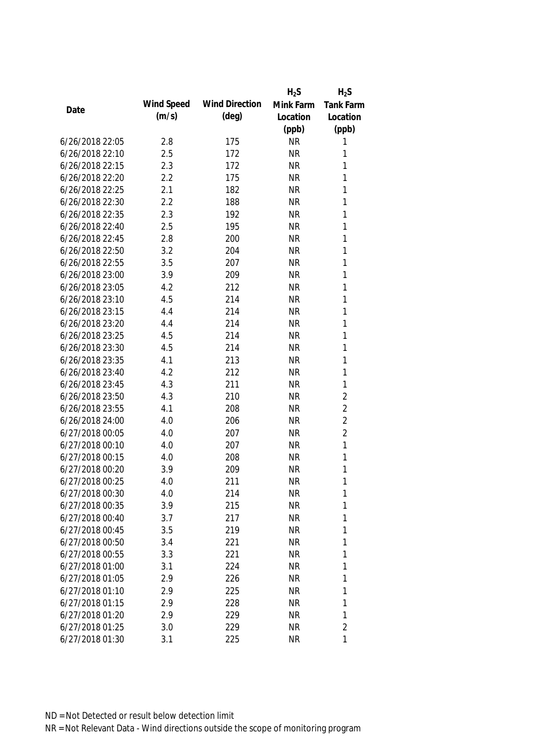|                 |            |                       | $H_2S$    | $H_2S$           |
|-----------------|------------|-----------------------|-----------|------------------|
| Date            | Wind Speed | <b>Wind Direction</b> | Mink Farm | <b>Tank Farm</b> |
|                 | (m/s)      | $(\text{deg})$        | Location  | Location         |
|                 |            |                       | (ppb)     | (ppb)            |
| 6/26/2018 22:05 | 2.8        | 175                   | <b>NR</b> | 1                |
| 6/26/2018 22:10 | 2.5        | 172                   | <b>NR</b> | 1                |
| 6/26/2018 22:15 | 2.3        | 172                   | <b>NR</b> | $\mathbf{1}$     |
| 6/26/2018 22:20 | 2.2        | 175                   | <b>NR</b> | 1                |
| 6/26/2018 22:25 | 2.1        | 182                   | <b>NR</b> | 1                |
| 6/26/2018 22:30 | 2.2        | 188                   | <b>NR</b> | 1                |
| 6/26/2018 22:35 | 2.3        | 192                   | <b>NR</b> | 1                |
| 6/26/2018 22:40 | 2.5        | 195                   | <b>NR</b> | 1                |
| 6/26/2018 22:45 | 2.8        | 200                   | <b>NR</b> | 1                |
| 6/26/2018 22:50 | 3.2        | 204                   | <b>NR</b> | 1                |
| 6/26/2018 22:55 | 3.5        | 207                   | <b>NR</b> | 1                |
| 6/26/2018 23:00 | 3.9        | 209                   | <b>NR</b> | 1                |
| 6/26/2018 23:05 | 4.2        | 212                   | <b>NR</b> | 1                |
| 6/26/2018 23:10 | 4.5        | 214                   | <b>NR</b> | 1                |
| 6/26/2018 23:15 | 4.4        | 214                   | <b>NR</b> | $\mathbf{1}$     |
| 6/26/2018 23:20 | 4.4        | 214                   | <b>NR</b> | 1                |
| 6/26/2018 23:25 | 4.5        | 214                   | <b>NR</b> | 1                |
| 6/26/2018 23:30 | 4.5        | 214                   | <b>NR</b> | 1                |
| 6/26/2018 23:35 | 4.1        | 213                   | <b>NR</b> | 1                |
| 6/26/2018 23:40 | 4.2        | 212                   | <b>NR</b> | 1                |
| 6/26/2018 23:45 | 4.3        | 211                   | <b>NR</b> | 1                |
| 6/26/2018 23:50 | 4.3        | 210                   | <b>NR</b> | $\sqrt{2}$       |
| 6/26/2018 23:55 | 4.1        | 208                   | <b>NR</b> | $\overline{2}$   |
| 6/26/2018 24:00 | 4.0        | 206                   | <b>NR</b> | $\overline{2}$   |
| 6/27/2018 00:05 | 4.0        | 207                   | <b>NR</b> | $\overline{2}$   |
| 6/27/2018 00:10 | 4.0        | 207                   | <b>NR</b> | $\mathbf{1}$     |
| 6/27/2018 00:15 | 4.0        | 208                   | <b>NR</b> | 1                |
| 6/27/2018 00:20 | 3.9        | 209                   | <b>NR</b> | 1                |
| 6/27/2018 00:25 | 4.0        | 211                   | <b>NR</b> | 1                |
| 6/27/2018 00:30 | 4.0        | 214                   | <b>NR</b> | 1                |
| 6/27/2018 00:35 | 3.9        | 215                   | <b>NR</b> | 1                |
| 6/27/2018 00:40 | 3.7        | 217                   | <b>NR</b> | 1                |
| 6/27/2018 00:45 | 3.5        | 219                   | <b>NR</b> | 1                |
| 6/27/2018 00:50 | 3.4        | 221                   | <b>NR</b> | 1                |
| 6/27/2018 00:55 | 3.3        | 221                   | <b>NR</b> | 1                |
| 6/27/2018 01:00 | 3.1        | 224                   | <b>NR</b> | 1                |
| 6/27/2018 01:05 | 2.9        | 226                   | <b>NR</b> | 1                |
| 6/27/2018 01:10 | 2.9        | 225                   | <b>NR</b> | 1                |
| 6/27/2018 01:15 | 2.9        | 228                   | <b>NR</b> | 1                |
| 6/27/2018 01:20 | 2.9        | 229                   | <b>NR</b> | 1                |
| 6/27/2018 01:25 | 3.0        | 229                   | <b>NR</b> | $\overline{2}$   |
| 6/27/2018 01:30 | 3.1        | 225                   | <b>NR</b> | 1                |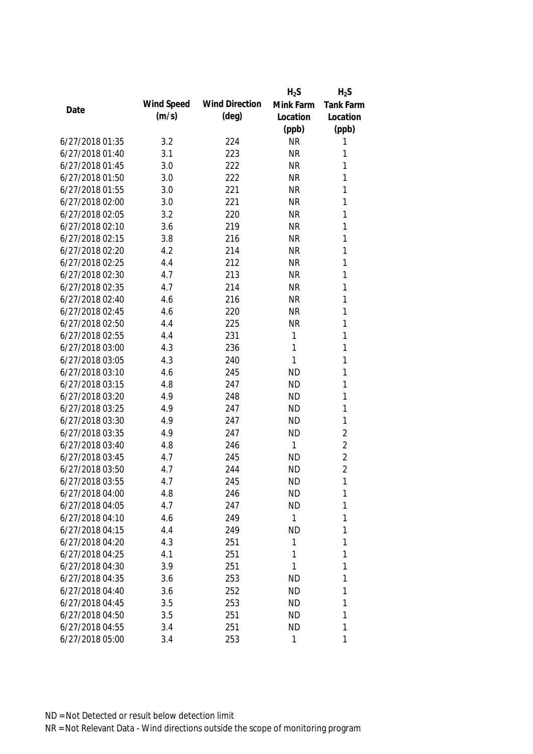|                 |            |                       | $H_2S$    | $H_2S$         |
|-----------------|------------|-----------------------|-----------|----------------|
|                 | Wind Speed | <b>Wind Direction</b> | Mink Farm | Tank Farm      |
| Date            | (m/s)      | $(\text{deg})$        | Location  | Location       |
|                 |            |                       | (ppb)     | (ppb)          |
| 6/27/2018 01:35 | 3.2        | 224                   | <b>NR</b> | 1              |
| 6/27/2018 01:40 | 3.1        | 223                   | <b>NR</b> | 1              |
| 6/27/2018 01:45 | 3.0        | 222                   | <b>NR</b> | 1              |
| 6/27/2018 01:50 | 3.0        | 222                   | <b>NR</b> | 1              |
| 6/27/2018 01:55 | 3.0        | 221                   | <b>NR</b> | 1              |
| 6/27/2018 02:00 | 3.0        | 221                   | <b>NR</b> | 1              |
| 6/27/2018 02:05 | 3.2        | 220                   | <b>NR</b> | 1              |
| 6/27/2018 02:10 | 3.6        | 219                   | <b>NR</b> | 1              |
| 6/27/2018 02:15 | 3.8        | 216                   | <b>NR</b> | 1              |
| 6/27/2018 02:20 | 4.2        | 214                   | <b>NR</b> | 1              |
| 6/27/2018 02:25 | 4.4        | 212                   | <b>NR</b> | 1              |
| 6/27/2018 02:30 | 4.7        | 213                   | <b>NR</b> | 1              |
| 6/27/2018 02:35 | 4.7        | 214                   | <b>NR</b> | 1              |
| 6/27/2018 02:40 | 4.6        | 216                   | <b>NR</b> | 1              |
| 6/27/2018 02:45 | 4.6        | 220                   | <b>NR</b> | 1              |
| 6/27/2018 02:50 | 4.4        | 225                   | <b>NR</b> | 1              |
| 6/27/2018 02:55 | 4.4        | 231                   | 1         | 1              |
| 6/27/2018 03:00 | 4.3        | 236                   | 1         | 1              |
| 6/27/2018 03:05 | 4.3        | 240                   | 1         | 1              |
| 6/27/2018 03:10 | 4.6        | 245                   | <b>ND</b> | 1              |
| 6/27/2018 03:15 | 4.8        | 247                   | <b>ND</b> | 1              |
| 6/27/2018 03:20 | 4.9        | 248                   | <b>ND</b> | 1              |
| 6/27/2018 03:25 | 4.9        | 247                   | <b>ND</b> | 1              |
| 6/27/2018 03:30 | 4.9        | 247                   | <b>ND</b> | 1              |
| 6/27/2018 03:35 | 4.9        | 247                   | <b>ND</b> | $\overline{2}$ |
| 6/27/2018 03:40 | 4.8        | 246                   | 1         | $\overline{2}$ |
| 6/27/2018 03:45 | 4.7        | 245                   | <b>ND</b> | $\overline{2}$ |
| 6/27/2018 03:50 | 4.7        | 244                   | <b>ND</b> | $\overline{2}$ |
| 6/27/2018 03:55 | 4.7        | 245                   | <b>ND</b> | 1              |
| 6/27/2018 04:00 | 4.8        | 246                   | <b>ND</b> | 1              |
| 6/27/2018 04:05 | 4.7        | 247                   | <b>ND</b> | 1              |
| 6/27/2018 04:10 | 4.6        | 249                   | 1         | 1              |
| 6/27/2018 04:15 | 4.4        | 249                   | <b>ND</b> | 1              |
| 6/27/2018 04:20 | 4.3        | 251                   | 1         | 1              |
| 6/27/2018 04:25 | 4.1        | 251                   | 1         | 1              |
| 6/27/2018 04:30 | 3.9        | 251                   | 1         | 1              |
| 6/27/2018 04:35 | 3.6        | 253                   | <b>ND</b> | 1              |
| 6/27/2018 04:40 | 3.6        | 252                   | <b>ND</b> | 1              |
| 6/27/2018 04:45 | 3.5        | 253                   | <b>ND</b> | 1              |
| 6/27/2018 04:50 | 3.5        | 251                   | <b>ND</b> | 1              |
| 6/27/2018 04:55 | 3.4        | 251                   | <b>ND</b> | 1              |
| 6/27/2018 05:00 | 3.4        | 253                   | 1         | 1              |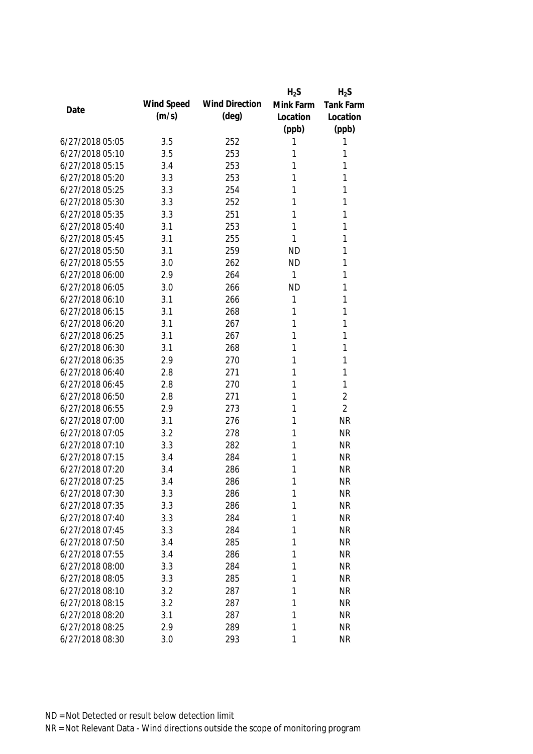|                 |            |                       | $H_2S$    | $H_2S$           |
|-----------------|------------|-----------------------|-----------|------------------|
| Date            | Wind Speed | <b>Wind Direction</b> | Mink Farm | <b>Tank Farm</b> |
|                 | (m/s)      | $(\text{deg})$        | Location  | Location         |
|                 |            |                       | (ppb)     | (ppb)            |
| 6/27/2018 05:05 | 3.5        | 252                   | 1         | 1                |
| 6/27/2018 05:10 | 3.5        | 253                   | 1         | 1                |
| 6/27/2018 05:15 | 3.4        | 253                   | 1         | 1                |
| 6/27/2018 05:20 | 3.3        | 253                   | 1         | 1                |
| 6/27/2018 05:25 | 3.3        | 254                   | 1         | 1                |
| 6/27/2018 05:30 | 3.3        | 252                   | 1         | 1                |
| 6/27/2018 05:35 | 3.3        | 251                   | 1         | 1                |
| 6/27/2018 05:40 | 3.1        | 253                   | 1         | 1                |
| 6/27/2018 05:45 | 3.1        | 255                   | 1         | 1                |
| 6/27/2018 05:50 | 3.1        | 259                   | <b>ND</b> | 1                |
| 6/27/2018 05:55 | 3.0        | 262                   | <b>ND</b> | 1                |
| 6/27/2018 06:00 | 2.9        | 264                   | 1         | 1                |
| 6/27/2018 06:05 | 3.0        | 266                   | <b>ND</b> | 1                |
| 6/27/2018 06:10 | 3.1        | 266                   | 1         | 1                |
| 6/27/2018 06:15 | 3.1        | 268                   | 1         | 1                |
| 6/27/2018 06:20 | 3.1        | 267                   | 1         | 1                |
| 6/27/2018 06:25 | 3.1        | 267                   | 1         | 1                |
| 6/27/2018 06:30 | 3.1        | 268                   | 1         | 1                |
| 6/27/2018 06:35 | 2.9        | 270                   | 1         | 1                |
| 6/27/2018 06:40 | 2.8        | 271                   | 1         | 1                |
| 6/27/2018 06:45 | 2.8        | 270                   | 1         | 1                |
| 6/27/2018 06:50 | 2.8        | 271                   | 1         | $\overline{2}$   |
| 6/27/2018 06:55 | 2.9        | 273                   | 1         | $\overline{2}$   |
| 6/27/2018 07:00 | 3.1        | 276                   | 1         | <b>NR</b>        |
| 6/27/2018 07:05 | 3.2        | 278                   | 1         | <b>NR</b>        |
| 6/27/2018 07:10 | 3.3        | 282                   | 1         | <b>NR</b>        |
| 6/27/2018 07:15 | 3.4        | 284                   | 1         | <b>NR</b>        |
| 6/27/2018 07:20 | 3.4        | 286                   | 1         | <b>NR</b>        |
| 6/27/2018 07:25 | 3.4        | 286                   | 1         | <b>NR</b>        |
| 6/27/2018 07:30 | 3.3        | 286                   | 1         | <b>NR</b>        |
| 6/27/2018 07:35 | 3.3        | 286                   | 1         | <b>NR</b>        |
| 6/27/2018 07:40 | 3.3        | 284                   | 1         | <b>NR</b>        |
| 6/27/2018 07:45 | 3.3        | 284                   | 1         | <b>NR</b>        |
| 6/27/2018 07:50 | 3.4        | 285                   | 1         | <b>NR</b>        |
| 6/27/2018 07:55 | 3.4        | 286                   | 1         | <b>NR</b>        |
| 6/27/2018 08:00 | 3.3        | 284                   | 1         | <b>NR</b>        |
| 6/27/2018 08:05 | 3.3        | 285                   | 1         | <b>NR</b>        |
| 6/27/2018 08:10 | 3.2        | 287                   | 1         | <b>NR</b>        |
| 6/27/2018 08:15 | 3.2        | 287                   | 1         | <b>NR</b>        |
| 6/27/2018 08:20 | 3.1        | 287                   | 1         | <b>NR</b>        |
| 6/27/2018 08:25 | 2.9        | 289                   | 1         | <b>NR</b>        |
| 6/27/2018 08:30 | 3.0        | 293                   | 1         | <b>NR</b>        |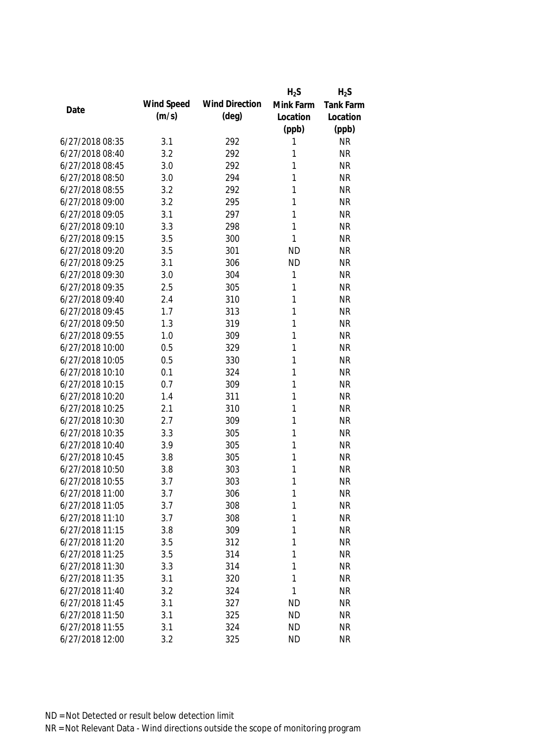|                 |            |                       | $H_2S$    | $H_2S$           |
|-----------------|------------|-----------------------|-----------|------------------|
| Date            | Wind Speed | <b>Wind Direction</b> | Mink Farm | <b>Tank Farm</b> |
|                 | (m/s)      | $(\text{deg})$        | Location  | Location         |
|                 |            |                       | (ppb)     | (ppb)            |
| 6/27/2018 08:35 | 3.1        | 292                   | 1         | <b>NR</b>        |
| 6/27/2018 08:40 | 3.2        | 292                   | 1         | <b>NR</b>        |
| 6/27/2018 08:45 | 3.0        | 292                   | 1         | <b>NR</b>        |
| 6/27/2018 08:50 | 3.0        | 294                   | 1         | <b>NR</b>        |
| 6/27/2018 08:55 | 3.2        | 292                   | 1         | <b>NR</b>        |
| 6/27/2018 09:00 | 3.2        | 295                   | 1         | <b>NR</b>        |
| 6/27/2018 09:05 | 3.1        | 297                   | 1         | <b>NR</b>        |
| 6/27/2018 09:10 | 3.3        | 298                   | 1         | <b>NR</b>        |
| 6/27/2018 09:15 | 3.5        | 300                   | 1         | <b>NR</b>        |
| 6/27/2018 09:20 | 3.5        | 301                   | <b>ND</b> | <b>NR</b>        |
| 6/27/2018 09:25 | 3.1        | 306                   | <b>ND</b> | <b>NR</b>        |
| 6/27/2018 09:30 | 3.0        | 304                   | 1         | <b>NR</b>        |
| 6/27/2018 09:35 | 2.5        | 305                   | 1         | <b>NR</b>        |
| 6/27/2018 09:40 | 2.4        | 310                   | 1         | <b>NR</b>        |
| 6/27/2018 09:45 | 1.7        | 313                   | 1         | <b>NR</b>        |
| 6/27/2018 09:50 | 1.3        | 319                   | 1         | <b>NR</b>        |
| 6/27/2018 09:55 | 1.0        | 309                   | 1         | <b>NR</b>        |
| 6/27/2018 10:00 | 0.5        | 329                   | 1         | <b>NR</b>        |
| 6/27/2018 10:05 | 0.5        | 330                   | 1         | <b>NR</b>        |
| 6/27/2018 10:10 | 0.1        | 324                   | 1         | <b>NR</b>        |
| 6/27/2018 10:15 | 0.7        | 309                   | 1         | <b>NR</b>        |
| 6/27/2018 10:20 | 1.4        | 311                   | 1         | <b>NR</b>        |
| 6/27/2018 10:25 | 2.1        | 310                   | 1         | <b>NR</b>        |
| 6/27/2018 10:30 | 2.7        | 309                   | 1         | <b>NR</b>        |
| 6/27/2018 10:35 | 3.3        | 305                   | 1         | <b>NR</b>        |
| 6/27/2018 10:40 | 3.9        | 305                   | 1         | <b>NR</b>        |
| 6/27/2018 10:45 | 3.8        | 305                   | 1         | <b>NR</b>        |
| 6/27/2018 10:50 | 3.8        | 303                   | 1         | <b>NR</b>        |
| 6/27/2018 10:55 | 3.7        | 303                   | 1         | <b>NR</b>        |
| 6/27/2018 11:00 | 3.7        | 306                   | 1         | <b>NR</b>        |
| 6/27/2018 11:05 | 3.7        | 308                   | 1         | <b>NR</b>        |
| 6/27/2018 11:10 | 3.7        | 308                   | 1         | <b>NR</b>        |
| 6/27/2018 11:15 | 3.8        | 309                   | 1         | <b>NR</b>        |
| 6/27/2018 11:20 | 3.5        | 312                   | 1         | <b>NR</b>        |
| 6/27/2018 11:25 | 3.5        | 314                   | 1         | <b>NR</b>        |
| 6/27/2018 11:30 | 3.3        | 314                   | 1         | <b>NR</b>        |
| 6/27/2018 11:35 | 3.1        | 320                   | 1         | <b>NR</b>        |
| 6/27/2018 11:40 | 3.2        | 324                   | 1         | <b>NR</b>        |
| 6/27/2018 11:45 | 3.1        | 327                   | <b>ND</b> | <b>NR</b>        |
| 6/27/2018 11:50 | 3.1        | 325                   | <b>ND</b> | <b>NR</b>        |
| 6/27/2018 11:55 | 3.1        | 324                   | <b>ND</b> | <b>NR</b>        |
| 6/27/2018 12:00 | 3.2        | 325                   | <b>ND</b> | <b>NR</b>        |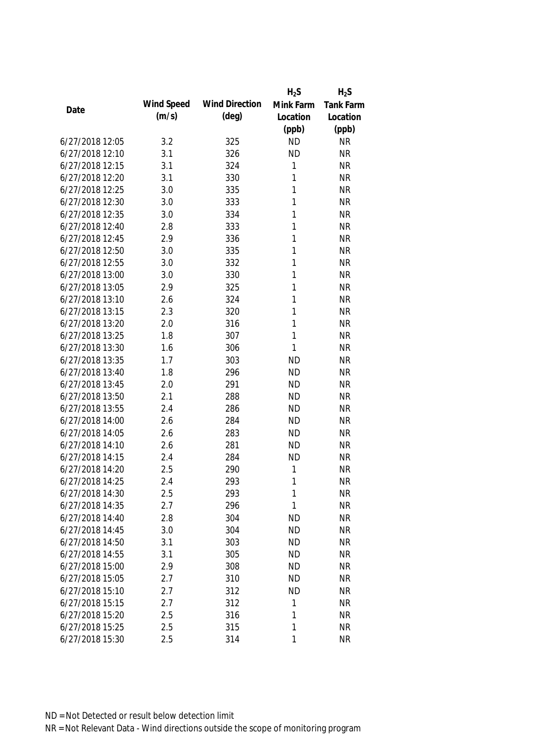|                 |            |                       | $H_2S$    | $H_2S$           |
|-----------------|------------|-----------------------|-----------|------------------|
|                 | Wind Speed | <b>Wind Direction</b> | Mink Farm | <b>Tank Farm</b> |
| Date            | (m/s)      | $(\text{deg})$        | Location  | Location         |
|                 |            |                       | (ppb)     | (ppb)            |
| 6/27/2018 12:05 | 3.2        | 325                   | <b>ND</b> | <b>NR</b>        |
| 6/27/2018 12:10 | 3.1        | 326                   | <b>ND</b> | <b>NR</b>        |
| 6/27/2018 12:15 | 3.1        | 324                   | 1         | <b>NR</b>        |
| 6/27/2018 12:20 | 3.1        | 330                   | 1         | <b>NR</b>        |
| 6/27/2018 12:25 | 3.0        | 335                   | 1         | <b>NR</b>        |
| 6/27/2018 12:30 | 3.0        | 333                   | 1         | <b>NR</b>        |
| 6/27/2018 12:35 | 3.0        | 334                   | 1         | <b>NR</b>        |
| 6/27/2018 12:40 | 2.8        | 333                   | 1         | <b>NR</b>        |
| 6/27/2018 12:45 | 2.9        | 336                   | 1         | <b>NR</b>        |
| 6/27/2018 12:50 | 3.0        | 335                   | 1         | <b>NR</b>        |
| 6/27/2018 12:55 | 3.0        | 332                   | 1         | <b>NR</b>        |
| 6/27/2018 13:00 | 3.0        | 330                   | 1         | <b>NR</b>        |
| 6/27/2018 13:05 | 2.9        | 325                   | 1         | <b>NR</b>        |
| 6/27/2018 13:10 | 2.6        | 324                   | 1         | <b>NR</b>        |
| 6/27/2018 13:15 | 2.3        | 320                   | 1         | <b>NR</b>        |
| 6/27/2018 13:20 | 2.0        | 316                   | 1         | <b>NR</b>        |
| 6/27/2018 13:25 | 1.8        | 307                   | 1         | <b>NR</b>        |
| 6/27/2018 13:30 | 1.6        | 306                   | 1         | <b>NR</b>        |
| 6/27/2018 13:35 | 1.7        | 303                   | <b>ND</b> | <b>NR</b>        |
| 6/27/2018 13:40 | 1.8        | 296                   | <b>ND</b> | <b>NR</b>        |
| 6/27/2018 13:45 | 2.0        | 291                   | <b>ND</b> | <b>NR</b>        |
| 6/27/2018 13:50 | 2.1        | 288                   | <b>ND</b> | <b>NR</b>        |
| 6/27/2018 13:55 | 2.4        | 286                   | <b>ND</b> | <b>NR</b>        |
| 6/27/2018 14:00 | 2.6        | 284                   | <b>ND</b> | <b>NR</b>        |
| 6/27/2018 14:05 | 2.6        | 283                   | <b>ND</b> | <b>NR</b>        |
| 6/27/2018 14:10 | 2.6        | 281                   | <b>ND</b> | <b>NR</b>        |
| 6/27/2018 14:15 | 2.4        | 284                   | <b>ND</b> | <b>NR</b>        |
| 6/27/2018 14:20 | 2.5        | 290                   | 1         | <b>NR</b>        |
| 6/27/2018 14:25 | 2.4        | 293                   | 1         | <b>NR</b>        |
| 6/27/2018 14:30 | 2.5        | 293                   | 1         | <b>NR</b>        |
| 6/27/2018 14:35 | 2.7        | 296                   | 1         | <b>NR</b>        |
| 6/27/2018 14:40 | 2.8        | 304                   | <b>ND</b> | <b>NR</b>        |
| 6/27/2018 14:45 | 3.0        | 304                   | <b>ND</b> | <b>NR</b>        |
| 6/27/2018 14:50 | 3.1        | 303                   | <b>ND</b> | <b>NR</b>        |
| 6/27/2018 14:55 | 3.1        | 305                   | <b>ND</b> | <b>NR</b>        |
| 6/27/2018 15:00 | 2.9        | 308                   | <b>ND</b> | <b>NR</b>        |
| 6/27/2018 15:05 | 2.7        |                       | <b>ND</b> | <b>NR</b>        |
|                 |            | 310                   |           |                  |
| 6/27/2018 15:10 | 2.7        | 312                   | <b>ND</b> | <b>NR</b>        |
| 6/27/2018 15:15 | 2.7        | 312                   | 1         | <b>NR</b>        |
| 6/27/2018 15:20 | 2.5        | 316                   | 1         | <b>NR</b>        |
| 6/27/2018 15:25 | 2.5        | 315                   | 1         | <b>NR</b>        |
| 6/27/2018 15:30 | 2.5        | 314                   | 1         | <b>NR</b>        |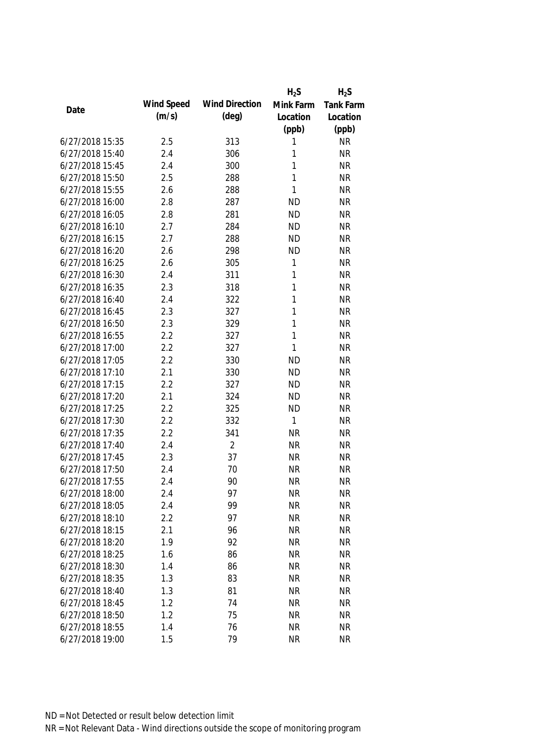|                 |            |                       | $H_2S$       | $H_2S$    |
|-----------------|------------|-----------------------|--------------|-----------|
|                 | Wind Speed | <b>Wind Direction</b> | Mink Farm    | Tank Farm |
| Date            | (m/s)      | $(\text{deg})$        | Location     | Location  |
|                 |            |                       | (ppb)        | (ppb)     |
| 6/27/2018 15:35 | 2.5        | 313                   | 1            | <b>NR</b> |
| 6/27/2018 15:40 | 2.4        | 306                   | 1            | <b>NR</b> |
| 6/27/2018 15:45 | 2.4        | 300                   | 1            | <b>NR</b> |
| 6/27/2018 15:50 | 2.5        | 288                   | 1            | <b>NR</b> |
| 6/27/2018 15:55 | 2.6        | 288                   | 1            | <b>NR</b> |
| 6/27/2018 16:00 | 2.8        | 287                   | <b>ND</b>    | <b>NR</b> |
| 6/27/2018 16:05 | 2.8        | 281                   | <b>ND</b>    | <b>NR</b> |
| 6/27/2018 16:10 | 2.7        | 284                   | <b>ND</b>    | <b>NR</b> |
| 6/27/2018 16:15 | 2.7        | 288                   | <b>ND</b>    | <b>NR</b> |
| 6/27/2018 16:20 | 2.6        | 298                   | <b>ND</b>    | <b>NR</b> |
| 6/27/2018 16:25 | 2.6        | 305                   | 1            | <b>NR</b> |
| 6/27/2018 16:30 | 2.4        | 311                   | 1            | <b>NR</b> |
| 6/27/2018 16:35 | 2.3        | 318                   | 1            | <b>NR</b> |
| 6/27/2018 16:40 | 2.4        | 322                   | 1            | <b>NR</b> |
| 6/27/2018 16:45 | 2.3        | 327                   | 1            | <b>NR</b> |
| 6/27/2018 16:50 | 2.3        | 329                   | $\mathbf{1}$ | <b>NR</b> |
| 6/27/2018 16:55 | 2.2        | 327                   | 1            | <b>NR</b> |
| 6/27/2018 17:00 | 2.2        | 327                   | $\mathbf{1}$ | <b>NR</b> |
| 6/27/2018 17:05 | 2.2        | 330                   | <b>ND</b>    | <b>NR</b> |
| 6/27/2018 17:10 | 2.1        | 330                   | <b>ND</b>    | <b>NR</b> |
| 6/27/2018 17:15 | 2.2        | 327                   | <b>ND</b>    | <b>NR</b> |
| 6/27/2018 17:20 | 2.1        | 324                   | <b>ND</b>    | <b>NR</b> |
| 6/27/2018 17:25 | 2.2        | 325                   | <b>ND</b>    | <b>NR</b> |
| 6/27/2018 17:30 | 2.2        | 332                   | 1            | <b>NR</b> |
| 6/27/2018 17:35 | 2.2        | 341                   | <b>NR</b>    | <b>NR</b> |
| 6/27/2018 17:40 | 2.4        | $\overline{2}$        | <b>NR</b>    | <b>NR</b> |
| 6/27/2018 17:45 | 2.3        | 37                    | <b>NR</b>    | <b>NR</b> |
| 6/27/2018 17:50 | 2.4        | 70                    | <b>NR</b>    | <b>NR</b> |
| 6/27/2018 17:55 | 2.4        | 90                    | <b>NR</b>    | <b>NR</b> |
| 6/27/2018 18:00 | 2.4        | 97                    | <b>NR</b>    | <b>NR</b> |
| 6/27/2018 18:05 | 2.4        | 99                    | <b>NR</b>    | <b>NR</b> |
| 6/27/2018 18:10 | 2.2        | 97                    | <b>NR</b>    | <b>NR</b> |
| 6/27/2018 18:15 | 2.1        | 96                    | <b>NR</b>    | <b>NR</b> |
| 6/27/2018 18:20 | 1.9        | 92                    | <b>NR</b>    | <b>NR</b> |
| 6/27/2018 18:25 | 1.6        | 86                    | <b>NR</b>    | <b>NR</b> |
| 6/27/2018 18:30 | 1.4        | 86                    | <b>NR</b>    | <b>NR</b> |
| 6/27/2018 18:35 | 1.3        | 83                    | <b>NR</b>    | <b>NR</b> |
| 6/27/2018 18:40 | 1.3        | 81                    | <b>NR</b>    | <b>NR</b> |
| 6/27/2018 18:45 | 1.2        | 74                    | <b>NR</b>    | <b>NR</b> |
| 6/27/2018 18:50 | 1.2        | 75                    | <b>NR</b>    | <b>NR</b> |
| 6/27/2018 18:55 | 1.4        | 76                    | <b>NR</b>    | <b>NR</b> |
| 6/27/2018 19:00 | 1.5        | 79                    | <b>NR</b>    | <b>NR</b> |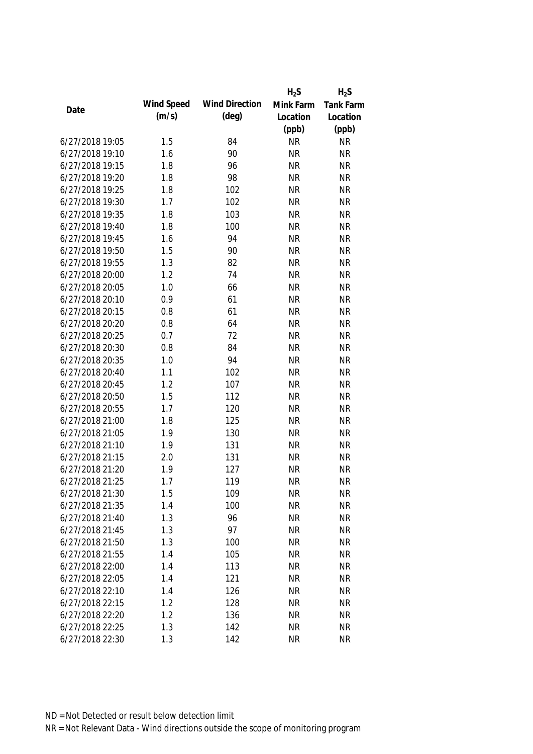|                 |            |                       | $H_2S$    | $H_2S$           |
|-----------------|------------|-----------------------|-----------|------------------|
|                 | Wind Speed | <b>Wind Direction</b> | Mink Farm | <b>Tank Farm</b> |
| Date            | (m/s)      | $(\text{deg})$        | Location  | Location         |
|                 |            |                       | (ppb)     | (ppb)            |
| 6/27/2018 19:05 | 1.5        | 84                    | <b>NR</b> | <b>NR</b>        |
| 6/27/2018 19:10 | 1.6        | 90                    | <b>NR</b> | <b>NR</b>        |
| 6/27/2018 19:15 | 1.8        | 96                    | <b>NR</b> | <b>NR</b>        |
| 6/27/2018 19:20 | 1.8        | 98                    | <b>NR</b> | <b>NR</b>        |
| 6/27/2018 19:25 | 1.8        | 102                   | <b>NR</b> | <b>NR</b>        |
| 6/27/2018 19:30 | 1.7        | 102                   | <b>NR</b> | <b>NR</b>        |
| 6/27/2018 19:35 | 1.8        | 103                   | <b>NR</b> | <b>NR</b>        |
| 6/27/2018 19:40 | 1.8        | 100                   | <b>NR</b> | <b>NR</b>        |
| 6/27/2018 19:45 | 1.6        | 94                    | <b>NR</b> | <b>NR</b>        |
| 6/27/2018 19:50 | 1.5        | 90                    | <b>NR</b> | <b>NR</b>        |
| 6/27/2018 19:55 | 1.3        | 82                    | <b>NR</b> | <b>NR</b>        |
| 6/27/2018 20:00 | 1.2        | 74                    | <b>NR</b> | <b>NR</b>        |
| 6/27/2018 20:05 | 1.0        | 66                    | <b>NR</b> | <b>NR</b>        |
| 6/27/2018 20:10 | 0.9        | 61                    | <b>NR</b> | <b>NR</b>        |
| 6/27/2018 20:15 | 0.8        | 61                    | <b>NR</b> | <b>NR</b>        |
| 6/27/2018 20:20 | 0.8        | 64                    | <b>NR</b> | <b>NR</b>        |
| 6/27/2018 20:25 | 0.7        | 72                    | <b>NR</b> | <b>NR</b>        |
| 6/27/2018 20:30 | 0.8        | 84                    | <b>NR</b> | <b>NR</b>        |
| 6/27/2018 20:35 | 1.0        | 94                    | <b>NR</b> | <b>NR</b>        |
| 6/27/2018 20:40 | 1.1        | 102                   | <b>NR</b> | <b>NR</b>        |
| 6/27/2018 20:45 | 1.2        | 107                   | <b>NR</b> | <b>NR</b>        |
| 6/27/2018 20:50 | 1.5        | 112                   | <b>NR</b> | <b>NR</b>        |
| 6/27/2018 20:55 | 1.7        | 120                   | <b>NR</b> | <b>NR</b>        |
| 6/27/2018 21:00 | 1.8        | 125                   | <b>NR</b> | <b>NR</b>        |
| 6/27/2018 21:05 | 1.9        | 130                   | <b>NR</b> | <b>NR</b>        |
| 6/27/2018 21:10 | 1.9        | 131                   | <b>NR</b> | <b>NR</b>        |
| 6/27/2018 21:15 | 2.0        | 131                   | <b>NR</b> | <b>NR</b>        |
| 6/27/2018 21:20 | 1.9        | 127                   | <b>NR</b> | <b>NR</b>        |
| 6/27/2018 21:25 | 1.7        | 119                   | <b>NR</b> | <b>NR</b>        |
| 6/27/2018 21:30 | 1.5        | 109                   | <b>NR</b> | <b>NR</b>        |
| 6/27/2018 21:35 | 1.4        | 100                   | <b>NR</b> | <b>NR</b>        |
| 6/27/2018 21:40 | 1.3        | 96                    | <b>NR</b> | <b>NR</b>        |
| 6/27/2018 21:45 | 1.3        | 97                    | <b>NR</b> | <b>NR</b>        |
| 6/27/2018 21:50 | 1.3        | 100                   | <b>NR</b> | <b>NR</b>        |
| 6/27/2018 21:55 | 1.4        | 105                   | <b>NR</b> | <b>NR</b>        |
| 6/27/2018 22:00 | 1.4        | 113                   | <b>NR</b> | <b>NR</b>        |
| 6/27/2018 22:05 | 1.4        | 121                   | <b>NR</b> | <b>NR</b>        |
| 6/27/2018 22:10 | 1.4        | 126                   | <b>NR</b> | <b>NR</b>        |
| 6/27/2018 22:15 | 1.2        | 128                   | <b>NR</b> | <b>NR</b>        |
| 6/27/2018 22:20 | 1.2        | 136                   | <b>NR</b> | <b>NR</b>        |
| 6/27/2018 22:25 | 1.3        | 142                   | <b>NR</b> | <b>NR</b>        |
| 6/27/2018 22:30 | 1.3        | 142                   | <b>NR</b> | <b>NR</b>        |
|                 |            |                       |           |                  |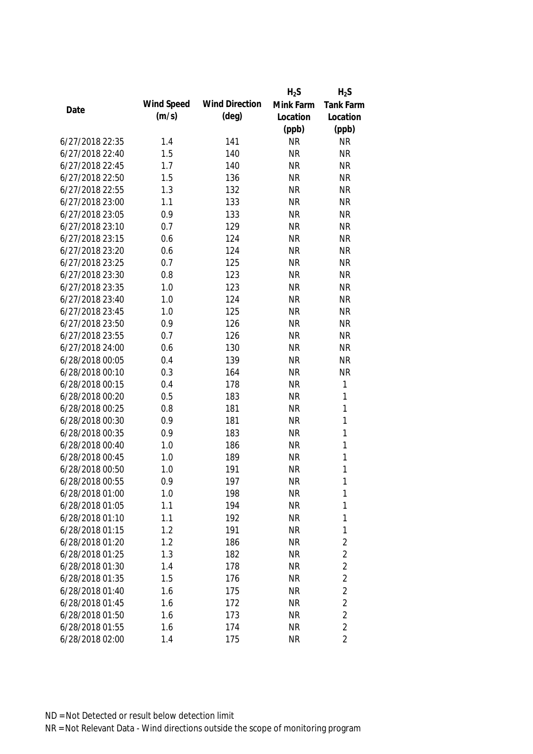|                 |            |                       | $H_2S$    | $H_2S$           |
|-----------------|------------|-----------------------|-----------|------------------|
|                 | Wind Speed | <b>Wind Direction</b> | Mink Farm | <b>Tank Farm</b> |
| Date            | (m/s)      | $(\text{deg})$        | Location  | Location         |
|                 |            |                       | (ppb)     | (ppb)            |
| 6/27/2018 22:35 | 1.4        | 141                   | <b>NR</b> | <b>NR</b>        |
| 6/27/2018 22:40 | 1.5        | 140                   | <b>NR</b> | <b>NR</b>        |
| 6/27/2018 22:45 | 1.7        | 140                   | <b>NR</b> | <b>NR</b>        |
| 6/27/2018 22:50 | 1.5        | 136                   | <b>NR</b> | <b>NR</b>        |
| 6/27/2018 22:55 | 1.3        | 132                   | <b>NR</b> | <b>NR</b>        |
| 6/27/2018 23:00 | 1.1        | 133                   | <b>NR</b> | <b>NR</b>        |
| 6/27/2018 23:05 | 0.9        | 133                   | <b>NR</b> | <b>NR</b>        |
| 6/27/2018 23:10 | 0.7        | 129                   | <b>NR</b> | <b>NR</b>        |
| 6/27/2018 23:15 | 0.6        | 124                   | <b>NR</b> | <b>NR</b>        |
| 6/27/2018 23:20 | 0.6        | 124                   | <b>NR</b> | <b>NR</b>        |
| 6/27/2018 23:25 | 0.7        | 125                   | <b>NR</b> | <b>NR</b>        |
| 6/27/2018 23:30 | 0.8        | 123                   | <b>NR</b> | <b>NR</b>        |
| 6/27/2018 23:35 | 1.0        | 123                   | <b>NR</b> | <b>NR</b>        |
| 6/27/2018 23:40 | 1.0        | 124                   | <b>NR</b> | <b>NR</b>        |
| 6/27/2018 23:45 | 1.0        | 125                   | <b>NR</b> | <b>NR</b>        |
| 6/27/2018 23:50 | 0.9        | 126                   | <b>NR</b> | <b>NR</b>        |
| 6/27/2018 23:55 | 0.7        | 126                   | <b>NR</b> | <b>NR</b>        |
| 6/27/2018 24:00 | 0.6        | 130                   | <b>NR</b> | <b>NR</b>        |
| 6/28/2018 00:05 | 0.4        | 139                   | <b>NR</b> | <b>NR</b>        |
| 6/28/2018 00:10 | 0.3        | 164                   | <b>NR</b> | <b>NR</b>        |
| 6/28/2018 00:15 | 0.4        | 178                   | <b>NR</b> | $\mathbf{1}$     |
| 6/28/2018 00:20 | 0.5        | 183                   | <b>NR</b> | 1                |
| 6/28/2018 00:25 | 0.8        | 181                   | <b>NR</b> | 1                |
| 6/28/2018 00:30 | 0.9        | 181                   | <b>NR</b> | $\mathbf{1}$     |
| 6/28/2018 00:35 | 0.9        | 183                   | <b>NR</b> | 1                |
| 6/28/2018 00:40 | 1.0        | 186                   | <b>NR</b> | $\mathbf{1}$     |
| 6/28/2018 00:45 | 1.0        | 189                   | <b>NR</b> | $\mathbf{1}$     |
| 6/28/2018 00:50 | 1.0        | 191                   | <b>NR</b> | 1                |
| 6/28/2018 00:55 | 0.9        | 197                   | <b>NR</b> | 1                |
| 6/28/2018 01:00 | 1.0        | 198                   | <b>NR</b> | 1                |
| 6/28/2018 01:05 | 1.1        | 194                   | <b>NR</b> | 1                |
| 6/28/2018 01:10 | 1.1        | 192                   | <b>NR</b> | 1                |
| 6/28/2018 01:15 | 1.2        | 191                   | <b>NR</b> | 1                |
| 6/28/2018 01:20 | 1.2        | 186                   | <b>NR</b> | $\overline{2}$   |
| 6/28/2018 01:25 | 1.3        | 182                   | <b>NR</b> | $\overline{2}$   |
| 6/28/2018 01:30 | 1.4        | 178                   | <b>NR</b> | $\overline{2}$   |
| 6/28/2018 01:35 | 1.5        | 176                   | <b>NR</b> | $\overline{2}$   |
| 6/28/2018 01:40 | 1.6        | 175                   | <b>NR</b> | $\overline{2}$   |
| 6/28/2018 01:45 | 1.6        | 172                   | <b>NR</b> | $\overline{2}$   |
| 6/28/2018 01:50 | 1.6        | 173                   | <b>NR</b> | $\overline{2}$   |
| 6/28/2018 01:55 | 1.6        | 174                   | <b>NR</b> | $\overline{2}$   |
| 6/28/2018 02:00 | 1.4        | 175                   | <b>NR</b> | $\overline{2}$   |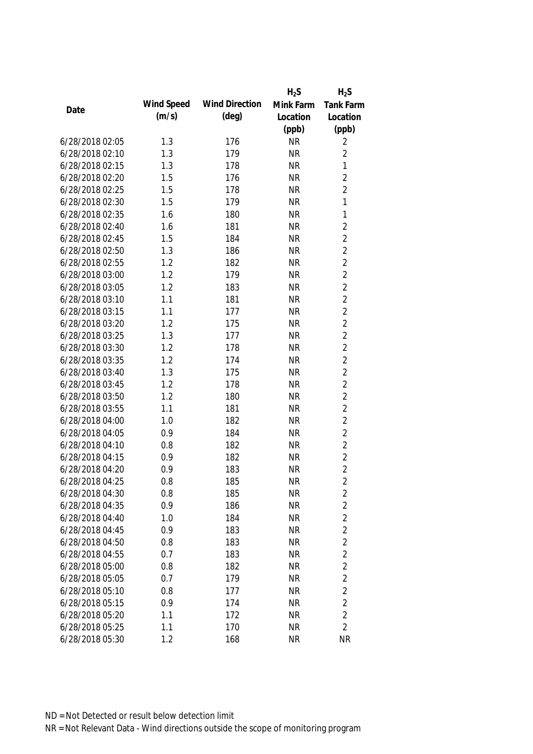|                 |            |                       | $H_2S$    | $H_2S$           |
|-----------------|------------|-----------------------|-----------|------------------|
| Date            | Wind Speed | <b>Wind Direction</b> | Mink Farm | <b>Tank Farm</b> |
|                 | (m/s)      | $(\text{deg})$        | Location  | Location         |
|                 |            |                       | (ppb)     | (ppb)            |
| 6/28/2018 02:05 | 1.3        | 176                   | <b>NR</b> | 2                |
| 6/28/2018 02:10 | 1.3        | 179                   | <b>NR</b> | $\overline{2}$   |
| 6/28/2018 02:15 | 1.3        | 178                   | <b>NR</b> | $\mathbf{1}$     |
| 6/28/2018 02:20 | 1.5        | 176                   | <b>NR</b> | $\overline{2}$   |
| 6/28/2018 02:25 | 1.5        | 178                   | <b>NR</b> | $\overline{2}$   |
| 6/28/2018 02:30 | 1.5        | 179                   | <b>NR</b> | 1                |
| 6/28/2018 02:35 | 1.6        | 180                   | <b>NR</b> | $\mathbf{1}$     |
| 6/28/2018 02:40 | 1.6        | 181                   | <b>NR</b> | $\overline{2}$   |
| 6/28/2018 02:45 | 1.5        | 184                   | <b>NR</b> | $\overline{2}$   |
| 6/28/2018 02:50 | 1.3        | 186                   | <b>NR</b> | $\overline{2}$   |
| 6/28/2018 02:55 | 1.2        | 182                   | <b>NR</b> | $\overline{2}$   |
| 6/28/2018 03:00 | 1.2        | 179                   | <b>NR</b> | $\overline{2}$   |
| 6/28/2018 03:05 | 1.2        | 183                   | <b>NR</b> | $\overline{2}$   |
| 6/28/2018 03:10 | 1.1        | 181                   | <b>NR</b> | $\overline{2}$   |
| 6/28/2018 03:15 | 1.1        | 177                   | <b>NR</b> | $\overline{2}$   |
| 6/28/2018 03:20 | 1.2        | 175                   | <b>NR</b> | $\overline{2}$   |
| 6/28/2018 03:25 | 1.3        | 177                   | <b>NR</b> | $\overline{2}$   |
| 6/28/2018 03:30 | 1.2        | 178                   | <b>NR</b> | $\overline{2}$   |
| 6/28/2018 03:35 | 1.2        | 174                   | <b>NR</b> | $\overline{2}$   |
| 6/28/2018 03:40 | 1.3        | 175                   | <b>NR</b> | $\overline{2}$   |
| 6/28/2018 03:45 | 1.2        | 178                   | <b>NR</b> | $\overline{2}$   |
| 6/28/2018 03:50 | 1.2        | 180                   | <b>NR</b> | $\overline{2}$   |
| 6/28/2018 03:55 | 1.1        | 181                   | <b>NR</b> | $\overline{2}$   |
| 6/28/2018 04:00 | 1.0        | 182                   | <b>NR</b> | $\overline{2}$   |
| 6/28/2018 04:05 | 0.9        | 184                   | <b>NR</b> | $\overline{2}$   |
| 6/28/2018 04:10 | 0.8        | 182                   | <b>NR</b> | $\overline{2}$   |
| 6/28/2018 04:15 | 0.9        | 182                   | <b>NR</b> | $\overline{2}$   |
| 6/28/2018 04:20 | 0.9        | 183                   | <b>NR</b> | $\overline{2}$   |
| 6/28/2018 04:25 | 0.8        | 185                   | <b>NR</b> | $\overline{2}$   |
| 6/28/2018 04:30 | 0.8        | 185                   | <b>NR</b> | $\overline{c}$   |
| 6/28/2018 04:35 | 0.9        | 186                   | <b>NR</b> | $\overline{c}$   |
| 6/28/2018 04:40 | 1.0        | 184                   | <b>NR</b> | $\overline{2}$   |
| 6/28/2018 04:45 | 0.9        | 183                   | <b>NR</b> | $\overline{2}$   |
| 6/28/2018 04:50 | 0.8        | 183                   | <b>NR</b> | $\overline{2}$   |
| 6/28/2018 04:55 | 0.7        | 183                   | <b>NR</b> | $\overline{2}$   |
| 6/28/2018 05:00 | 0.8        | 182                   | <b>NR</b> | $\overline{2}$   |
| 6/28/2018 05:05 | 0.7        | 179                   | <b>NR</b> | $\overline{2}$   |
| 6/28/2018 05:10 | 0.8        | 177                   | <b>NR</b> | $\overline{2}$   |
| 6/28/2018 05:15 | 0.9        | 174                   | <b>NR</b> | $\overline{2}$   |
| 6/28/2018 05:20 | 1.1        | 172                   | <b>NR</b> | $\overline{2}$   |
| 6/28/2018 05:25 | 1.1        | 170                   | <b>NR</b> | $\overline{2}$   |
| 6/28/2018 05:30 | 1.2        | 168                   | <b>NR</b> | <b>NR</b>        |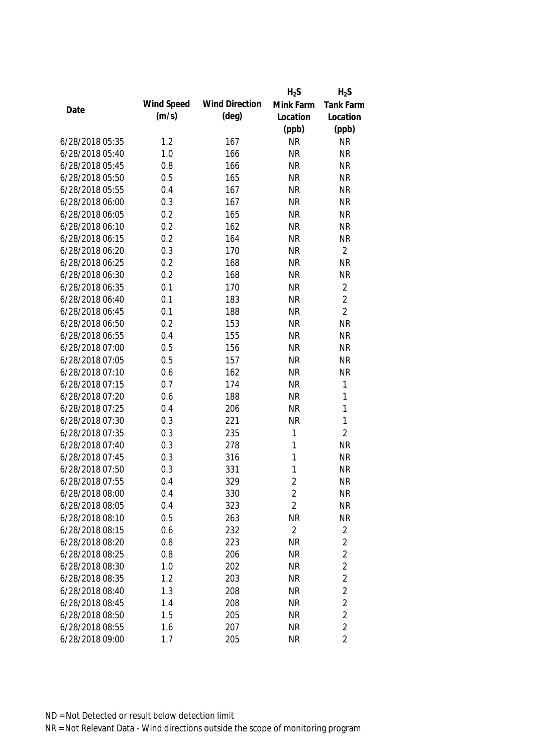|                 |            |                       | $H_2S$         | $H_2S$           |
|-----------------|------------|-----------------------|----------------|------------------|
| Date            | Wind Speed | <b>Wind Direction</b> | Mink Farm      | <b>Tank Farm</b> |
|                 | (m/s)      | $(\text{deg})$        | Location       | Location         |
|                 |            |                       | (ppb)          | (ppb)            |
| 6/28/2018 05:35 | 1.2        | 167                   | <b>NR</b>      | <b>NR</b>        |
| 6/28/2018 05:40 | 1.0        | 166                   | <b>NR</b>      | <b>NR</b>        |
| 6/28/2018 05:45 | 0.8        | 166                   | <b>NR</b>      | <b>NR</b>        |
| 6/28/2018 05:50 | 0.5        | 165                   | <b>NR</b>      | <b>NR</b>        |
| 6/28/2018 05:55 | 0.4        | 167                   | <b>NR</b>      | <b>NR</b>        |
| 6/28/2018 06:00 | 0.3        | 167                   | <b>NR</b>      | <b>NR</b>        |
| 6/28/2018 06:05 | 0.2        | 165                   | <b>NR</b>      | <b>NR</b>        |
| 6/28/2018 06:10 | 0.2        | 162                   | <b>NR</b>      | <b>NR</b>        |
| 6/28/2018 06:15 | 0.2        | 164                   | <b>NR</b>      | <b>NR</b>        |
| 6/28/2018 06:20 | 0.3        | 170                   | <b>NR</b>      | $\overline{2}$   |
| 6/28/2018 06:25 | 0.2        | 168                   | <b>NR</b>      | <b>NR</b>        |
| 6/28/2018 06:30 | 0.2        | 168                   | <b>NR</b>      | <b>NR</b>        |
| 6/28/2018 06:35 | 0.1        | 170                   | <b>NR</b>      | $\overline{2}$   |
| 6/28/2018 06:40 | 0.1        | 183                   | <b>NR</b>      | $\overline{2}$   |
| 6/28/2018 06:45 | 0.1        | 188                   | <b>NR</b>      | $\overline{2}$   |
| 6/28/2018 06:50 | 0.2        | 153                   | <b>NR</b>      | <b>NR</b>        |
| 6/28/2018 06:55 | 0.4        | 155                   | <b>NR</b>      | <b>NR</b>        |
| 6/28/2018 07:00 | 0.5        | 156                   | <b>NR</b>      | <b>NR</b>        |
| 6/28/2018 07:05 | 0.5        | 157                   | <b>NR</b>      | <b>NR</b>        |
| 6/28/2018 07:10 | 0.6        | 162                   | <b>NR</b>      | <b>NR</b>        |
| 6/28/2018 07:15 | 0.7        | 174                   | <b>NR</b>      | $\mathbf{1}$     |
| 6/28/2018 07:20 | 0.6        | 188                   | <b>NR</b>      | $\mathbf{1}$     |
| 6/28/2018 07:25 | 0.4        | 206                   | <b>NR</b>      | $\mathbf{1}$     |
| 6/28/2018 07:30 | 0.3        | 221                   | <b>NR</b>      | $\mathbf{1}$     |
| 6/28/2018 07:35 | 0.3        | 235                   | 1              | $\overline{2}$   |
| 6/28/2018 07:40 | 0.3        | 278                   | 1              | <b>NR</b>        |
| 6/28/2018 07:45 | 0.3        | 316                   | 1              | <b>NR</b>        |
| 6/28/2018 07:50 | 0.3        | 331                   | 1              | <b>NR</b>        |
| 6/28/2018 07:55 | 0.4        | 329                   | $\overline{2}$ | <b>NR</b>        |
| 6/28/2018 08:00 | 0.4        | 330                   | 2              | <b>NR</b>        |
| 6/28/2018 08:05 | 0.4        | 323                   | $\overline{2}$ | <b>NR</b>        |
| 6/28/2018 08:10 | 0.5        | 263                   | <b>NR</b>      | <b>NR</b>        |
| 6/28/2018 08:15 | 0.6        | 232                   | $\overline{2}$ | $\overline{2}$   |
| 6/28/2018 08:20 | 0.8        | 223                   | <b>NR</b>      | $\overline{2}$   |
| 6/28/2018 08:25 | 0.8        | 206                   | <b>NR</b>      | $\overline{2}$   |
| 6/28/2018 08:30 | 1.0        | 202                   | <b>NR</b>      | $\overline{2}$   |
| 6/28/2018 08:35 | 1.2        | 203                   | <b>NR</b>      | $\overline{2}$   |
| 6/28/2018 08:40 | 1.3        | 208                   | <b>NR</b>      | $\overline{2}$   |
| 6/28/2018 08:45 | 1.4        | 208                   | <b>NR</b>      | $\overline{2}$   |
| 6/28/2018 08:50 | 1.5        | 205                   | <b>NR</b>      | $\overline{2}$   |
| 6/28/2018 08:55 | 1.6        | 207                   | <b>NR</b>      | $\overline{2}$   |
| 6/28/2018 09:00 | 1.7        | 205                   | <b>NR</b>      | $\overline{2}$   |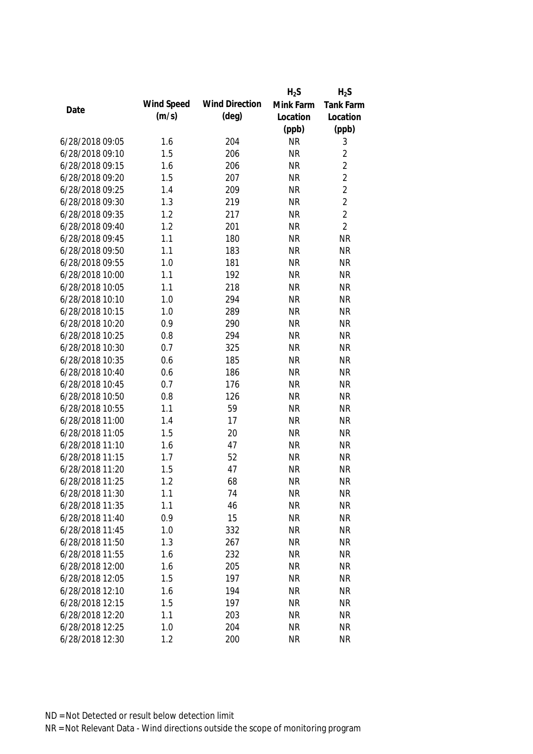|                 |            |                       | $H_2S$    | $H_2S$           |
|-----------------|------------|-----------------------|-----------|------------------|
| Date            | Wind Speed | <b>Wind Direction</b> | Mink Farm | <b>Tank Farm</b> |
|                 | (m/s)      | $(\text{deg})$        | Location  | Location         |
|                 |            |                       | (ppb)     | (ppb)            |
| 6/28/2018 09:05 | 1.6        | 204                   | <b>NR</b> | 3                |
| 6/28/2018 09:10 | 1.5        | 206                   | <b>NR</b> | $\overline{2}$   |
| 6/28/2018 09:15 | 1.6        | 206                   | <b>NR</b> | $\overline{2}$   |
| 6/28/2018 09:20 | 1.5        | 207                   | <b>NR</b> | $\overline{2}$   |
| 6/28/2018 09:25 | 1.4        | 209                   | <b>NR</b> | $\overline{2}$   |
| 6/28/2018 09:30 | 1.3        | 219                   | <b>NR</b> | $\overline{2}$   |
| 6/28/2018 09:35 | 1.2        | 217                   | <b>NR</b> | $\overline{2}$   |
| 6/28/2018 09:40 | 1.2        | 201                   | <b>NR</b> | $\overline{2}$   |
| 6/28/2018 09:45 | 1.1        | 180                   | <b>NR</b> | <b>NR</b>        |
| 6/28/2018 09:50 | 1.1        | 183                   | <b>NR</b> | <b>NR</b>        |
| 6/28/2018 09:55 | 1.0        | 181                   | <b>NR</b> | <b>NR</b>        |
| 6/28/2018 10:00 | 1.1        | 192                   | <b>NR</b> | <b>NR</b>        |
| 6/28/2018 10:05 | 1.1        | 218                   | <b>NR</b> | <b>NR</b>        |
| 6/28/2018 10:10 | 1.0        | 294                   | <b>NR</b> | <b>NR</b>        |
| 6/28/2018 10:15 | 1.0        | 289                   | <b>NR</b> | <b>NR</b>        |
| 6/28/2018 10:20 | 0.9        | 290                   | <b>NR</b> | <b>NR</b>        |
| 6/28/2018 10:25 | 0.8        | 294                   | <b>NR</b> | <b>NR</b>        |
| 6/28/2018 10:30 | 0.7        | 325                   | <b>NR</b> | <b>NR</b>        |
| 6/28/2018 10:35 | 0.6        | 185                   | <b>NR</b> | <b>NR</b>        |
| 6/28/2018 10:40 | 0.6        | 186                   | <b>NR</b> | <b>NR</b>        |
| 6/28/2018 10:45 | 0.7        | 176                   | <b>NR</b> | <b>NR</b>        |
| 6/28/2018 10:50 | 0.8        | 126                   | <b>NR</b> | <b>NR</b>        |
| 6/28/2018 10:55 | 1.1        | 59                    | <b>NR</b> | <b>NR</b>        |
| 6/28/2018 11:00 | 1.4        | 17                    | <b>NR</b> | <b>NR</b>        |
| 6/28/2018 11:05 | 1.5        | 20                    | <b>NR</b> | <b>NR</b>        |
| 6/28/2018 11:10 | 1.6        | 47                    | <b>NR</b> | <b>NR</b>        |
| 6/28/2018 11:15 | 1.7        | 52                    | <b>NR</b> | <b>NR</b>        |
| 6/28/2018 11:20 | 1.5        | 47                    | <b>NR</b> | <b>NR</b>        |
| 6/28/2018 11:25 | 1.2        | 68                    | <b>NR</b> | <b>NR</b>        |
| 6/28/2018 11:30 | 1.1        | 74                    | <b>NR</b> | <b>NR</b>        |
| 6/28/2018 11:35 | 1.1        | 46                    | <b>NR</b> | <b>NR</b>        |
| 6/28/2018 11:40 | 0.9        | 15                    | <b>NR</b> | <b>NR</b>        |
| 6/28/2018 11:45 | 1.0        | 332                   | <b>NR</b> | <b>NR</b>        |
| 6/28/2018 11:50 | 1.3        | 267                   | <b>NR</b> | <b>NR</b>        |
| 6/28/2018 11:55 | 1.6        | 232                   | <b>NR</b> | <b>NR</b>        |
| 6/28/2018 12:00 | 1.6        | 205                   | <b>NR</b> | <b>NR</b>        |
| 6/28/2018 12:05 | 1.5        | 197                   | <b>NR</b> | <b>NR</b>        |
| 6/28/2018 12:10 | 1.6        | 194                   | <b>NR</b> | <b>NR</b>        |
| 6/28/2018 12:15 | 1.5        | 197                   | <b>NR</b> | <b>NR</b>        |
| 6/28/2018 12:20 | 1.1        | 203                   | <b>NR</b> | <b>NR</b>        |
| 6/28/2018 12:25 | 1.0        | 204                   | <b>NR</b> | <b>NR</b>        |
| 6/28/2018 12:30 | 1.2        | 200                   | <b>NR</b> | <b>NR</b>        |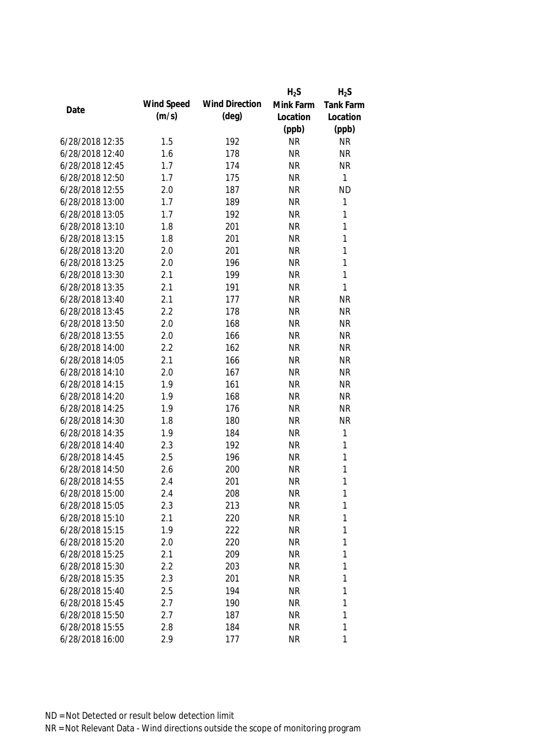|                 |            |                       | $H_2S$    | $H_2S$           |
|-----------------|------------|-----------------------|-----------|------------------|
| Date            | Wind Speed | <b>Wind Direction</b> | Mink Farm | <b>Tank Farm</b> |
|                 | (m/s)      | $(\text{deg})$        | Location  | Location         |
|                 |            |                       | (ppb)     | (ppb)            |
| 6/28/2018 12:35 | 1.5        | 192                   | <b>NR</b> | <b>NR</b>        |
| 6/28/2018 12:40 | 1.6        | 178                   | <b>NR</b> | <b>NR</b>        |
| 6/28/2018 12:45 | 1.7        | 174                   | <b>NR</b> | <b>NR</b>        |
| 6/28/2018 12:50 | 1.7        | 175                   | <b>NR</b> | $\mathbf{1}$     |
| 6/28/2018 12:55 | 2.0        | 187                   | <b>NR</b> | <b>ND</b>        |
| 6/28/2018 13:00 | 1.7        | 189                   | <b>NR</b> | $\mathbf{1}$     |
| 6/28/2018 13:05 | 1.7        | 192                   | <b>NR</b> | $\mathbf{1}$     |
| 6/28/2018 13:10 | 1.8        | 201                   | <b>NR</b> | $\mathbf{1}$     |
| 6/28/2018 13:15 | 1.8        | 201                   | <b>NR</b> | $\mathbf{1}$     |
| 6/28/2018 13:20 | 2.0        | 201                   | <b>NR</b> | $\mathbf{1}$     |
| 6/28/2018 13:25 | 2.0        | 196                   | <b>NR</b> | $\mathbf{1}$     |
| 6/28/2018 13:30 | 2.1        | 199                   | <b>NR</b> | 1                |
| 6/28/2018 13:35 | 2.1        | 191                   | <b>NR</b> | 1                |
| 6/28/2018 13:40 | 2.1        | 177                   | <b>NR</b> | <b>NR</b>        |
| 6/28/2018 13:45 | 2.2        | 178                   | <b>NR</b> | <b>NR</b>        |
| 6/28/2018 13:50 | 2.0        | 168                   | <b>NR</b> | <b>NR</b>        |
| 6/28/2018 13:55 | 2.0        | 166                   | <b>NR</b> | <b>NR</b>        |
| 6/28/2018 14:00 | 2.2        | 162                   | <b>NR</b> | <b>NR</b>        |
| 6/28/2018 14:05 | 2.1        | 166                   | <b>NR</b> | <b>NR</b>        |
| 6/28/2018 14:10 | 2.0        | 167                   | <b>NR</b> | <b>NR</b>        |
| 6/28/2018 14:15 | 1.9        | 161                   | <b>NR</b> | <b>NR</b>        |
| 6/28/2018 14:20 | 1.9        | 168                   | <b>NR</b> | <b>NR</b>        |
| 6/28/2018 14:25 | 1.9        | 176                   | <b>NR</b> | <b>NR</b>        |
| 6/28/2018 14:30 | 1.8        | 180                   | <b>NR</b> | <b>NR</b>        |
| 6/28/2018 14:35 | 1.9        | 184                   | <b>NR</b> | $\mathbf{1}$     |
| 6/28/2018 14:40 | 2.3        | 192                   | <b>NR</b> | $\mathbf{1}$     |
| 6/28/2018 14:45 | 2.5        | 196                   | <b>NR</b> | $\mathbf{1}$     |
| 6/28/2018 14:50 | 2.6        | 200                   | <b>NR</b> | $\mathbf{1}$     |
| 6/28/2018 14:55 | 2.4        | 201                   | <b>NR</b> | 1                |
| 6/28/2018 15:00 | 2.4        | 208                   | <b>NR</b> | 1                |
| 6/28/2018 15:05 | 2.3        | 213                   | <b>NR</b> | 1                |
| 6/28/2018 15:10 | 2.1        | 220                   | <b>NR</b> | 1                |
| 6/28/2018 15:15 | 1.9        | 222                   | <b>NR</b> | 1                |
| 6/28/2018 15:20 | 2.0        | 220                   | <b>NR</b> | 1                |
| 6/28/2018 15:25 | 2.1        | 209                   | <b>NR</b> | 1                |
| 6/28/2018 15:30 | 2.2        | 203                   | <b>NR</b> | 1                |
| 6/28/2018 15:35 | 2.3        | 201                   | <b>NR</b> | 1                |
| 6/28/2018 15:40 | 2.5        | 194                   | <b>NR</b> | 1                |
| 6/28/2018 15:45 | 2.7        | 190                   | <b>NR</b> | 1                |
| 6/28/2018 15:50 | 2.7        | 187                   | <b>NR</b> | 1                |
| 6/28/2018 15:55 | 2.8        | 184                   | <b>NR</b> | 1                |
| 6/28/2018 16:00 | 2.9        | 177                   | <b>NR</b> | 1                |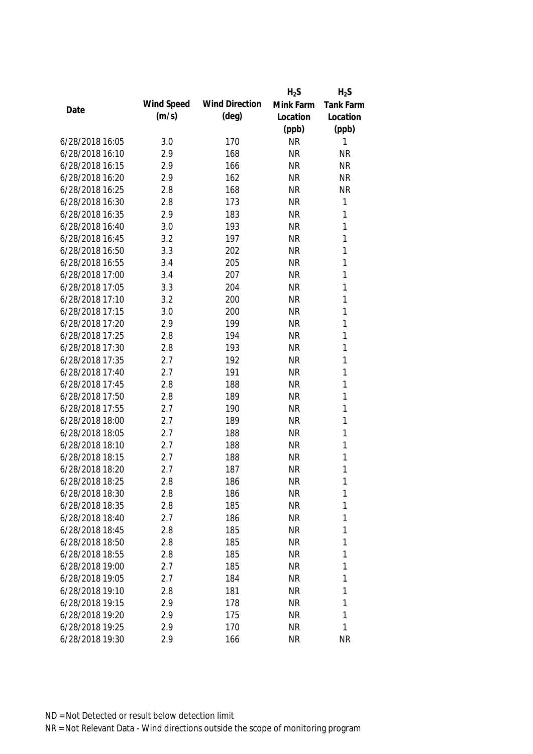|                 |            |                       | $H_2S$    | $H_2S$           |
|-----------------|------------|-----------------------|-----------|------------------|
|                 | Wind Speed | <b>Wind Direction</b> | Mink Farm | <b>Tank Farm</b> |
| Date            | (m/s)      | $(\text{deg})$        | Location  | Location         |
|                 |            |                       | (ppb)     | (ppb)            |
| 6/28/2018 16:05 | 3.0        | 170                   | <b>NR</b> | 1                |
| 6/28/2018 16:10 | 2.9        | 168                   | <b>NR</b> | <b>NR</b>        |
| 6/28/2018 16:15 | 2.9        | 166                   | <b>NR</b> | <b>NR</b>        |
| 6/28/2018 16:20 | 2.9        | 162                   | <b>NR</b> | <b>NR</b>        |
| 6/28/2018 16:25 | 2.8        | 168                   | <b>NR</b> | <b>NR</b>        |
| 6/28/2018 16:30 | 2.8        | 173                   | <b>NR</b> | $\mathbf{1}$     |
| 6/28/2018 16:35 | 2.9        | 183                   | <b>NR</b> | 1                |
| 6/28/2018 16:40 | 3.0        | 193                   | <b>NR</b> | 1                |
| 6/28/2018 16:45 | 3.2        | 197                   | <b>NR</b> | 1                |
| 6/28/2018 16:50 | 3.3        | 202                   | <b>NR</b> | 1                |
| 6/28/2018 16:55 | 3.4        | 205                   | <b>NR</b> | 1                |
| 6/28/2018 17:00 | 3.4        | 207                   | <b>NR</b> | 1                |
| 6/28/2018 17:05 | 3.3        | 204                   | <b>NR</b> | 1                |
| 6/28/2018 17:10 | 3.2        | 200                   | <b>NR</b> | 1                |
| 6/28/2018 17:15 | 3.0        | 200                   | <b>NR</b> | 1                |
| 6/28/2018 17:20 | 2.9        | 199                   | <b>NR</b> | 1                |
| 6/28/2018 17:25 | 2.8        | 194                   | <b>NR</b> | 1                |
| 6/28/2018 17:30 | 2.8        | 193                   | <b>NR</b> | 1                |
| 6/28/2018 17:35 | 2.7        | 192                   | <b>NR</b> | 1                |
| 6/28/2018 17:40 | 2.7        | 191                   | <b>NR</b> | 1                |
| 6/28/2018 17:45 | 2.8        | 188                   | <b>NR</b> | 1                |
| 6/28/2018 17:50 | 2.8        | 189                   | <b>NR</b> | 1                |
| 6/28/2018 17:55 | 2.7        | 190                   | <b>NR</b> | 1                |
| 6/28/2018 18:00 | 2.7        | 189                   | <b>NR</b> | 1                |
| 6/28/2018 18:05 | 2.7        | 188                   | <b>NR</b> | 1                |
| 6/28/2018 18:10 | 2.7        | 188                   | <b>NR</b> | 1                |
| 6/28/2018 18:15 | 2.7        | 188                   | <b>NR</b> | 1                |
| 6/28/2018 18:20 | 2.7        | 187                   | <b>NR</b> | 1                |
| 6/28/2018 18:25 | 2.8        | 186                   | <b>NR</b> | 1                |
| 6/28/2018 18:30 | 2.8        | 186                   | <b>NR</b> | 1                |
| 6/28/2018 18:35 | 2.8        | 185                   | <b>NR</b> | 1                |
| 6/28/2018 18:40 | 2.7        | 186                   | <b>NR</b> | 1                |
| 6/28/2018 18:45 | 2.8        | 185                   | <b>NR</b> | 1                |
| 6/28/2018 18:50 | 2.8        | 185                   | <b>NR</b> | 1                |
| 6/28/2018 18:55 | 2.8        | 185                   | <b>NR</b> | 1                |
| 6/28/2018 19:00 | 2.7        | 185                   | <b>NR</b> | 1                |
| 6/28/2018 19:05 | 2.7        | 184                   | <b>NR</b> | 1                |
| 6/28/2018 19:10 | 2.8        | 181                   | <b>NR</b> | 1                |
| 6/28/2018 19:15 | 2.9        | 178                   | <b>NR</b> | 1                |
| 6/28/2018 19:20 | 2.9        | 175                   | <b>NR</b> | 1                |
| 6/28/2018 19:25 | 2.9        | 170                   | <b>NR</b> | 1                |
| 6/28/2018 19:30 | 2.9        | 166                   | <b>NR</b> | <b>NR</b>        |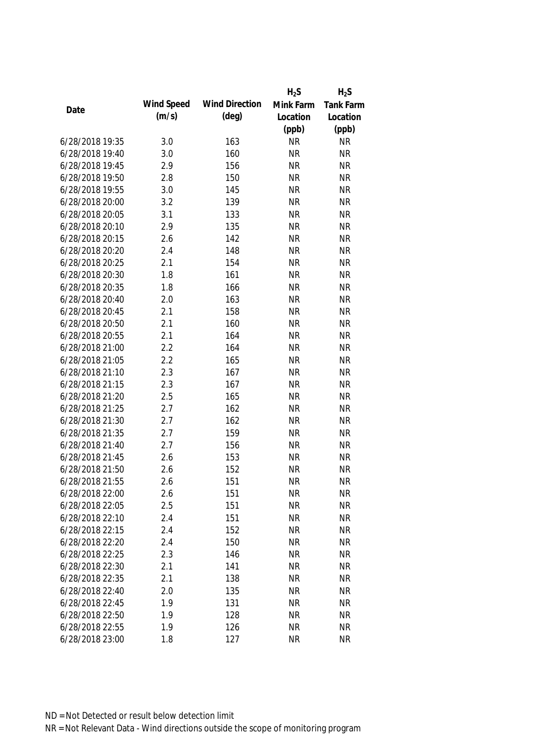|                 |            |                       | $H_2S$    | $H_2S$           |
|-----------------|------------|-----------------------|-----------|------------------|
|                 | Wind Speed | <b>Wind Direction</b> | Mink Farm | <b>Tank Farm</b> |
| Date            | (m/s)      | $(\text{deg})$        | Location  | Location         |
|                 |            |                       | (ppb)     | (ppb)            |
| 6/28/2018 19:35 | 3.0        | 163                   | <b>NR</b> | <b>NR</b>        |
| 6/28/2018 19:40 | 3.0        | 160                   | <b>NR</b> | <b>NR</b>        |
| 6/28/2018 19:45 | 2.9        | 156                   | <b>NR</b> | <b>NR</b>        |
| 6/28/2018 19:50 | 2.8        | 150                   | <b>NR</b> | <b>NR</b>        |
| 6/28/2018 19:55 | 3.0        | 145                   | <b>NR</b> | <b>NR</b>        |
| 6/28/2018 20:00 | 3.2        | 139                   | <b>NR</b> | <b>NR</b>        |
| 6/28/2018 20:05 | 3.1        | 133                   | <b>NR</b> | <b>NR</b>        |
| 6/28/2018 20:10 | 2.9        | 135                   | <b>NR</b> | <b>NR</b>        |
| 6/28/2018 20:15 | 2.6        | 142                   | <b>NR</b> | <b>NR</b>        |
| 6/28/2018 20:20 | 2.4        | 148                   | <b>NR</b> | <b>NR</b>        |
| 6/28/2018 20:25 | 2.1        | 154                   | <b>NR</b> | <b>NR</b>        |
| 6/28/2018 20:30 | 1.8        | 161                   | <b>NR</b> | <b>NR</b>        |
| 6/28/2018 20:35 | 1.8        | 166                   | <b>NR</b> | <b>NR</b>        |
| 6/28/2018 20:40 | 2.0        | 163                   | <b>NR</b> | <b>NR</b>        |
| 6/28/2018 20:45 | 2.1        | 158                   | <b>NR</b> | <b>NR</b>        |
| 6/28/2018 20:50 | 2.1        | 160                   | <b>NR</b> | <b>NR</b>        |
| 6/28/2018 20:55 | 2.1        | 164                   | <b>NR</b> | <b>NR</b>        |
| 6/28/2018 21:00 | 2.2        | 164                   | <b>NR</b> | <b>NR</b>        |
| 6/28/2018 21:05 | 2.2        | 165                   | <b>NR</b> | <b>NR</b>        |
| 6/28/2018 21:10 | 2.3        | 167                   | <b>NR</b> | <b>NR</b>        |
| 6/28/2018 21:15 | 2.3        | 167                   | <b>NR</b> | <b>NR</b>        |
| 6/28/2018 21:20 | 2.5        | 165                   | <b>NR</b> | <b>NR</b>        |
| 6/28/2018 21:25 | 2.7        | 162                   | <b>NR</b> | <b>NR</b>        |
| 6/28/2018 21:30 | 2.7        | 162                   | <b>NR</b> | <b>NR</b>        |
| 6/28/2018 21:35 | 2.7        | 159                   | <b>NR</b> | <b>NR</b>        |
| 6/28/2018 21:40 | 2.7        | 156                   | <b>NR</b> | <b>NR</b>        |
| 6/28/2018 21:45 | 2.6        | 153                   | <b>NR</b> | <b>NR</b>        |
| 6/28/2018 21:50 | 2.6        | 152                   | <b>NR</b> | <b>NR</b>        |
| 6/28/2018 21:55 | 2.6        | 151                   | <b>NR</b> | <b>NR</b>        |
| 6/28/2018 22:00 | 2.6        | 151                   | <b>NR</b> | <b>NR</b>        |
| 6/28/2018 22:05 | 2.5        | 151                   | <b>NR</b> | <b>NR</b>        |
| 6/28/2018 22:10 | 2.4        | 151                   | <b>NR</b> | <b>NR</b>        |
| 6/28/2018 22:15 | 2.4        | 152                   | <b>NR</b> | <b>NR</b>        |
| 6/28/2018 22:20 | 2.4        | 150                   | <b>NR</b> | <b>NR</b>        |
| 6/28/2018 22:25 | 2.3        | 146                   | <b>NR</b> | <b>NR</b>        |
| 6/28/2018 22:30 | 2.1        | 141                   | <b>NR</b> | <b>NR</b>        |
| 6/28/2018 22:35 | 2.1        | 138                   | <b>NR</b> | <b>NR</b>        |
| 6/28/2018 22:40 | 2.0        | 135                   | <b>NR</b> | <b>NR</b>        |
| 6/28/2018 22:45 | 1.9        | 131                   | <b>NR</b> | <b>NR</b>        |
| 6/28/2018 22:50 | 1.9        | 128                   | <b>NR</b> | <b>NR</b>        |
| 6/28/2018 22:55 | 1.9        | 126                   | <b>NR</b> | <b>NR</b>        |
| 6/28/2018 23:00 | 1.8        | 127                   | <b>NR</b> | <b>NR</b>        |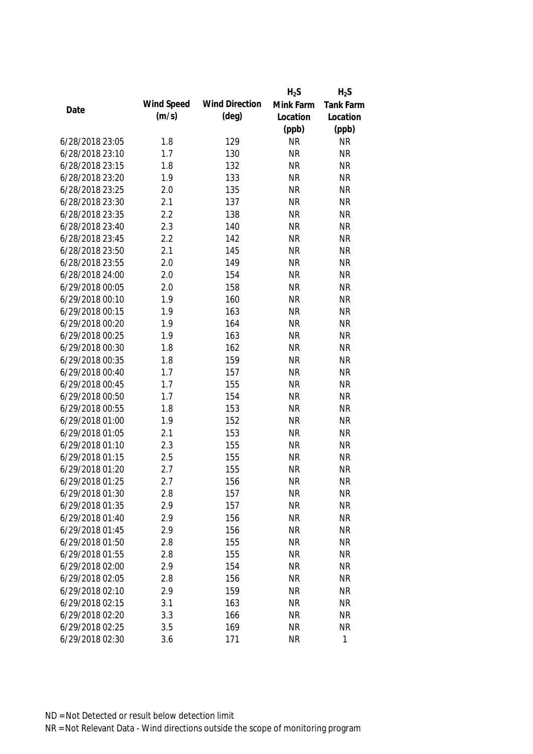|                 |            |                       | $H_2S$    | $H_2S$           |
|-----------------|------------|-----------------------|-----------|------------------|
|                 | Wind Speed | <b>Wind Direction</b> | Mink Farm | <b>Tank Farm</b> |
| Date            | (m/s)      | $(\text{deg})$        | Location  | Location         |
|                 |            |                       | (ppb)     | (ppb)            |
| 6/28/2018 23:05 | 1.8        | 129                   | <b>NR</b> | <b>NR</b>        |
| 6/28/2018 23:10 | 1.7        | 130                   | <b>NR</b> | <b>NR</b>        |
| 6/28/2018 23:15 | 1.8        | 132                   | <b>NR</b> | <b>NR</b>        |
| 6/28/2018 23:20 | 1.9        | 133                   | <b>NR</b> | <b>NR</b>        |
| 6/28/2018 23:25 | 2.0        | 135                   | <b>NR</b> | <b>NR</b>        |
| 6/28/2018 23:30 | 2.1        | 137                   | <b>NR</b> | <b>NR</b>        |
| 6/28/2018 23:35 | 2.2        | 138                   | <b>NR</b> | <b>NR</b>        |
| 6/28/2018 23:40 | 2.3        | 140                   | <b>NR</b> | <b>NR</b>        |
| 6/28/2018 23:45 | 2.2        | 142                   | <b>NR</b> | <b>NR</b>        |
| 6/28/2018 23:50 | 2.1        | 145                   | <b>NR</b> | <b>NR</b>        |
| 6/28/2018 23:55 | 2.0        | 149                   | <b>NR</b> | <b>NR</b>        |
| 6/28/2018 24:00 | 2.0        | 154                   | <b>NR</b> | <b>NR</b>        |
| 6/29/2018 00:05 | 2.0        | 158                   | <b>NR</b> | <b>NR</b>        |
| 6/29/2018 00:10 | 1.9        | 160                   | <b>NR</b> | <b>NR</b>        |
| 6/29/2018 00:15 | 1.9        | 163                   | <b>NR</b> | <b>NR</b>        |
| 6/29/2018 00:20 | 1.9        | 164                   | <b>NR</b> | <b>NR</b>        |
| 6/29/2018 00:25 | 1.9        | 163                   | <b>NR</b> | <b>NR</b>        |
| 6/29/2018 00:30 | 1.8        | 162                   | <b>NR</b> | <b>NR</b>        |
| 6/29/2018 00:35 | 1.8        | 159                   | <b>NR</b> | <b>NR</b>        |
| 6/29/2018 00:40 | 1.7        | 157                   | <b>NR</b> | <b>NR</b>        |
| 6/29/2018 00:45 | 1.7        | 155                   | <b>NR</b> | <b>NR</b>        |
| 6/29/2018 00:50 | 1.7        | 154                   | <b>NR</b> | <b>NR</b>        |
| 6/29/2018 00:55 | 1.8        | 153                   | <b>NR</b> | <b>NR</b>        |
| 6/29/2018 01:00 | 1.9        | 152                   | <b>NR</b> | <b>NR</b>        |
| 6/29/2018 01:05 | 2.1        | 153                   | <b>NR</b> | <b>NR</b>        |
| 6/29/2018 01:10 | 2.3        | 155                   | <b>NR</b> | <b>NR</b>        |
| 6/29/2018 01:15 | 2.5        | 155                   | <b>NR</b> | <b>NR</b>        |
| 6/29/2018 01:20 | 2.7        | 155                   | <b>NR</b> | <b>NR</b>        |
| 6/29/2018 01:25 | 2.7        | 156                   | <b>NR</b> | <b>NR</b>        |
| 6/29/2018 01:30 | 2.8        | 157                   | <b>NR</b> | <b>NR</b>        |
| 6/29/2018 01:35 | 2.9        | 157                   | <b>NR</b> | <b>NR</b>        |
| 6/29/2018 01:40 | 2.9        | 156                   | <b>NR</b> | <b>NR</b>        |
| 6/29/2018 01:45 | 2.9        | 156                   | <b>NR</b> | <b>NR</b>        |
| 6/29/2018 01:50 | 2.8        | 155                   | <b>NR</b> | <b>NR</b>        |
| 6/29/2018 01:55 | 2.8        | 155                   | <b>NR</b> | <b>NR</b>        |
| 6/29/2018 02:00 | 2.9        | 154                   | <b>NR</b> | <b>NR</b>        |
| 6/29/2018 02:05 | 2.8        | 156                   | <b>NR</b> | <b>NR</b>        |
| 6/29/2018 02:10 | 2.9        | 159                   | <b>NR</b> | <b>NR</b>        |
| 6/29/2018 02:15 | 3.1        | 163                   | <b>NR</b> | <b>NR</b>        |
| 6/29/2018 02:20 | 3.3        | 166                   | <b>NR</b> | <b>NR</b>        |
| 6/29/2018 02:25 | 3.5        | 169                   | <b>NR</b> | <b>NR</b>        |
| 6/29/2018 02:30 | 3.6        | 171                   | <b>NR</b> | 1                |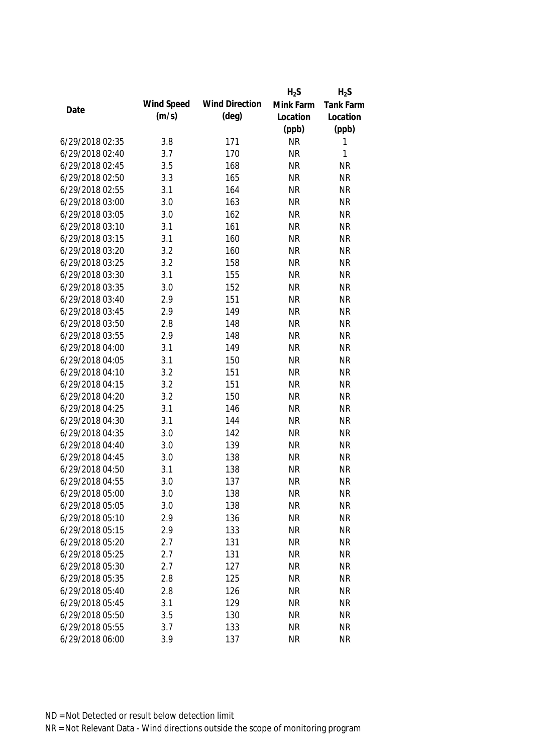|                 |            |                       | $H_2S$    | $H_2S$           |
|-----------------|------------|-----------------------|-----------|------------------|
| Date            | Wind Speed | <b>Wind Direction</b> | Mink Farm | <b>Tank Farm</b> |
|                 | (m/s)      | $(\text{deg})$        | Location  | Location         |
|                 |            |                       | (ppb)     | (ppb)            |
| 6/29/2018 02:35 | 3.8        | 171                   | <b>NR</b> | 1                |
| 6/29/2018 02:40 | 3.7        | 170                   | <b>NR</b> | 1                |
| 6/29/2018 02:45 | 3.5        | 168                   | <b>NR</b> | <b>NR</b>        |
| 6/29/2018 02:50 | 3.3        | 165                   | <b>NR</b> | <b>NR</b>        |
| 6/29/2018 02:55 | 3.1        | 164                   | <b>NR</b> | <b>NR</b>        |
| 6/29/2018 03:00 | 3.0        | 163                   | <b>NR</b> | <b>NR</b>        |
| 6/29/2018 03:05 | 3.0        | 162                   | <b>NR</b> | <b>NR</b>        |
| 6/29/2018 03:10 | 3.1        | 161                   | <b>NR</b> | <b>NR</b>        |
| 6/29/2018 03:15 | 3.1        | 160                   | <b>NR</b> | <b>NR</b>        |
| 6/29/2018 03:20 | 3.2        | 160                   | <b>NR</b> | <b>NR</b>        |
| 6/29/2018 03:25 | 3.2        | 158                   | <b>NR</b> | <b>NR</b>        |
| 6/29/2018 03:30 | 3.1        | 155                   | <b>NR</b> | <b>NR</b>        |
| 6/29/2018 03:35 | 3.0        | 152                   | <b>NR</b> | <b>NR</b>        |
| 6/29/2018 03:40 | 2.9        | 151                   | <b>NR</b> | <b>NR</b>        |
| 6/29/2018 03:45 | 2.9        | 149                   | <b>NR</b> | <b>NR</b>        |
| 6/29/2018 03:50 | 2.8        | 148                   | <b>NR</b> | <b>NR</b>        |
| 6/29/2018 03:55 | 2.9        | 148                   | <b>NR</b> | <b>NR</b>        |
| 6/29/2018 04:00 | 3.1        | 149                   | <b>NR</b> | <b>NR</b>        |
| 6/29/2018 04:05 | 3.1        | 150                   | <b>NR</b> | <b>NR</b>        |
| 6/29/2018 04:10 | 3.2        | 151                   | <b>NR</b> | <b>NR</b>        |
| 6/29/2018 04:15 | 3.2        | 151                   | <b>NR</b> | <b>NR</b>        |
| 6/29/2018 04:20 | 3.2        | 150                   | <b>NR</b> | <b>NR</b>        |
| 6/29/2018 04:25 | 3.1        | 146                   | <b>NR</b> | <b>NR</b>        |
| 6/29/2018 04:30 | 3.1        | 144                   | <b>NR</b> | <b>NR</b>        |
| 6/29/2018 04:35 | 3.0        | 142                   | <b>NR</b> | <b>NR</b>        |
| 6/29/2018 04:40 | 3.0        | 139                   | <b>NR</b> | <b>NR</b>        |
| 6/29/2018 04:45 | 3.0        | 138                   | <b>NR</b> | <b>NR</b>        |
| 6/29/2018 04:50 | 3.1        | 138                   | <b>NR</b> | <b>NR</b>        |
| 6/29/2018 04:55 | 3.0        | 137                   | <b>NR</b> | <b>NR</b>        |
| 6/29/2018 05:00 | 3.0        | 138                   | <b>NR</b> | <b>NR</b>        |
| 6/29/2018 05:05 | 3.0        | 138                   | <b>NR</b> | <b>NR</b>        |
| 6/29/2018 05:10 | 2.9        | 136                   | <b>NR</b> | <b>NR</b>        |
| 6/29/2018 05:15 | 2.9        | 133                   | <b>NR</b> | <b>NR</b>        |
| 6/29/2018 05:20 | 2.7        | 131                   | <b>NR</b> | <b>NR</b>        |
| 6/29/2018 05:25 | 2.7        | 131                   | <b>NR</b> | <b>NR</b>        |
| 6/29/2018 05:30 | 2.7        | 127                   | <b>NR</b> | <b>NR</b>        |
| 6/29/2018 05:35 | 2.8        | 125                   | <b>NR</b> | <b>NR</b>        |
| 6/29/2018 05:40 | 2.8        | 126                   | <b>NR</b> | <b>NR</b>        |
| 6/29/2018 05:45 | 3.1        | 129                   | <b>NR</b> | <b>NR</b>        |
| 6/29/2018 05:50 | 3.5        | 130                   | <b>NR</b> | <b>NR</b>        |
| 6/29/2018 05:55 | 3.7        | 133                   | <b>NR</b> | <b>NR</b>        |
| 6/29/2018 06:00 | 3.9        | 137                   | <b>NR</b> | <b>NR</b>        |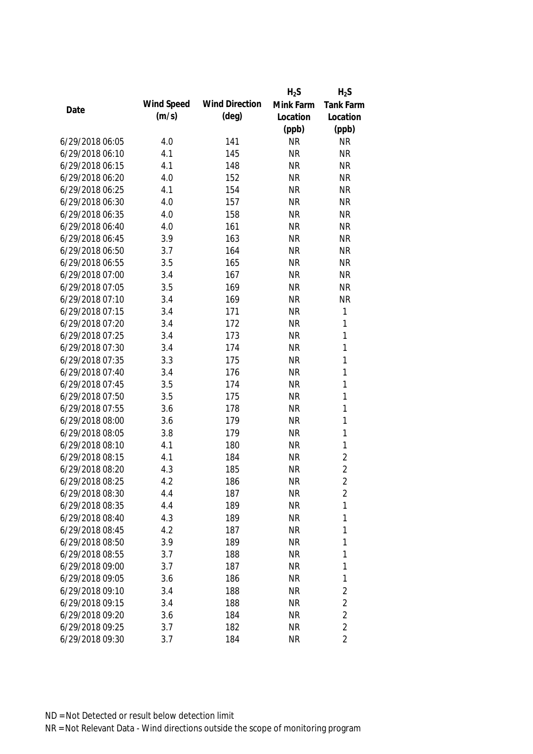|                 |            |                       | $H_2S$    | $H_2S$           |
|-----------------|------------|-----------------------|-----------|------------------|
| Date            | Wind Speed | <b>Wind Direction</b> | Mink Farm | <b>Tank Farm</b> |
|                 | (m/s)      | $(\text{deg})$        | Location  | Location         |
|                 |            |                       | (ppb)     | (ppb)            |
| 6/29/2018 06:05 | 4.0        | 141                   | <b>NR</b> | <b>NR</b>        |
| 6/29/2018 06:10 | 4.1        | 145                   | <b>NR</b> | <b>NR</b>        |
| 6/29/2018 06:15 | 4.1        | 148                   | <b>NR</b> | <b>NR</b>        |
| 6/29/2018 06:20 | 4.0        | 152                   | <b>NR</b> | <b>NR</b>        |
| 6/29/2018 06:25 | 4.1        | 154                   | <b>NR</b> | <b>NR</b>        |
| 6/29/2018 06:30 | 4.0        | 157                   | <b>NR</b> | <b>NR</b>        |
| 6/29/2018 06:35 | 4.0        | 158                   | <b>NR</b> | <b>NR</b>        |
| 6/29/2018 06:40 | 4.0        | 161                   | <b>NR</b> | <b>NR</b>        |
| 6/29/2018 06:45 | 3.9        | 163                   | <b>NR</b> | <b>NR</b>        |
| 6/29/2018 06:50 | 3.7        | 164                   | <b>NR</b> | <b>NR</b>        |
| 6/29/2018 06:55 | 3.5        | 165                   | <b>NR</b> | <b>NR</b>        |
| 6/29/2018 07:00 | 3.4        | 167                   | <b>NR</b> | <b>NR</b>        |
| 6/29/2018 07:05 | 3.5        | 169                   | <b>NR</b> | <b>NR</b>        |
| 6/29/2018 07:10 | 3.4        | 169                   | <b>NR</b> | <b>NR</b>        |
| 6/29/2018 07:15 | 3.4        | 171                   | <b>NR</b> | $\mathbf{1}$     |
| 6/29/2018 07:20 | 3.4        | 172                   | <b>NR</b> | $\mathbf{1}$     |
| 6/29/2018 07:25 | 3.4        | 173                   | <b>NR</b> | $\mathbf{1}$     |
| 6/29/2018 07:30 | 3.4        | 174                   | <b>NR</b> | 1                |
| 6/29/2018 07:35 | 3.3        | 175                   | <b>NR</b> | $\mathbf{1}$     |
| 6/29/2018 07:40 | 3.4        | 176                   | <b>NR</b> | 1                |
| 6/29/2018 07:45 | 3.5        | 174                   | <b>NR</b> | $\mathbf{1}$     |
| 6/29/2018 07:50 | 3.5        | 175                   | <b>NR</b> | $\mathbf{1}$     |
| 6/29/2018 07:55 | 3.6        | 178                   | <b>NR</b> | $\mathbf{1}$     |
| 6/29/2018 08:00 | 3.6        | 179                   | <b>NR</b> | $\mathbf{1}$     |
| 6/29/2018 08:05 | 3.8        | 179                   | <b>NR</b> | $\mathbf{1}$     |
| 6/29/2018 08:10 | 4.1        | 180                   | <b>NR</b> | $\mathbf{1}$     |
| 6/29/2018 08:15 | 4.1        | 184                   | <b>NR</b> | $\overline{2}$   |
| 6/29/2018 08:20 | 4.3        | 185                   | <b>NR</b> | $\overline{c}$   |
| 6/29/2018 08:25 | 4.2        | 186                   | <b>NR</b> | $\overline{2}$   |
| 6/29/2018 08:30 | 4.4        | 187                   | <b>NR</b> | 2                |
| 6/29/2018 08:35 | 4.4        | 189                   | <b>NR</b> | 1                |
| 6/29/2018 08:40 | 4.3        | 189                   | <b>NR</b> | 1                |
| 6/29/2018 08:45 | 4.2        | 187                   | <b>NR</b> | 1                |
| 6/29/2018 08:50 | 3.9        | 189                   | <b>NR</b> | 1                |
| 6/29/2018 08:55 | 3.7        | 188                   | <b>NR</b> | 1                |
| 6/29/2018 09:00 | 3.7        | 187                   | <b>NR</b> | 1                |
| 6/29/2018 09:05 | 3.6        | 186                   | <b>NR</b> | 1                |
| 6/29/2018 09:10 | 3.4        | 188                   | <b>NR</b> | 2                |
| 6/29/2018 09:15 | 3.4        | 188                   | <b>NR</b> | $\overline{2}$   |
| 6/29/2018 09:20 | 3.6        | 184                   | <b>NR</b> | $\overline{2}$   |
| 6/29/2018 09:25 | 3.7        | 182                   | <b>NR</b> | $\overline{2}$   |
| 6/29/2018 09:30 | 3.7        | 184                   | <b>NR</b> | $\overline{2}$   |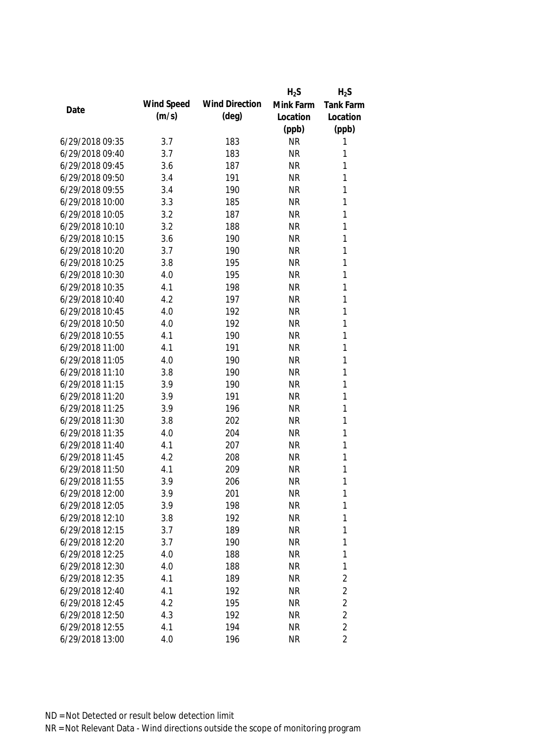|                 |            |                       | $H_2S$    | $H_2S$           |
|-----------------|------------|-----------------------|-----------|------------------|
| Date            | Wind Speed | <b>Wind Direction</b> | Mink Farm | <b>Tank Farm</b> |
|                 | (m/s)      | $(\text{deg})$        | Location  | Location         |
|                 |            |                       | (ppb)     | (ppb)            |
| 6/29/2018 09:35 | 3.7        | 183                   | <b>NR</b> | 1                |
| 6/29/2018 09:40 | 3.7        | 183                   | <b>NR</b> | 1                |
| 6/29/2018 09:45 | 3.6        | 187                   | <b>NR</b> | $\mathbf{1}$     |
| 6/29/2018 09:50 | 3.4        | 191                   | <b>NR</b> | 1                |
| 6/29/2018 09:55 | 3.4        | 190                   | <b>NR</b> | 1                |
| 6/29/2018 10:00 | 3.3        | 185                   | <b>NR</b> | 1                |
| 6/29/2018 10:05 | 3.2        | 187                   | <b>NR</b> | 1                |
| 6/29/2018 10:10 | 3.2        | 188                   | <b>NR</b> | 1                |
| 6/29/2018 10:15 | 3.6        | 190                   | <b>NR</b> | 1                |
| 6/29/2018 10:20 | 3.7        | 190                   | <b>NR</b> | $\mathbf{1}$     |
| 6/29/2018 10:25 | 3.8        | 195                   | <b>NR</b> | 1                |
| 6/29/2018 10:30 | 4.0        | 195                   | <b>NR</b> | 1                |
| 6/29/2018 10:35 | 4.1        | 198                   | <b>NR</b> | 1                |
| 6/29/2018 10:40 | 4.2        | 197                   | <b>NR</b> | 1                |
| 6/29/2018 10:45 | 4.0        | 192                   | <b>NR</b> | $\mathbf{1}$     |
| 6/29/2018 10:50 | 4.0        | 192                   | <b>NR</b> | 1                |
| 6/29/2018 10:55 | 4.1        | 190                   | <b>NR</b> | 1                |
| 6/29/2018 11:00 | 4.1        | 191                   | <b>NR</b> | 1                |
| 6/29/2018 11:05 | 4.0        | 190                   | <b>NR</b> | 1                |
| 6/29/2018 11:10 | 3.8        | 190                   | <b>NR</b> | 1                |
| 6/29/2018 11:15 | 3.9        | 190                   | <b>NR</b> | 1                |
| 6/29/2018 11:20 | 3.9        | 191                   | <b>NR</b> | $\mathbf{1}$     |
| 6/29/2018 11:25 | 3.9        | 196                   | <b>NR</b> | $\mathbf{1}$     |
| 6/29/2018 11:30 | 3.8        | 202                   | <b>NR</b> | $\mathbf{1}$     |
| 6/29/2018 11:35 | 4.0        | 204                   | <b>NR</b> | 1                |
| 6/29/2018 11:40 | 4.1        | 207                   | <b>NR</b> | $\mathbf{1}$     |
| 6/29/2018 11:45 | 4.2        | 208                   | <b>NR</b> | 1                |
| 6/29/2018 11:50 | 4.1        | 209                   | <b>NR</b> | 1                |
| 6/29/2018 11:55 | 3.9        | 206                   | <b>NR</b> | 1                |
| 6/29/2018 12:00 | 3.9        | 201                   | <b>NR</b> | 1                |
| 6/29/2018 12:05 | 3.9        | 198                   | <b>NR</b> | 1                |
| 6/29/2018 12:10 | 3.8        | 192                   | <b>NR</b> | 1                |
| 6/29/2018 12:15 | 3.7        | 189                   | <b>NR</b> | 1                |
| 6/29/2018 12:20 | 3.7        | 190                   | <b>NR</b> | 1                |
| 6/29/2018 12:25 | 4.0        | 188                   | <b>NR</b> | 1                |
| 6/29/2018 12:30 | 4.0        | 188                   | <b>NR</b> | 1                |
| 6/29/2018 12:35 | 4.1        | 189                   | <b>NR</b> | $\overline{2}$   |
| 6/29/2018 12:40 | 4.1        | 192                   | <b>NR</b> | 2                |
| 6/29/2018 12:45 | 4.2        | 195                   | <b>NR</b> | $\overline{2}$   |
| 6/29/2018 12:50 | 4.3        | 192                   | <b>NR</b> | $\overline{2}$   |
| 6/29/2018 12:55 | 4.1        | 194                   | <b>NR</b> | $\overline{2}$   |
| 6/29/2018 13:00 | 4.0        | 196                   | <b>NR</b> | $\overline{2}$   |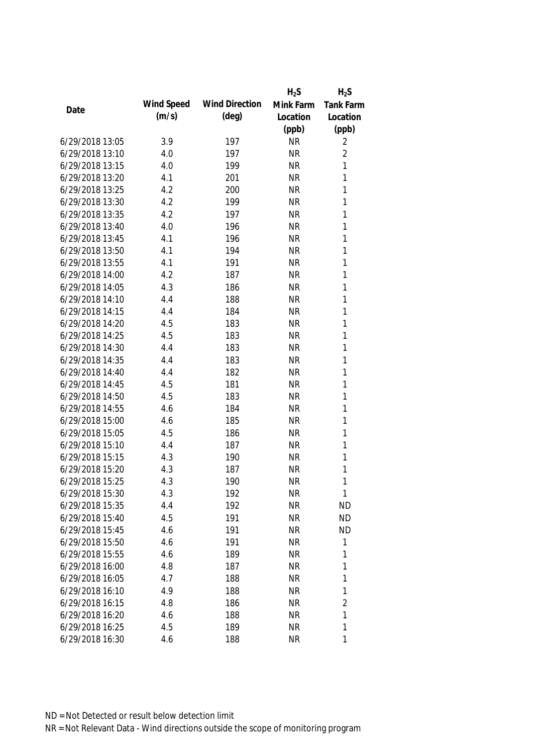|                 |            |                       | $H_2S$    | $H_2S$           |
|-----------------|------------|-----------------------|-----------|------------------|
| Date            | Wind Speed | <b>Wind Direction</b> | Mink Farm | <b>Tank Farm</b> |
|                 | (m/s)      | $(\text{deg})$        | Location  | Location         |
|                 |            |                       | (ppb)     | (ppb)            |
| 6/29/2018 13:05 | 3.9        | 197                   | <b>NR</b> | 2                |
| 6/29/2018 13:10 | 4.0        | 197                   | <b>NR</b> | $\overline{2}$   |
| 6/29/2018 13:15 | 4.0        | 199                   | <b>NR</b> | $\mathbf{1}$     |
| 6/29/2018 13:20 | 4.1        | 201                   | <b>NR</b> | $\mathbf{1}$     |
| 6/29/2018 13:25 | 4.2        | 200                   | <b>NR</b> | 1                |
| 6/29/2018 13:30 | 4.2        | 199                   | <b>NR</b> | $\mathbf{1}$     |
| 6/29/2018 13:35 | 4.2        | 197                   | <b>NR</b> | $\mathbf{1}$     |
| 6/29/2018 13:40 | 4.0        | 196                   | <b>NR</b> | $\mathbf{1}$     |
| 6/29/2018 13:45 | 4.1        | 196                   | <b>NR</b> | 1                |
| 6/29/2018 13:50 | 4.1        | 194                   | <b>NR</b> | $\mathbf{1}$     |
| 6/29/2018 13:55 | 4.1        | 191                   | <b>NR</b> | $\mathbf{1}$     |
| 6/29/2018 14:00 | 4.2        | 187                   | <b>NR</b> | 1                |
| 6/29/2018 14:05 | 4.3        | 186                   | <b>NR</b> | 1                |
| 6/29/2018 14:10 | 4.4        | 188                   | <b>NR</b> | $\mathbf{1}$     |
| 6/29/2018 14:15 | 4.4        | 184                   | <b>NR</b> | $\mathbf{1}$     |
| 6/29/2018 14:20 | 4.5        | 183                   | <b>NR</b> | $\mathbf{1}$     |
| 6/29/2018 14:25 | 4.5        | 183                   | <b>NR</b> | $\mathbf{1}$     |
| 6/29/2018 14:30 | 4.4        | 183                   | <b>NR</b> | $\mathbf{1}$     |
| 6/29/2018 14:35 | 4.4        | 183                   | <b>NR</b> | $\mathbf{1}$     |
| 6/29/2018 14:40 | 4.4        | 182                   | <b>NR</b> | 1                |
| 6/29/2018 14:45 | 4.5        | 181                   | <b>NR</b> | $\mathbf{1}$     |
| 6/29/2018 14:50 | 4.5        | 183                   | <b>NR</b> | $\mathbf{1}$     |
| 6/29/2018 14:55 | 4.6        | 184                   | <b>NR</b> | $\mathbf{1}$     |
| 6/29/2018 15:00 | 4.6        | 185                   | <b>NR</b> | $\mathbf{1}$     |
| 6/29/2018 15:05 | 4.5        | 186                   | <b>NR</b> | $\mathbf{1}$     |
| 6/29/2018 15:10 | 4.4        | 187                   | <b>NR</b> | $\mathbf{1}$     |
| 6/29/2018 15:15 | 4.3        | 190                   | <b>NR</b> | $\mathbf{1}$     |
| 6/29/2018 15:20 | 4.3        | 187                   | <b>NR</b> | 1                |
| 6/29/2018 15:25 | 4.3        | 190                   | <b>NR</b> | 1                |
| 6/29/2018 15:30 | 4.3        | 192                   | <b>NR</b> | 1                |
| 6/29/2018 15:35 | 4.4        | 192                   | <b>NR</b> | <b>ND</b>        |
| 6/29/2018 15:40 | 4.5        | 191                   | <b>NR</b> | <b>ND</b>        |
| 6/29/2018 15:45 | 4.6        | 191                   | <b>NR</b> | <b>ND</b>        |
| 6/29/2018 15:50 | 4.6        | 191                   | <b>NR</b> | $\mathbf{1}$     |
| 6/29/2018 15:55 | 4.6        | 189                   | <b>NR</b> | $\mathbf{1}$     |
| 6/29/2018 16:00 | 4.8        | 187                   | <b>NR</b> | 1                |
| 6/29/2018 16:05 | 4.7        | 188                   | <b>NR</b> | $\mathbf{1}$     |
| 6/29/2018 16:10 | 4.9        | 188                   | <b>NR</b> | 1                |
| 6/29/2018 16:15 | 4.8        | 186                   | <b>NR</b> | $\overline{2}$   |
| 6/29/2018 16:20 | 4.6        | 188                   | <b>NR</b> | 1                |
| 6/29/2018 16:25 | 4.5        | 189                   | <b>NR</b> | $\mathbf{1}$     |
| 6/29/2018 16:30 | 4.6        | 188                   | <b>NR</b> | 1                |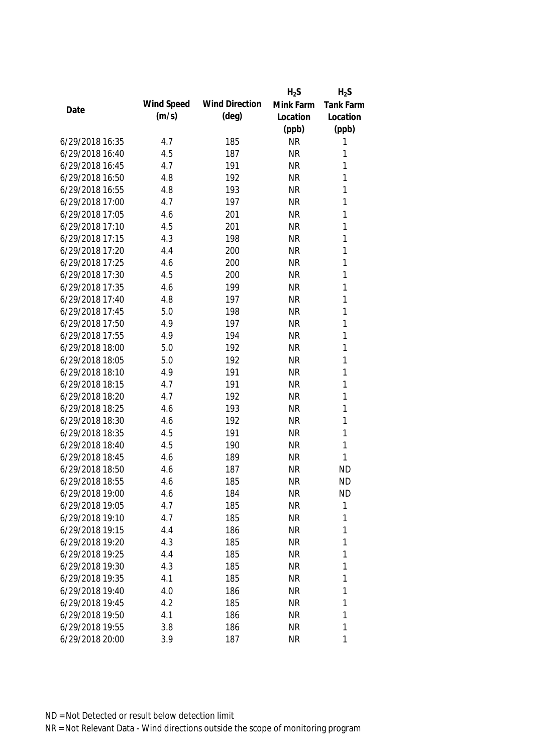|                 |            |                       | $H_2S$    | $H_2S$           |
|-----------------|------------|-----------------------|-----------|------------------|
|                 | Wind Speed | <b>Wind Direction</b> | Mink Farm | <b>Tank Farm</b> |
| Date            | (m/s)      | $(\text{deg})$        | Location  | Location         |
|                 |            |                       | (ppb)     | (ppb)            |
| 6/29/2018 16:35 | 4.7        | 185                   | <b>NR</b> | 1                |
| 6/29/2018 16:40 | 4.5        | 187                   | <b>NR</b> | 1                |
| 6/29/2018 16:45 | 4.7        | 191                   | <b>NR</b> | 1                |
| 6/29/2018 16:50 | 4.8        | 192                   | <b>NR</b> | 1                |
| 6/29/2018 16:55 | 4.8        | 193                   | <b>NR</b> | 1                |
| 6/29/2018 17:00 | 4.7        | 197                   | <b>NR</b> | $\mathbf{1}$     |
| 6/29/2018 17:05 | 4.6        | 201                   | <b>NR</b> | $\mathbf{1}$     |
| 6/29/2018 17:10 | 4.5        | 201                   | <b>NR</b> | 1                |
| 6/29/2018 17:15 | 4.3        | 198                   | <b>NR</b> | $\mathbf{1}$     |
| 6/29/2018 17:20 | 4.4        | 200                   | <b>NR</b> | $\mathbf{1}$     |
| 6/29/2018 17:25 | 4.6        | 200                   | <b>NR</b> | $\mathbf{1}$     |
| 6/29/2018 17:30 | 4.5        | 200                   | <b>NR</b> | 1                |
| 6/29/2018 17:35 | 4.6        | 199                   | <b>NR</b> | $\mathbf{1}$     |
| 6/29/2018 17:40 | 4.8        | 197                   | <b>NR</b> | $\mathbf{1}$     |
| 6/29/2018 17:45 | 5.0        | 198                   | <b>NR</b> | $\mathbf{1}$     |
| 6/29/2018 17:50 | 4.9        | 197                   | <b>NR</b> | $\mathbf{1}$     |
| 6/29/2018 17:55 | 4.9        | 194                   | <b>NR</b> | 1                |
| 6/29/2018 18:00 | 5.0        | 192                   | <b>NR</b> | 1                |
| 6/29/2018 18:05 | 5.0        | 192                   | <b>NR</b> | 1                |
| 6/29/2018 18:10 | 4.9        | 191                   | <b>NR</b> | 1                |
| 6/29/2018 18:15 | 4.7        | 191                   | <b>NR</b> | $\mathbf{1}$     |
| 6/29/2018 18:20 | 4.7        | 192                   | <b>NR</b> | $\mathbf{1}$     |
| 6/29/2018 18:25 | 4.6        | 193                   | <b>NR</b> | $\mathbf{1}$     |
| 6/29/2018 18:30 | 4.6        | 192                   | <b>NR</b> | $\mathbf{1}$     |
| 6/29/2018 18:35 | 4.5        | 191                   | <b>NR</b> | 1                |
| 6/29/2018 18:40 | 4.5        | 190                   | <b>NR</b> | $\mathbf{1}$     |
| 6/29/2018 18:45 | 4.6        | 189                   | <b>NR</b> | 1                |
| 6/29/2018 18:50 | 4.6        | 187                   | <b>NR</b> | <b>ND</b>        |
| 6/29/2018 18:55 | 4.6        | 185                   | <b>NR</b> | <b>ND</b>        |
| 6/29/2018 19:00 | 4.6        | 184                   | <b>NR</b> | <b>ND</b>        |
| 6/29/2018 19:05 | 4.7        | 185                   | <b>NR</b> | 1                |
| 6/29/2018 19:10 | 4.7        | 185                   | <b>NR</b> | 1                |
| 6/29/2018 19:15 | 4.4        | 186                   | <b>NR</b> | 1                |
| 6/29/2018 19:20 | 4.3        | 185                   | <b>NR</b> | 1                |
| 6/29/2018 19:25 | 4.4        | 185                   | <b>NR</b> | $\mathbf{1}$     |
| 6/29/2018 19:30 | 4.3        | 185                   | <b>NR</b> | 1                |
| 6/29/2018 19:35 | 4.1        | 185                   | <b>NR</b> | 1                |
| 6/29/2018 19:40 | 4.0        | 186                   | <b>NR</b> | 1                |
| 6/29/2018 19:45 | 4.2        | 185                   | <b>NR</b> | 1                |
| 6/29/2018 19:50 | 4.1        | 186                   | <b>NR</b> | 1                |
| 6/29/2018 19:55 | 3.8        | 186                   | <b>NR</b> | 1                |
| 6/29/2018 20:00 | 3.9        | 187                   | <b>NR</b> | 1                |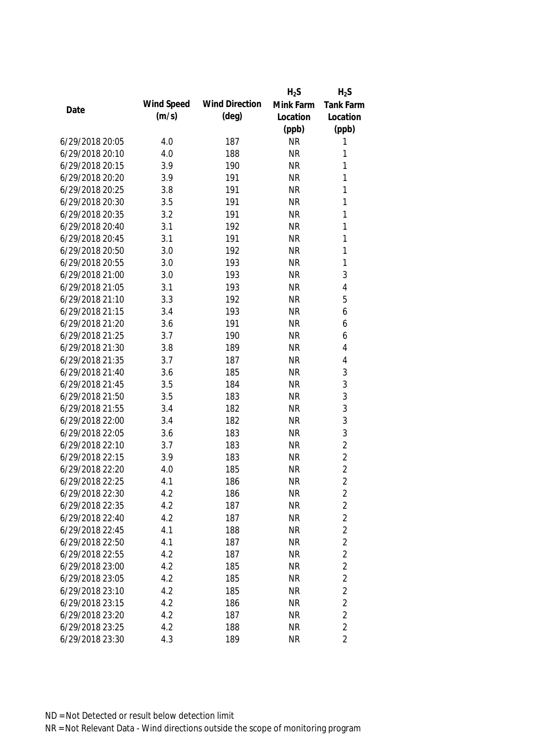|                 |            |                       | $H_2S$    | $H_2S$           |
|-----------------|------------|-----------------------|-----------|------------------|
| Date            | Wind Speed | <b>Wind Direction</b> | Mink Farm | <b>Tank Farm</b> |
|                 | (m/s)      | $(\text{deg})$        | Location  | Location         |
|                 |            |                       | (ppb)     | (ppb)            |
| 6/29/2018 20:05 | 4.0        | 187                   | <b>NR</b> | 1                |
| 6/29/2018 20:10 | 4.0        | 188                   | <b>NR</b> | 1                |
| 6/29/2018 20:15 | 3.9        | 190                   | <b>NR</b> | $\mathbf{1}$     |
| 6/29/2018 20:20 | 3.9        | 191                   | <b>NR</b> | 1                |
| 6/29/2018 20:25 | 3.8        | 191                   | <b>NR</b> | 1                |
| 6/29/2018 20:30 | 3.5        | 191                   | <b>NR</b> | 1                |
| 6/29/2018 20:35 | 3.2        | 191                   | <b>NR</b> | 1                |
| 6/29/2018 20:40 | 3.1        | 192                   | <b>NR</b> | 1                |
| 6/29/2018 20:45 | 3.1        | 191                   | <b>NR</b> | 1                |
| 6/29/2018 20:50 | 3.0        | 192                   | <b>NR</b> | 1                |
| 6/29/2018 20:55 | 3.0        | 193                   | <b>NR</b> | $\mathbf{1}$     |
| 6/29/2018 21:00 | 3.0        | 193                   | <b>NR</b> | 3                |
| 6/29/2018 21:05 | 3.1        | 193                   | <b>NR</b> | 4                |
| 6/29/2018 21:10 | 3.3        | 192                   | <b>NR</b> | 5                |
| 6/29/2018 21:15 | 3.4        | 193                   | <b>NR</b> | 6                |
| 6/29/2018 21:20 | 3.6        | 191                   | <b>NR</b> | 6                |
| 6/29/2018 21:25 | 3.7        | 190                   | <b>NR</b> | 6                |
| 6/29/2018 21:30 | 3.8        | 189                   | <b>NR</b> | 4                |
| 6/29/2018 21:35 | 3.7        | 187                   | <b>NR</b> | 4                |
| 6/29/2018 21:40 | 3.6        | 185                   | <b>NR</b> | $\mathfrak{Z}$   |
| 6/29/2018 21:45 | 3.5        | 184                   | <b>NR</b> | $\mathfrak{Z}$   |
| 6/29/2018 21:50 | 3.5        | 183                   | <b>NR</b> | $\mathfrak{Z}$   |
| 6/29/2018 21:55 | 3.4        | 182                   | <b>NR</b> | 3                |
| 6/29/2018 22:00 | 3.4        | 182                   | <b>NR</b> | 3                |
| 6/29/2018 22:05 | 3.6        | 183                   | <b>NR</b> | 3                |
| 6/29/2018 22:10 | 3.7        | 183                   | <b>NR</b> | $\overline{2}$   |
| 6/29/2018 22:15 | 3.9        | 183                   | <b>NR</b> | $\overline{2}$   |
| 6/29/2018 22:20 | 4.0        | 185                   | <b>NR</b> | $\overline{2}$   |
| 6/29/2018 22:25 | 4.1        | 186                   | <b>NR</b> | $\overline{2}$   |
| 6/29/2018 22:30 | 4.2        | 186                   | <b>NR</b> | 2                |
| 6/29/2018 22:35 | 4.2        | 187                   | <b>NR</b> | $\overline{c}$   |
| 6/29/2018 22:40 | 4.2        | 187                   | <b>NR</b> | $\overline{2}$   |
| 6/29/2018 22:45 | 4.1        | 188                   | <b>NR</b> | $\overline{2}$   |
| 6/29/2018 22:50 | 4.1        | 187                   | <b>NR</b> | $\overline{2}$   |
| 6/29/2018 22:55 | 4.2        | 187                   | <b>NR</b> | $\overline{2}$   |
| 6/29/2018 23:00 | 4.2        | 185                   | <b>NR</b> | $\overline{2}$   |
| 6/29/2018 23:05 | 4.2        | 185                   | <b>NR</b> | $\overline{2}$   |
| 6/29/2018 23:10 | 4.2        | 185                   | <b>NR</b> | $\overline{2}$   |
| 6/29/2018 23:15 | 4.2        | 186                   | <b>NR</b> | $\overline{2}$   |
| 6/29/2018 23:20 | 4.2        | 187                   | <b>NR</b> | $\overline{2}$   |
| 6/29/2018 23:25 | 4.2        | 188                   | <b>NR</b> | $\overline{2}$   |
| 6/29/2018 23:30 | 4.3        | 189                   | <b>NR</b> | $\overline{2}$   |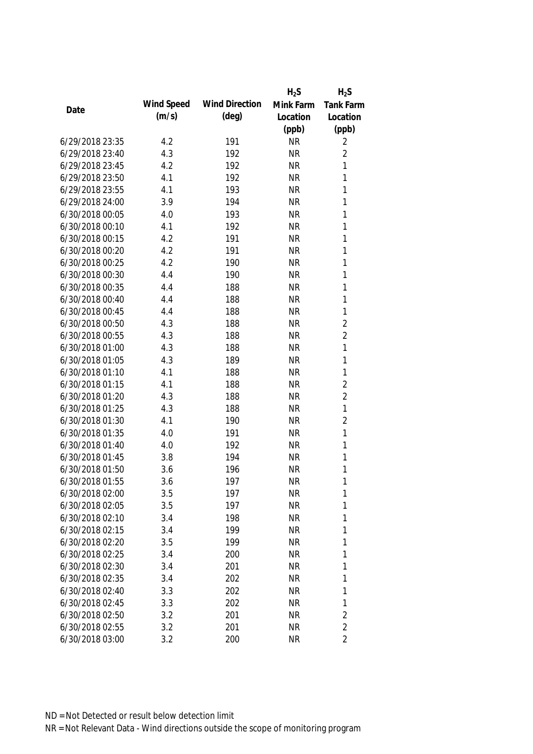|                 |            |                       | $H_2S$    | $H_2S$           |
|-----------------|------------|-----------------------|-----------|------------------|
| Date            | Wind Speed | <b>Wind Direction</b> | Mink Farm | <b>Tank Farm</b> |
|                 | (m/s)      | $(\text{deg})$        | Location  | Location         |
|                 |            |                       | (ppb)     | (ppb)            |
| 6/29/2018 23:35 | 4.2        | 191                   | <b>NR</b> | 2                |
| 6/29/2018 23:40 | 4.3        | 192                   | <b>NR</b> | $\overline{2}$   |
| 6/29/2018 23:45 | 4.2        | 192                   | <b>NR</b> | 1                |
| 6/29/2018 23:50 | 4.1        | 192                   | <b>NR</b> | 1                |
| 6/29/2018 23:55 | 4.1        | 193                   | <b>NR</b> | 1                |
| 6/29/2018 24:00 | 3.9        | 194                   | <b>NR</b> | 1                |
| 6/30/2018 00:05 | 4.0        | 193                   | <b>NR</b> | 1                |
| 6/30/2018 00:10 | 4.1        | 192                   | <b>NR</b> | 1                |
| 6/30/2018 00:15 | 4.2        | 191                   | <b>NR</b> | 1                |
| 6/30/2018 00:20 | 4.2        | 191                   | <b>NR</b> | 1                |
| 6/30/2018 00:25 | 4.2        | 190                   | <b>NR</b> | 1                |
| 6/30/2018 00:30 | 4.4        | 190                   | <b>NR</b> | 1                |
| 6/30/2018 00:35 | 4.4        | 188                   | <b>NR</b> | 1                |
| 6/30/2018 00:40 | 4.4        | 188                   | <b>NR</b> | 1                |
| 6/30/2018 00:45 | 4.4        | 188                   | <b>NR</b> | $\mathbf{1}$     |
| 6/30/2018 00:50 | 4.3        | 188                   | <b>NR</b> | $\overline{2}$   |
| 6/30/2018 00:55 | 4.3        | 188                   | <b>NR</b> | $\overline{2}$   |
| 6/30/2018 01:00 | 4.3        | 188                   | <b>NR</b> | $\mathbf{1}$     |
| 6/30/2018 01:05 | 4.3        | 189                   | <b>NR</b> | $\mathbf{1}$     |
| 6/30/2018 01:10 | 4.1        | 188                   | <b>NR</b> | 1                |
| 6/30/2018 01:15 | 4.1        | 188                   | <b>NR</b> | $\sqrt{2}$       |
| 6/30/2018 01:20 | 4.3        | 188                   | <b>NR</b> | $\overline{2}$   |
| 6/30/2018 01:25 | 4.3        | 188                   | <b>NR</b> | $\mathbf{1}$     |
| 6/30/2018 01:30 | 4.1        | 190                   | <b>NR</b> | $\overline{2}$   |
| 6/30/2018 01:35 | 4.0        | 191                   | <b>NR</b> | 1                |
| 6/30/2018 01:40 | 4.0        | 192                   | <b>NR</b> | 1                |
| 6/30/2018 01:45 | 3.8        | 194                   | <b>NR</b> | 1                |
| 6/30/2018 01:50 | 3.6        | 196                   | <b>NR</b> | 1                |
| 6/30/2018 01:55 | 3.6        | 197                   | <b>NR</b> | 1                |
| 6/30/2018 02:00 | 3.5        | 197                   | <b>NR</b> | 1                |
| 6/30/2018 02:05 | 3.5        | 197                   | <b>NR</b> | 1                |
| 6/30/2018 02:10 | 3.4        | 198                   | <b>NR</b> | 1                |
| 6/30/2018 02:15 | 3.4        | 199                   | <b>NR</b> | 1                |
| 6/30/2018 02:20 | 3.5        | 199                   | <b>NR</b> | 1                |
| 6/30/2018 02:25 | 3.4        | 200                   | <b>NR</b> | 1                |
| 6/30/2018 02:30 | 3.4        | 201                   | <b>NR</b> | 1                |
| 6/30/2018 02:35 | 3.4        | 202                   | <b>NR</b> | 1                |
| 6/30/2018 02:40 | 3.3        | 202                   | <b>NR</b> | 1                |
| 6/30/2018 02:45 | 3.3        | 202                   | <b>NR</b> | 1                |
| 6/30/2018 02:50 | 3.2        | 201                   | <b>NR</b> | $\overline{2}$   |
| 6/30/2018 02:55 | 3.2        | 201                   | <b>NR</b> | $\overline{2}$   |
| 6/30/2018 03:00 | 3.2        | 200                   | <b>NR</b> | $\overline{2}$   |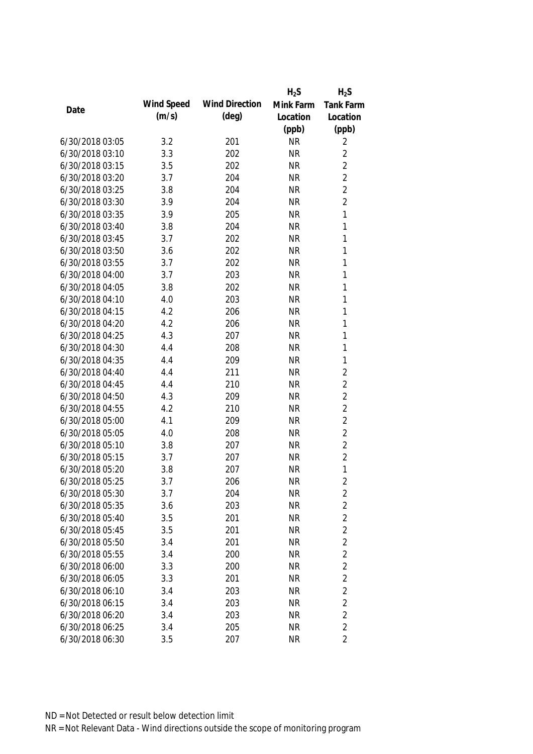|                 |            |                       | $H_2S$    | $H_2S$           |
|-----------------|------------|-----------------------|-----------|------------------|
| Date            | Wind Speed | <b>Wind Direction</b> | Mink Farm | <b>Tank Farm</b> |
|                 | (m/s)      | $(\text{deg})$        | Location  | Location         |
|                 |            |                       | (ppb)     | (ppb)            |
| 6/30/2018 03:05 | 3.2        | 201                   | <b>NR</b> | 2                |
| 6/30/2018 03:10 | 3.3        | 202                   | <b>NR</b> | $\overline{2}$   |
| 6/30/2018 03:15 | 3.5        | 202                   | <b>NR</b> | $\overline{2}$   |
| 6/30/2018 03:20 | 3.7        | 204                   | <b>NR</b> | $\overline{2}$   |
| 6/30/2018 03:25 | 3.8        | 204                   | <b>NR</b> | $\overline{2}$   |
| 6/30/2018 03:30 | 3.9        | 204                   | <b>NR</b> | $\overline{2}$   |
| 6/30/2018 03:35 | 3.9        | 205                   | <b>NR</b> | $\mathbf{1}$     |
| 6/30/2018 03:40 | 3.8        | 204                   | <b>NR</b> | $\mathbf{1}$     |
| 6/30/2018 03:45 | 3.7        | 202                   | <b>NR</b> | 1                |
| 6/30/2018 03:50 | 3.6        | 202                   | <b>NR</b> | 1                |
| 6/30/2018 03:55 | 3.7        | 202                   | <b>NR</b> | 1                |
| 6/30/2018 04:00 | 3.7        | 203                   | <b>NR</b> | 1                |
| 6/30/2018 04:05 | 3.8        | 202                   | <b>NR</b> | 1                |
| 6/30/2018 04:10 | 4.0        | 203                   | <b>NR</b> | 1                |
| 6/30/2018 04:15 | 4.2        | 206                   | <b>NR</b> | 1                |
| 6/30/2018 04:20 | 4.2        | 206                   | <b>NR</b> | 1                |
| 6/30/2018 04:25 | 4.3        | 207                   | <b>NR</b> | 1                |
| 6/30/2018 04:30 | 4.4        | 208                   | <b>NR</b> | 1                |
| 6/30/2018 04:35 | 4.4        | 209                   | <b>NR</b> | $\mathbf{1}$     |
| 6/30/2018 04:40 | 4.4        | 211                   | <b>NR</b> | $\overline{2}$   |
| 6/30/2018 04:45 | 4.4        | 210                   | <b>NR</b> | $\overline{2}$   |
| 6/30/2018 04:50 | 4.3        | 209                   | <b>NR</b> | $\overline{2}$   |
| 6/30/2018 04:55 | 4.2        | 210                   | <b>NR</b> | $\overline{2}$   |
| 6/30/2018 05:00 | 4.1        | 209                   | <b>NR</b> | $\overline{2}$   |
| 6/30/2018 05:05 | 4.0        | 208                   | <b>NR</b> | $\overline{2}$   |
| 6/30/2018 05:10 | 3.8        | 207                   | <b>NR</b> | $\overline{2}$   |
| 6/30/2018 05:15 | 3.7        | 207                   | <b>NR</b> | $\overline{2}$   |
| 6/30/2018 05:20 | 3.8        | 207                   | <b>NR</b> | 1                |
| 6/30/2018 05:25 | 3.7        | 206                   | <b>NR</b> | $\overline{2}$   |
| 6/30/2018 05:30 | 3.7        | 204                   | <b>NR</b> | 2                |
| 6/30/2018 05:35 | 3.6        | 203                   | <b>NR</b> | $\overline{2}$   |
| 6/30/2018 05:40 | 3.5        | 201                   | <b>NR</b> | $\overline{2}$   |
| 6/30/2018 05:45 | 3.5        | 201                   | <b>NR</b> | $\overline{2}$   |
| 6/30/2018 05:50 | 3.4        | 201                   | <b>NR</b> | $\overline{2}$   |
| 6/30/2018 05:55 | 3.4        | 200                   | <b>NR</b> | $\overline{2}$   |
| 6/30/2018 06:00 | 3.3        | 200                   | <b>NR</b> | $\overline{2}$   |
| 6/30/2018 06:05 | 3.3        | 201                   | <b>NR</b> | $\overline{2}$   |
| 6/30/2018 06:10 | 3.4        | 203                   | <b>NR</b> | $\overline{2}$   |
| 6/30/2018 06:15 | 3.4        | 203                   | <b>NR</b> | $\overline{2}$   |
| 6/30/2018 06:20 | 3.4        | 203                   | <b>NR</b> | $\overline{2}$   |
| 6/30/2018 06:25 | 3.4        | 205                   | <b>NR</b> | $\overline{2}$   |
| 6/30/2018 06:30 | 3.5        | 207                   | <b>NR</b> | $\overline{2}$   |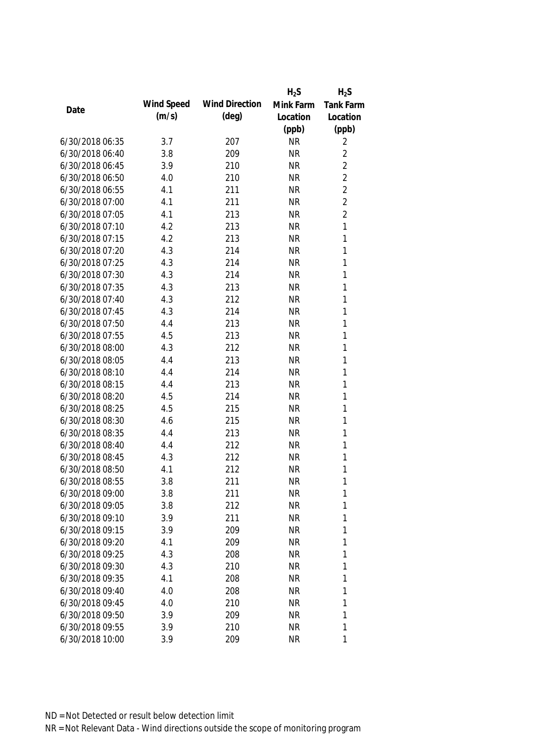|                 |            |                       | $H_2S$    | $H_2S$           |
|-----------------|------------|-----------------------|-----------|------------------|
| Date            | Wind Speed | <b>Wind Direction</b> | Mink Farm | <b>Tank Farm</b> |
|                 | (m/s)      | $(\text{deg})$        | Location  | Location         |
|                 |            |                       | (ppb)     | (ppb)            |
| 6/30/2018 06:35 | 3.7        | 207                   | <b>NR</b> | 2                |
| 6/30/2018 06:40 | 3.8        | 209                   | <b>NR</b> | $\overline{2}$   |
| 6/30/2018 06:45 | 3.9        | 210                   | <b>NR</b> | $\overline{2}$   |
| 6/30/2018 06:50 | 4.0        | 210                   | <b>NR</b> | $\overline{2}$   |
| 6/30/2018 06:55 | 4.1        | 211                   | <b>NR</b> | $\overline{2}$   |
| 6/30/2018 07:00 | 4.1        | 211                   | <b>NR</b> | $\overline{2}$   |
| 6/30/2018 07:05 | 4.1        | 213                   | <b>NR</b> | $\overline{2}$   |
| 6/30/2018 07:10 | 4.2        | 213                   | <b>NR</b> | $\mathbf{1}$     |
| 6/30/2018 07:15 | 4.2        | 213                   | <b>NR</b> | 1                |
| 6/30/2018 07:20 | 4.3        | 214                   | <b>NR</b> | 1                |
| 6/30/2018 07:25 | 4.3        | 214                   | <b>NR</b> | 1                |
| 6/30/2018 07:30 | 4.3        | 214                   | <b>NR</b> | 1                |
| 6/30/2018 07:35 | 4.3        | 213                   | <b>NR</b> | 1                |
| 6/30/2018 07:40 | 4.3        | 212                   | <b>NR</b> | 1                |
| 6/30/2018 07:45 | 4.3        | 214                   | <b>NR</b> | 1                |
| 6/30/2018 07:50 | 4.4        | 213                   | <b>NR</b> | 1                |
| 6/30/2018 07:55 | 4.5        | 213                   | <b>NR</b> | $\mathbf{1}$     |
| 6/30/2018 08:00 | 4.3        | 212                   | <b>NR</b> | 1                |
| 6/30/2018 08:05 | 4.4        | 213                   | <b>NR</b> | 1                |
| 6/30/2018 08:10 | 4.4        | 214                   | <b>NR</b> | 1                |
| 6/30/2018 08:15 | 4.4        | 213                   | <b>NR</b> | 1                |
| 6/30/2018 08:20 | 4.5        | 214                   | <b>NR</b> | 1                |
| 6/30/2018 08:25 | 4.5        | 215                   | <b>NR</b> | $\mathbf{1}$     |
| 6/30/2018 08:30 | 4.6        | 215                   | <b>NR</b> | 1                |
| 6/30/2018 08:35 | 4.4        | 213                   | <b>NR</b> | 1                |
| 6/30/2018 08:40 | 4.4        | 212                   | <b>NR</b> | 1                |
| 6/30/2018 08:45 | 4.3        | 212                   | <b>NR</b> | 1                |
| 6/30/2018 08:50 | 4.1        | 212                   | <b>NR</b> | 1                |
| 6/30/2018 08:55 | 3.8        | 211                   | <b>NR</b> | 1                |
| 6/30/2018 09:00 | 3.8        | 211                   | <b>NR</b> | 1                |
| 6/30/2018 09:05 | 3.8        | 212                   | <b>NR</b> | 1                |
| 6/30/2018 09:10 | 3.9        | 211                   | <b>NR</b> | 1                |
| 6/30/2018 09:15 | 3.9        | 209                   | <b>NR</b> | 1                |
| 6/30/2018 09:20 | 4.1        | 209                   | <b>NR</b> | 1                |
| 6/30/2018 09:25 | 4.3        | 208                   | <b>NR</b> | 1                |
| 6/30/2018 09:30 | 4.3        | 210                   | <b>NR</b> | 1                |
| 6/30/2018 09:35 | 4.1        | 208                   | <b>NR</b> | 1                |
| 6/30/2018 09:40 | 4.0        | 208                   | <b>NR</b> | 1                |
| 6/30/2018 09:45 | 4.0        | 210                   | <b>NR</b> | 1                |
| 6/30/2018 09:50 | 3.9        | 209                   | <b>NR</b> | 1                |
| 6/30/2018 09:55 | 3.9        | 210                   | <b>NR</b> | 1                |
| 6/30/2018 10:00 | 3.9        | 209                   | <b>NR</b> | 1                |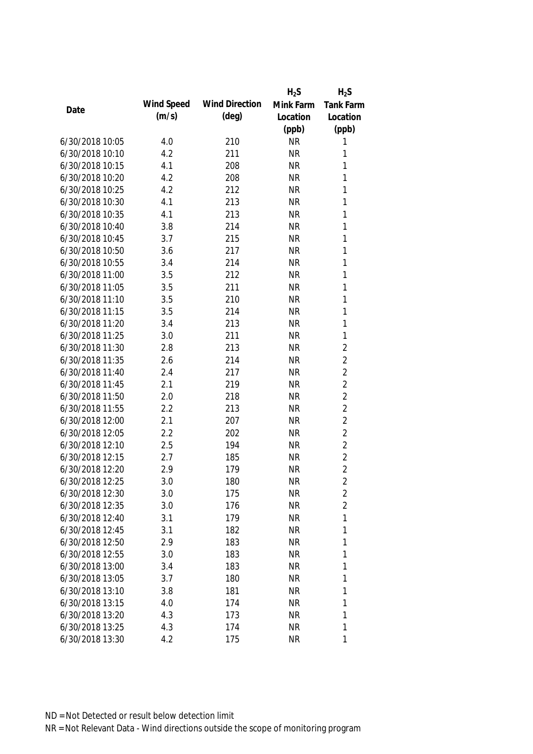|                 |            |                       | $H_2S$    | $H_2S$           |
|-----------------|------------|-----------------------|-----------|------------------|
|                 | Wind Speed | <b>Wind Direction</b> | Mink Farm | <b>Tank Farm</b> |
| Date            | (m/s)      | $(\text{deg})$        | Location  | Location         |
|                 |            |                       | (ppb)     | (ppb)            |
| 6/30/2018 10:05 | 4.0        | 210                   | <b>NR</b> | 1                |
| 6/30/2018 10:10 | 4.2        | 211                   | <b>NR</b> | 1                |
| 6/30/2018 10:15 | 4.1        | 208                   | <b>NR</b> | 1                |
| 6/30/2018 10:20 | 4.2        | 208                   | <b>NR</b> | 1                |
| 6/30/2018 10:25 | 4.2        | 212                   | <b>NR</b> | 1                |
| 6/30/2018 10:30 | 4.1        | 213                   | <b>NR</b> | 1                |
| 6/30/2018 10:35 | 4.1        | 213                   | <b>NR</b> | $\mathbf{1}$     |
| 6/30/2018 10:40 | 3.8        | 214                   | <b>NR</b> | 1                |
| 6/30/2018 10:45 | 3.7        | 215                   | <b>NR</b> | 1                |
| 6/30/2018 10:50 | 3.6        | 217                   | <b>NR</b> | 1                |
| 6/30/2018 10:55 | 3.4        | 214                   | <b>NR</b> | 1                |
| 6/30/2018 11:00 | 3.5        | 212                   | <b>NR</b> | 1                |
| 6/30/2018 11:05 | 3.5        | 211                   | <b>NR</b> | 1                |
| 6/30/2018 11:10 | 3.5        | 210                   | <b>NR</b> | 1                |
| 6/30/2018 11:15 | 3.5        | 214                   | <b>NR</b> | 1                |
| 6/30/2018 11:20 | 3.4        | 213                   | <b>NR</b> | 1                |
| 6/30/2018 11:25 | 3.0        | 211                   | <b>NR</b> | 1                |
| 6/30/2018 11:30 | 2.8        | 213                   | <b>NR</b> | $\overline{2}$   |
| 6/30/2018 11:35 | 2.6        | 214                   | <b>NR</b> | $\overline{2}$   |
| 6/30/2018 11:40 | 2.4        | 217                   | <b>NR</b> | $\overline{2}$   |
| 6/30/2018 11:45 | 2.1        | 219                   | <b>NR</b> | $\overline{2}$   |
| 6/30/2018 11:50 | 2.0        | 218                   | <b>NR</b> | $\overline{2}$   |
| 6/30/2018 11:55 | 2.2        | 213                   | <b>NR</b> | $\overline{2}$   |
| 6/30/2018 12:00 | 2.1        | 207                   | <b>NR</b> | $\overline{2}$   |
| 6/30/2018 12:05 | 2.2        | 202                   | <b>NR</b> | $\overline{2}$   |
| 6/30/2018 12:10 | 2.5        | 194                   | <b>NR</b> | $\overline{2}$   |
| 6/30/2018 12:15 | 2.7        | 185                   | <b>NR</b> | $\overline{2}$   |
| 6/30/2018 12:20 | 2.9        | 179                   | <b>NR</b> | $\overline{2}$   |
| 6/30/2018 12:25 | 3.0        | 180                   | <b>NR</b> | $\overline{2}$   |
| 6/30/2018 12:30 | 3.0        | 175                   | <b>NR</b> | $\overline{c}$   |
| 6/30/2018 12:35 | 3.0        | 176                   | <b>NR</b> | $\overline{2}$   |
| 6/30/2018 12:40 | 3.1        | 179                   | <b>NR</b> | $\mathbf{1}$     |
| 6/30/2018 12:45 | 3.1        | 182                   | <b>NR</b> | 1                |
| 6/30/2018 12:50 | 2.9        | 183                   | <b>NR</b> | $\mathbf{1}$     |
| 6/30/2018 12:55 | 3.0        | 183                   | <b>NR</b> | 1                |
| 6/30/2018 13:00 | 3.4        | 183                   | <b>NR</b> | 1                |
| 6/30/2018 13:05 | 3.7        | 180                   | <b>NR</b> | 1                |
| 6/30/2018 13:10 | 3.8        | 181                   | <b>NR</b> | 1                |
| 6/30/2018 13:15 | 4.0        | 174                   | <b>NR</b> | 1                |
| 6/30/2018 13:20 | 4.3        | 173                   | <b>NR</b> | 1                |
| 6/30/2018 13:25 | 4.3        | 174                   | <b>NR</b> | 1                |
| 6/30/2018 13:30 | 4.2        | 175                   | <b>NR</b> | 1                |
|                 |            |                       |           |                  |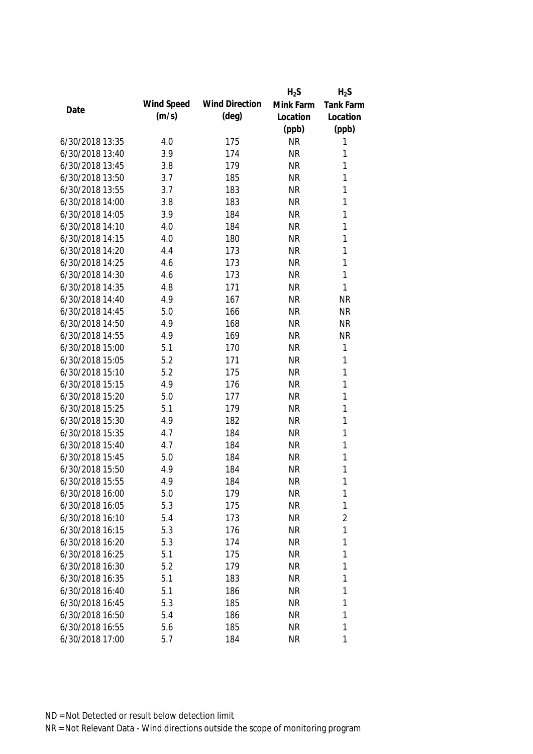|                 |            |                       | $H_2S$    | $H_2S$           |
|-----------------|------------|-----------------------|-----------|------------------|
|                 | Wind Speed | <b>Wind Direction</b> | Mink Farm | <b>Tank Farm</b> |
| Date            | (m/s)      | $(\text{deg})$        | Location  | Location         |
|                 |            |                       | (ppb)     | (ppb)            |
| 6/30/2018 13:35 | 4.0        | 175                   | <b>NR</b> | 1                |
| 6/30/2018 13:40 | 3.9        | 174                   | <b>NR</b> | 1                |
| 6/30/2018 13:45 | 3.8        | 179                   | <b>NR</b> | 1                |
| 6/30/2018 13:50 | 3.7        | 185                   | <b>NR</b> | 1                |
| 6/30/2018 13:55 | 3.7        | 183                   | <b>NR</b> | 1                |
| 6/30/2018 14:00 | 3.8        | 183                   | <b>NR</b> | $\mathbf{1}$     |
| 6/30/2018 14:05 | 3.9        | 184                   | <b>NR</b> | $\mathbf{1}$     |
| 6/30/2018 14:10 | 4.0        | 184                   | <b>NR</b> | $\mathbf{1}$     |
| 6/30/2018 14:15 | 4.0        | 180                   | <b>NR</b> | $\mathbf{1}$     |
| 6/30/2018 14:20 | 4.4        | 173                   | <b>NR</b> | $\mathbf{1}$     |
| 6/30/2018 14:25 | 4.6        | 173                   | <b>NR</b> | $\mathbf{1}$     |
| 6/30/2018 14:30 | 4.6        | 173                   | <b>NR</b> | 1                |
| 6/30/2018 14:35 | 4.8        | 171                   | <b>NR</b> | 1                |
| 6/30/2018 14:40 | 4.9        | 167                   | <b>NR</b> | <b>NR</b>        |
| 6/30/2018 14:45 | 5.0        | 166                   | <b>NR</b> | <b>NR</b>        |
| 6/30/2018 14:50 | 4.9        | 168                   | <b>NR</b> | <b>NR</b>        |
| 6/30/2018 14:55 | 4.9        | 169                   | <b>NR</b> | <b>NR</b>        |
| 6/30/2018 15:00 | 5.1        | 170                   | <b>NR</b> | $\mathbf{1}$     |
| 6/30/2018 15:05 | 5.2        | 171                   | <b>NR</b> | 1                |
| 6/30/2018 15:10 | 5.2        | 175                   | <b>NR</b> | $\mathbf{1}$     |
| 6/30/2018 15:15 | 4.9        | 176                   | <b>NR</b> | 1                |
| 6/30/2018 15:20 | 5.0        | 177                   | <b>NR</b> | $\mathbf{1}$     |
| 6/30/2018 15:25 | 5.1        | 179                   | <b>NR</b> | $\mathbf{1}$     |
| 6/30/2018 15:30 | 4.9        | 182                   | <b>NR</b> | $\mathbf{1}$     |
| 6/30/2018 15:35 | 4.7        | 184                   | <b>NR</b> | 1                |
| 6/30/2018 15:40 | 4.7        | 184                   | <b>NR</b> | $\mathbf{1}$     |
| 6/30/2018 15:45 | 5.0        | 184                   | <b>NR</b> | 1                |
| 6/30/2018 15:50 | 4.9        | 184                   | <b>NR</b> | 1                |
| 6/30/2018 15:55 | 4.9        | 184                   | <b>NR</b> | 1                |
| 6/30/2018 16:00 | 5.0        | 179                   | <b>NR</b> | 1                |
| 6/30/2018 16:05 | 5.3        | 175                   | <b>NR</b> | $\mathbf{1}$     |
| 6/30/2018 16:10 | 5.4        | 173                   | <b>NR</b> | $\overline{2}$   |
| 6/30/2018 16:15 | 5.3        | 176                   | <b>NR</b> | $\mathbf{1}$     |
| 6/30/2018 16:20 | 5.3        | 174                   | <b>NR</b> | $\mathbf{1}$     |
| 6/30/2018 16:25 | 5.1        | 175                   | <b>NR</b> | 1                |
| 6/30/2018 16:30 | 5.2        | 179                   | <b>NR</b> | 1                |
| 6/30/2018 16:35 | 5.1        | 183                   | <b>NR</b> | 1                |
| 6/30/2018 16:40 | 5.1        | 186                   | <b>NR</b> | 1                |
| 6/30/2018 16:45 | 5.3        | 185                   | <b>NR</b> | 1                |
| 6/30/2018 16:50 | 5.4        | 186                   | <b>NR</b> | 1                |
| 6/30/2018 16:55 | 5.6        | 185                   | <b>NR</b> | 1                |
| 6/30/2018 17:00 | 5.7        | 184                   | <b>NR</b> | 1                |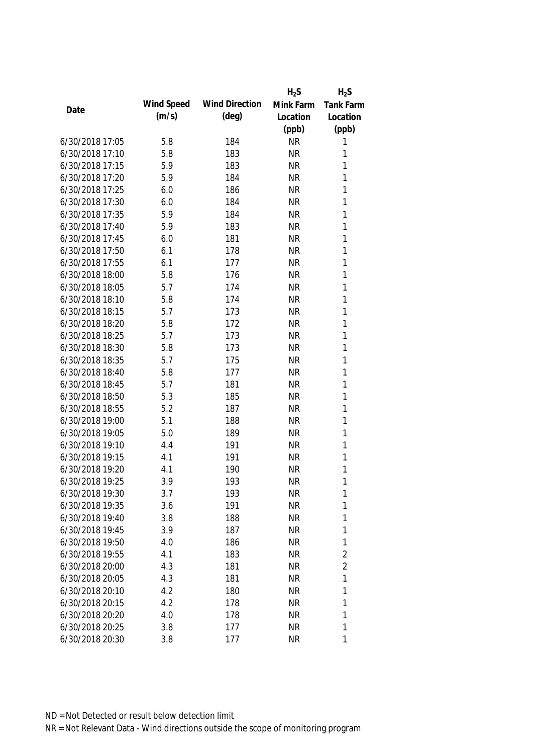|                 |            |                       | $H_2S$    | $H_2S$           |
|-----------------|------------|-----------------------|-----------|------------------|
| Date            | Wind Speed | <b>Wind Direction</b> | Mink Farm | <b>Tank Farm</b> |
|                 | (m/s)      | $(\text{deg})$        | Location  | Location         |
|                 |            |                       | (ppb)     | (ppb)            |
| 6/30/2018 17:05 | 5.8        | 184                   | <b>NR</b> | 1                |
| 6/30/2018 17:10 | 5.8        | 183                   | <b>NR</b> | 1                |
| 6/30/2018 17:15 | 5.9        | 183                   | <b>NR</b> | 1                |
| 6/30/2018 17:20 | 5.9        | 184                   | <b>NR</b> | 1                |
| 6/30/2018 17:25 | 6.0        | 186                   | <b>NR</b> | 1                |
| 6/30/2018 17:30 | 6.0        | 184                   | <b>NR</b> | 1                |
| 6/30/2018 17:35 | 5.9        | 184                   | <b>NR</b> | 1                |
| 6/30/2018 17:40 | 5.9        | 183                   | <b>NR</b> | 1                |
| 6/30/2018 17:45 | 6.0        | 181                   | <b>NR</b> | 1                |
| 6/30/2018 17:50 | 6.1        | 178                   | <b>NR</b> | 1                |
| 6/30/2018 17:55 | 6.1        | 177                   | <b>NR</b> | 1                |
| 6/30/2018 18:00 | 5.8        | 176                   | <b>NR</b> | 1                |
| 6/30/2018 18:05 | 5.7        | 174                   | <b>NR</b> | 1                |
| 6/30/2018 18:10 | 5.8        | 174                   | <b>NR</b> | 1                |
| 6/30/2018 18:15 | 5.7        | 173                   | <b>NR</b> | 1                |
| 6/30/2018 18:20 | 5.8        | 172                   | <b>NR</b> | 1                |
| 6/30/2018 18:25 | 5.7        | 173                   | <b>NR</b> | 1                |
| 6/30/2018 18:30 | 5.8        | 173                   | <b>NR</b> | 1                |
| 6/30/2018 18:35 | 5.7        | 175                   | <b>NR</b> | 1                |
| 6/30/2018 18:40 | 5.8        | 177                   | <b>NR</b> | 1                |
| 6/30/2018 18:45 | 5.7        | 181                   | <b>NR</b> | 1                |
| 6/30/2018 18:50 | 5.3        | 185                   | <b>NR</b> | 1                |
| 6/30/2018 18:55 | 5.2        | 187                   | <b>NR</b> | 1                |
| 6/30/2018 19:00 | 5.1        | 188                   | <b>NR</b> | 1                |
| 6/30/2018 19:05 | 5.0        | 189                   | <b>NR</b> | 1                |
| 6/30/2018 19:10 | 4.4        | 191                   | <b>NR</b> | 1                |
| 6/30/2018 19:15 | 4.1        | 191                   | <b>NR</b> | 1                |
| 6/30/2018 19:20 | 4.1        | 190                   | <b>NR</b> | 1                |
| 6/30/2018 19:25 | 3.9        | 193                   | <b>NR</b> | 1                |
| 6/30/2018 19:30 | 3.7        | 193                   | <b>NR</b> | 1                |
| 6/30/2018 19:35 | 3.6        | 191                   | <b>NR</b> | 1                |
| 6/30/2018 19:40 | 3.8        | 188                   | <b>NR</b> | 1                |
| 6/30/2018 19:45 | 3.9        | 187                   | <b>NR</b> | 1                |
| 6/30/2018 19:50 | 4.0        | 186                   | <b>NR</b> | 1                |
| 6/30/2018 19:55 | 4.1        | 183                   | <b>NR</b> | $\overline{2}$   |
| 6/30/2018 20:00 | 4.3        | 181                   | <b>NR</b> | $\overline{2}$   |
| 6/30/2018 20:05 | 4.3        | 181                   | <b>NR</b> | 1                |
| 6/30/2018 20:10 | 4.2        | 180                   | <b>NR</b> | 1                |
| 6/30/2018 20:15 | 4.2        | 178                   | <b>NR</b> | 1                |
| 6/30/2018 20:20 | 4.0        | 178                   | <b>NR</b> | 1                |
| 6/30/2018 20:25 | 3.8        | 177                   | <b>NR</b> | 1                |
| 6/30/2018 20:30 | 3.8        | 177                   | <b>NR</b> | 1                |